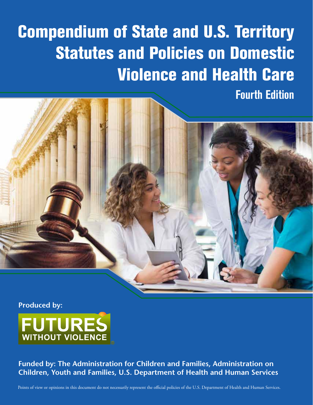# Compendium of State and U.S. Territory Statutes and Policies on Domestic Violence and Health Care

**Fourth Edition**



**Produced by:**



**Funded by: The Administration for Children and Families, Administration on Children, Youth and Families, U.S. Department of Health and Human Services**

Points of view or opinions in this document do not necessarily represent the official policies of the U.S. Department of Health and Human Services.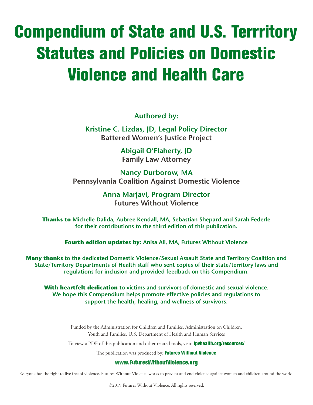# Compendium of State and U.S. Terrritory Statutes and Policies on Domestic Violence and Health Care

**Authored by:**

**Kristine C. Lizdas, JD, Legal Policy Director Battered Women's Justice Project**

> **Abigail O'Flaherty, JD Family Law Attorney**

**Nancy Durborow, MA Pennsylvania Coalition Against Domestic Violence** 

> **Anna Marjavi, Program Director Futures Without Violence**

**Thanks to Michelle Dalida, Aubree Kendall, MA, Sebastian Shepard and Sarah Federle for their contributions to the third edition of this publication.**

**Fourth edition updates by: Anisa Ali, MA, Futures Without Violence**

**Many thanks to the dedicated Domestic Violence/Sexual Assault State and Territory Coalition and State/Territory Departments of Health staff who sent copies of their state/territory laws and regulations for inclusion and provided feedback on this Compendium.**

**With heartfelt dedication to victims and survivors of domestic and sexual violence. We hope this Compendium helps promote effective policies and regulations to support the health, healing, and wellness of survivors.** 

> Funded by the Administration for Children and Families, Administration on Children, Youth and Families, U.S. Department of Health and Human Services

To view a PDF of this publication and other related tools, visit: **<ipvhealth.org/resources>/** 

The publication was produced by: Futures Without Violence

#### <www.FuturesWithoutViolence.org>

Everyone has the right to live free of violence. Futures Without Violence works to prevent and end violence against women and children around the world.

©2019 Futures Without Violence. All rights reserved.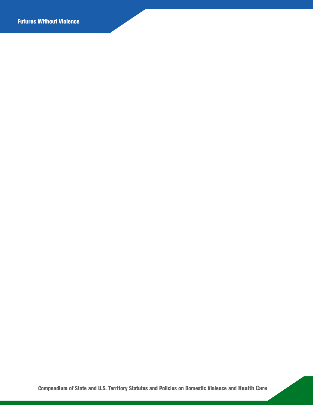Compendium of State and U.S. Territory Statutes and Policies on Domestic Violence and Health Care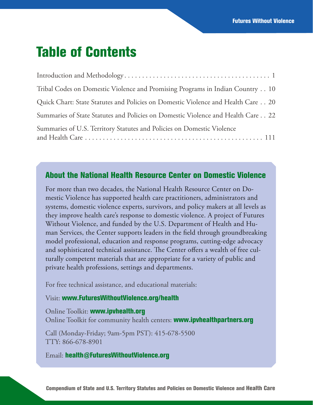## Table of Contents

| Tribal Codes on Domestic Violence and Promising Programs in Indian Country 10    |
|----------------------------------------------------------------------------------|
| Quick Chart: State Statutes and Policies on Domestic Violence and Health Care 20 |
| Summaries of State Statutes and Policies on Domestic Violence and Health Care 22 |
| Summaries of U.S. Territory Statutes and Policies on Domestic Violence           |

### About the National Health Resource Center on Domestic Violence

For more than two decades, the National Health Resource Center on Domestic Violence has supported health care practitioners, administrators and systems, domestic violence experts, survivors, and policy makers at all levels as they improve health care's response to domestic violence. A project of Futures Without Violence, and funded by the U.S. Department of Health and Human Services, the Center supports leaders in the field through groundbreaking model professional, education and response programs, cutting-edge advocacy and sophisticated technical assistance. The Center offers a wealth of free culturally competent materials that are appropriate for a variety of public and private health professions, settings and departments.

For free technical assistance, and educational materials:

Visit: <www.FuturesWithoutViolence.org/health>

Online Toolkit: **www.ipvhealth.org** Online Toolkit for community health centers: www.ipvhealthpartners.org

Call (Monday-Friday; 9am-5pm PST): 415-678-5500 TTY: 866-678-8901

Email: [health@FuturesWithoutViolence.org](mailto: health@FuturesWithoutViolence.org)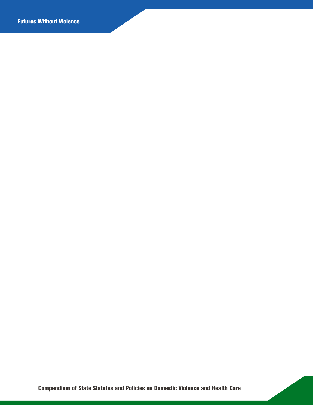Compendium of State Statutes and Policies on Domestic Violence and Health Care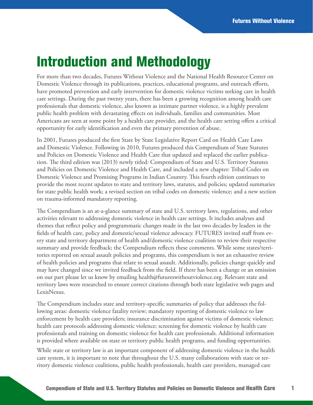## Introduction and Methodology

For more than two decades, Futures Without Violence and the National Health Resource Center on Domestic Violence through its publications, practices, educational programs, and outreach efforts, have promoted prevention and early intervention for domestic violence victims seeking care in health care settings. During the past twenty years, there has been a growing recognition among health care professionals that domestic violence, also known as intimate partner violence, is a highly prevalent public health problem with devastating effects on individuals, families and communities. Most Americans are seen at some point by a health care provider, and the health care setting offers a critical opportunity for early identification and even the primary prevention of abuse.

In 2001, Futures produced the first State by State Legislative Report Card on Health Care Laws and Domestic Violence. Following in 2010, Futures produced this Compendium of State Statutes and Policies on Domestic Violence and Health Care that updated and replaced the earlier publication. The third edition was (2013) newly titled: Compendium of State and U.S. Territory Statutes and Policies on Domestic Violence and Health Care, and included a new chapter: Tribal Codes on Domestic Violence and Promising Programs in Indian Country. This fourth edition continues to provide the most recent updates to state and territory laws, statutes, and policies; updated summaries for state public health work; a revised section on tribal codes on domestic violence; and a new section on trauma-informed mandatory reporting.

The Compendium is an at-a-glance summary of state and U.S. territory laws, regulations, and other activities relevant to addressing domestic violence in health care settings. It includes analyses and themes that reflect policy and programmatic changes made in the last two decades by leaders in the fields of health care, policy and domestic/sexual violence advocacy. FUTURES invited staff from every state and territory department of health and/domestic violence coalition to review their respective summary and provide feedback; the Compendium reflects these comments. While some states/territories reported on sexual assault policies and programs, this compendium is not an exhaustive review of health policies and programs that relate to sexual assault. Additionally, policies change quickly and may have changed since we invited feedback from the field. If there has been a change or an omission on our part please let us know by emailing [health@futureswithoutviolence.org](mailto:health@futureswithoutviolence.org). Relevant state and territory laws were researched to ensure correct citations through both state legislative web pages and LexisNexus.

The Compendium includes state and territory-specific summaries of policy that addresses the following areas: domestic violence fatality review; mandatory reporting of domestic violence to law enforcement by health care providers; insurance discrimination against victims of domestic violence; health care protocols addressing domestic violence; screening for domestic violence by health care professionals and training on domestic violence for health care professionals. Additional information is provided where available on state or territory public health programs, and funding opportunities.

While state or territory law is an important component of addressing domestic violence in the health care system, it is important to note that throughout the U.S. many collaborations with state or territory domestic violence coalitions, public health professionals, health care providers, managed care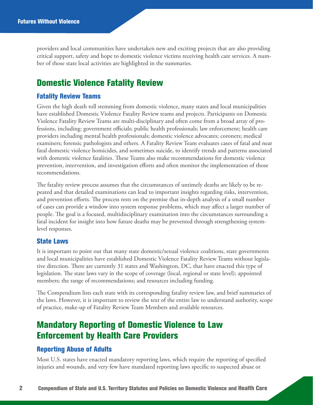providers and local communities have undertaken new and exciting projects that are also providing critical support, safety and hope to domestic violence victims receiving health care services. A number of those state local activities are highlighted in the summaries.

## Domestic Violence Fatality Review

#### Fatality Review Teams

Given the high death toll stemming from domestic violence, many states and local municipalities have established Domestic Violence Fatality Review teams and projects. Participants on Domestic Violence Fatality Review Teams are multi-disciplinary and often come from a broad array of professions, including: government officials; public health professionals; law enforcement; health care providers including mental health professionals; domestic violence advocates; coroners; medical examiners; forensic pathologists and others. A Fatality Review Team evaluates cases of fatal and near fatal domestic violence homicides, and sometimes suicide, to identify trends and patterns associated with domestic violence fatalities. These Teams also make recommendations for domestic violence prevention, intervention, and investigation efforts and often monitor the implementation of those recommendations.

The fatality review process assumes that the circumstances of untimely deaths are likely to be repeated and that detailed examinations can lead to important insights regarding risks, intervention, and prevention efforts. The process rests on the premise that in-depth analysis of a small number of cases can provide a window into system response problems, which may affect a larger number of people. The goal is a focused, multidisciplinary examination into the circumstances surrounding a fatal incident for insight into how future deaths may be prevented through strengthening systemlevel responses.

#### State Laws

It is important to point out that many state domestic/sexual violence coalitions, state governments and local municipalities have established Domestic Violence Fatality Review Teams without legislative direction. There are currently 31 states and Washington, DC, that have enacted this type of legislation. The state laws vary in the scope of coverage (local, regional or state level); appointed members; the range of recommendations; and resources including funding.

The Compendium lists each state with its corresponding fatality review law, and brief summaries of the laws. However, it is important to review the text of the entire law to understand authority, scope of practice, make-up of Fatality Review Team Members and available resources.

## Mandatory Reporting of Domestic Violence to Law Enforcement by Health Care Providers

#### Reporting Abuse of Adults

Most U.S. states have enacted mandatory reporting laws, which require the reporting of specified injuries and wounds, and very few have mandated reporting laws specific to suspected abuse or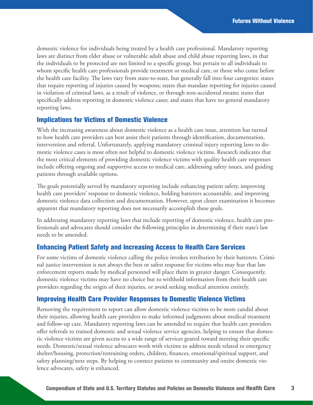domestic violence for individuals being treated by a health care professional. Mandatory reporting laws are distinct from elder abuse or vulnerable adult abuse and child abuse reporting laws, in that the individuals to be protected are not limited to a specific group, but pertain to all individuals to whom specific health care professionals provide treatment or medical care, or those who come before the health care facility. The laws vary from state-to-state, but generally fall into four categories: states that require reporting of injuries caused by weapons; states that mandate reporting for injuries caused in violation of criminal laws, as a result of violence, or through non-accidental means; states that specifically address reporting in domestic violence cases; and states that have no general mandatory reporting laws.

#### Implications for Victims of Domestic Violence

With the increasing awareness about domestic violence as a health care issue, attention has turned to how health care providers can best assist their patients through identification, documentation, intervention and referral. Unfortunately, applying mandatory criminal injury reporting laws to domestic violence cases is most often not helpful to domestic violence victims. Research indicates that the most critical elements of providing domestic violence victims with quality health care responses include offering ongoing and supportive access to medical care, addressing safety issues, and guiding patients through available options.

The goals potentially served by mandatory reporting include enhancing patient safety, improving health care providers' response to domestic violence, holding batterers accountable, and improving domestic violence data collection and documentation. However, upon closer examination it becomes apparent that mandatory reporting does not necessarily accomplish these goals.

In addressing mandatory reporting laws that include reporting of domestic violence, health care professionals and advocates should consider the following principles in determining if their state's law needs to be amended.

#### Enhancing Patient Safety and Increasing Access to Health Care Services

For some victims of domestic violence calling the police invokes retribution by their batterers. Criminal justice intervention is not always the best or safest response for victims who may fear that law enforcement reports made by medical personnel will place them in greater danger. Consequently, domestic violence victims may have no choice but to withhold information from their health care providers regarding the origin of their injuries, or avoid seeking medical attention entirely.

#### Improving Health Care Provider Responses to Domestic Violence Victims

Removing the requirement to report can allow domestic violence victims to be more candid about their injuries, allowing health care providers to make informed judgments about medical treatment and follow-up care. Mandatory reporting laws can be amended to require that health care providers offer referrals to trained domestic and sexual violence service agencies, helping to ensure that domestic violence victims are given access to a wide range of services geared toward meeting their specific needs. Domestic/sexual violence advocates work with victims to address needs related to emergency shelter/housing, protection/restraining orders, children, finances, emotional/spiritual support, and safety planning/next steps. By helping to connect patients to community and onsite domestic violence advocates, safety is enhanced.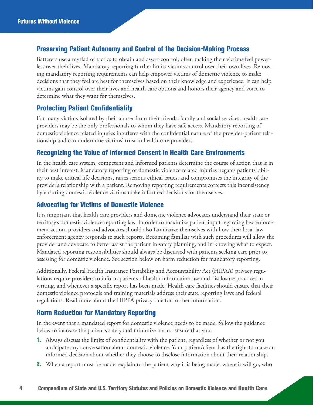#### Preserving Patient Autonomy and Control of the Decision-Making Process

Batterers use a myriad of tactics to obtain and assert control, often making their victims feel powerless over their lives. Mandatory reporting further limits victims control over their own lives. Removing mandatory reporting requirements can help empower victims of domestic violence to make decisions that they feel are best for themselves based on their knowledge and experience. It can help victims gain control over their lives and health care options and honors their agency and voice to determine what they want for themselves.

#### Protecting Patient Confidentiality

For many victims isolated by their abuser from their friends, family and social services, health care providers may be the only professionals to whom they have safe access. Mandatory reporting of domestic violence related injuries interferes with the confidential nature of the provider-patient relationship and can undermine victims' trust in health care providers.

#### Recognizing the Value of Informed Consent in Health Care Environments

In the health care system, competent and informed patients determine the course of action that is in their best interest. Mandatory reporting of domestic violence related injuries negates patients' ability to make critical life decisions, raises serious ethical issues, and compromises the integrity of the provider's relationship with a patient. Removing reporting requirements corrects this inconsistency by ensuring domestic violence victims make informed decisions for themselves.

#### Advocating for Victims of Domestic Violence

It is important that health care providers and domestic violence advocates understand their state or territory's domestic violence reporting law. In order to maximize patient input regarding law enforcement action, providers and advocates should also familiarize themselves with how their local law enforcement agency responds to such reports. Becoming familiar with such procedures will allow the provider and advocate to better assist the patient in safety planning, and in knowing what to expect. Mandated reporting responsibilities should always be discussed with patients seeking care prior to assessing for domestic violence. See section below on harm reduction for mandatory reporting.

Additionally, Federal Health Insurance Portability and Accountability Act (HIPAA) privacy regulations require providers to inform patients of health information use and disclosure practices in writing, and whenever a specific report has been made. Health care facilities should ensure that their domestic violence protocols and training materials address their state reporting laws and federal regulations. Read more about the HIPPA privacy rule for further information.

#### Harm Reduction for Mandatory Reporting

In the event that a mandated report for domestic violence needs to be made, follow the guidance below to increase the patient's safety and minimize harm. Ensure that you:

- 1. Always discuss the limits of confidentiality with the patient, regardless of whether or not you anticipate any conversation about domestic violence. Your patient/client has the right to make an informed decision about whether they choose to disclose information about their relationship.
- **2.** When a report must be made, explain to the patient why it is being made, where it will go, who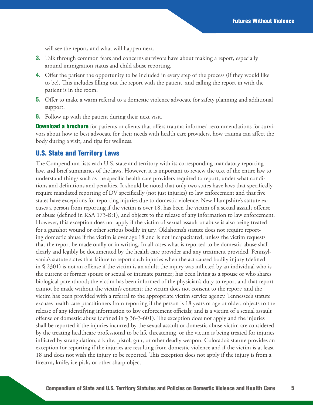will see the report, and what will happen next.

- **3.** Talk through common fears and concerns survivors have about making a report, especially around immigration status and child abuse reporting.
- **4.** Offer the patient the opportunity to be included in every step of the process (if they would like to be). This includes filling out the report with the patient, and calling the report in with the patient is in the room.
- **5.** Offer to make a warm referral to a domestic violence advocate for safety planning and additional support.
- **6.** Follow up with the patient during their next visit.

**Download a brochure** [for patients or clients that offers trauma-informed recommendations for survi](https://www.futureswithoutviolence.org/new-resource-survivor-brochure/)[vors about how to best advocate for their needs with health care providers, how trauma can affect the](https://www.futureswithoutviolence.org/new-resource-survivor-brochure/)  [body during a visit, and tips for wellness.](https://www.futureswithoutviolence.org/new-resource-survivor-brochure/)

#### U.S. State and Territory Laws

The Compendium lists each U.S. state and territory with its corresponding mandatory reporting law, and brief summaries of the laws. However, it is important to review the text of the entire law to understand things such as the specific health care providers required to report, under what conditions and definitions and penalties. It should be noted that only two states have laws that specifically require mandated reporting of DV specifically (not just injuries) to law enforcement and that five states have exceptions for reporting injuries due to domestic violence. New Hampshire's statute excuses a person from reporting if the victim is over 18, has been the victim of a sexual assault offense or abuse (defined in RSA 173-B:1), and objects to the release of any information to law enforcement. However, this exception does not apply if the victim of sexual assault or abuse is also being treated for a gunshot wound or other serious bodily injury. Oklahoma's statute does not require reporting domestic abuse if the victim is over age 18 and is not incapacitated, unless the victim requests that the report be made orally or in writing. In all cases what is reported to be domestic abuse shall clearly and legibly be documented by the health care provider and any treatment provided. Pennsylvania's statute states that failure to report such injuries when the act caused bodily injury (defined in § 2301) is not an offense if the victim is an adult; the injury was inflicted by an individual who is the current or former spouse or sexual or intimate partner; has been living as a spouse or who shares biological parenthood; the victim has been informed of the physician's duty to report and that report cannot be made without the victim's consent; the victim does not consent to the report; and the victim has been provided with a referral to the appropriate victim service agency. Tennessee's statute excuses health care practitioners from reporting if the person is 18 years of age or older; objects to the release of any identifying information to law enforcement officials; and is a victim of a sexual assault offense or domestic abuse (defined in § 36-3-601). The exception does not apply and the injuries shall be reported if the injuries incurred by the sexual assault or domestic abuse victim are considered by the treating healthcare professional to be life threatening, or the victim is being treated for injuries inflicted by strangulation, a knife, pistol, gun, or other deadly weapon. Colorado's statute provides an exception for reporting if the injuries are resulting from domestic violence and if the victim is at least 18 and does not wish the injury to be reported. This exception does not apply if the injury is from a firearm, knife, ice pick, or other sharp object.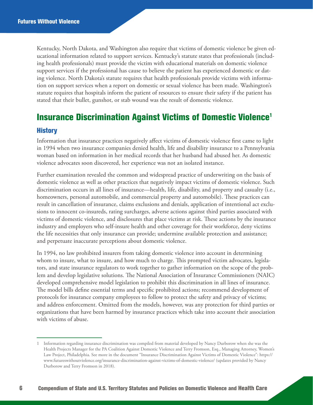Kentucky, North Dakota, and Washington also require that victims of domestic violence be given educational information related to support services. Kentucky's statute states that professionals (including health professionals) must provide the victim with educational materials on domestic violence support services if the professional has cause to believe the patient has experienced domestic or dating violence. North Dakota's statute requires that health professionals provide victims with information on support services when a report on domestic or sexual violence has been made. Washington's statute requires that hospitals inform the patient of resources to ensure their safety if the patient has stated that their bullet, gunshot, or stab wound was the result of domestic violence.

## Insurance Discrimination Against Victims of Domestic Violence<sup>1</sup>

#### **History**

Information that insurance practices negatively affect victims of domestic violence first came to light in 1994 when two insurance companies denied health, life and disability insurance to a Pennsylvania woman based on information in her medical records that her husband had abused her. As domestic violence advocates soon discovered, her experience was not an isolated instance.

Further examination revealed the common and widespread practice of underwriting on the basis of domestic violence as well as other practices that negatively impact victims of domestic violence. Such discrimination occurs in all lines of insurance—health, life, disability, and property and casualty (i.e., homeowners, personal automobile, and commercial property and automobile). These practices can result in cancellation of insurance, claims exclusions and denials, application of intentional act exclusions to innocent co-insureds, rating surcharges, adverse actions against third parties associated with victims of domestic violence, and disclosures that place victims at risk. These actions by the insurance industry and employers who self-insure health and other coverage for their workforce, deny victims the life necessities that only insurance can provide; undermine available protection and assistance; and perpetuate inaccurate perceptions about domestic violence.

In 1994, no law prohibited insurers from taking domestic violence into account in determining whom to insure, what to insure, and how much to charge. This prompted victim advocates, legislators, and state insurance regulators to work together to gather information on the scope of the problem and develop legislative solutions. The National Association of Insurance Commissioners (NAIC) developed comprehensive model legislation to prohibit this discrimination in all lines of insurance. The model bills define essential terms and specific prohibited actions; recommend development of protocols for insurance company employees to follow to protect the safety and privacy of victims; and address enforcement. Omitted from the models, however, was any protection for third parties or organizations that have been harmed by insurance practices which take into account their association with victims of abuse.

<sup>1</sup> Information regarding insurance discrimination was compiled from material developed by Nancy Durborow when she was the Health Projects Manager for the PA Coalition Against Domestic Violence and Terry Fromson, Esq., Managing Attorney, Women's Law Project, Philadelphia. See more in the document "Insurance Discrimination Against Victims of Domestic Violence": [https://](https://www.futureswithoutviolence.org/insurance) [www.futureswithoutviolence.org/insurance](https://www.futureswithoutviolence.org/insurance)-discrimination-against-victims-of-domestic-violence/ (updates provided by Nancy Durborow and Terry Fromson in 2018).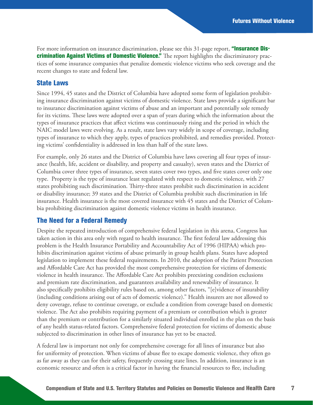For more information on insurance discrimination, please see this 31-page report, ["Insurance Dis](https://www.futureswithoutviolence.org/insurance-discrimination-against-victims-of-domestic-violence/)[crimination Against Victims of Domestic Violence."](https://www.futureswithoutviolence.org/insurance-discrimination-against-victims-of-domestic-violence/) The report highlights the discriminatory practices of some insurance companies that penalize domestic violence victims who seek coverage and the recent changes to state and federal law.

#### State Laws

Since 1994, 45 states and the District of Columbia have adopted some form of legislation prohibiting insurance discrimination against victims of domestic violence. State laws provide a significant bar to insurance discrimination against victims of abuse and an important and potentially sole remedy for its victims. These laws were adopted over a span of years during which the information about the types of insurance practices that affect victims was continuously rising and the period in which the NAIC model laws were evolving. As a result, state laws vary widely in scope of coverage, including types of insurance to which they apply, types of practices prohibited, and remedies provided. Protecting victims' confidentiality is addressed in less than half of the state laws.

For example, only 26 states and the District of Columbia have laws covering all four types of insurance (health, life, accident or disability, and property and casualty), seven states and the District of Columbia cover three types of insurance, seven states cover two types, and five states cover only one type. Property is the type of insurance least regulated with respect to domestic violence, with 27 states prohibiting such discrimination. Thirty-three states prohibit such discrimination in accident or disability insurance; 39 states and the District of Columbia prohibit such discrimination in life insurance. Health insurance is the most covered insurance with 45 states and the District of Columbia prohibiting discrimination against domestic violence victims in health insurance.

#### The Need for a Federal Remedy

Despite the repeated introduction of comprehensive federal legislation in this arena, Congress has taken action in this area only with regard to health insurance. The first federal law addressing this problem is the Health Insurance Portability and Accountability Act of 1996 (HIPAA) which prohibits discrimination against victims of abuse primarily in group health plans. States have adopted legislation to implement these federal requirements. In 2010, the adoption of the Patient Protection and Affordable Care Act has provided the most comprehensive protection for victims of domestic violence in health insurance. The Affordable Care Act prohibits preexisting condition exclusions and premium rate discrimination, and guarantees availability and renewability of insurance. It also specifically prohibits eligibility rules based on, among other factors, "[e]vidence of insurability (including conditions arising out of acts of domestic violence)." Health insurers are not allowed to deny coverage, refuse to continue coverage, or exclude a condition from coverage based on domestic violence. The Act also prohibits requiring payment of a premium or contribution which is greater than the premium or contribution for a similarly situated individual enrolled in the plan on the basis of any health status-related factors. Comprehensive federal protection for victims of domestic abuse subjected to discrimination in other lines of insurance has yet to be enacted.

A federal law is important not only for comprehensive coverage for all lines of insurance but also for uniformity of protection. When victims of abuse flee to escape domestic violence, they often go as far away as they can for their safety, frequently crossing state lines. In addition, insurance is an economic resource and often is a critical factor in having the financial resources to flee, including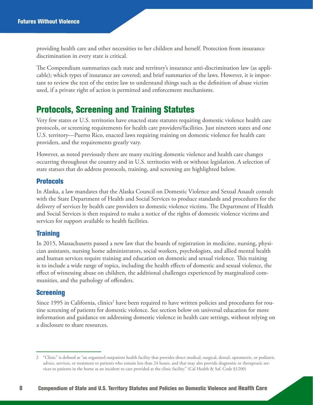providing health care and other necessities to her children and herself. Protection from insurance discrimination in every state is critical.

The Compendium summarizes each state and territory's insurance anti-discrimination law (as applicable); which types of insurance are covered; and brief summaries of the laws. However, it is important to review the text of the entire law to understand things such as the definition of abuse victim used, if a private right of action is permitted and enforcement mechanisms.

## Protocols, Screening and Training Statutes

Very few states or U.S. territories have enacted state statutes requiring domestic violence health care protocols, or screening requirements for health care providers/facilities. Just nineteen states and one U.S. territory—Puerto Rico, enacted laws requiring training on domestic violence for health care providers, and the requirements greatly vary.

However, as noted previously there are many exciting domestic violence and health care changes occurring throughout the country and in U.S. territories with or without legislation. A selection of state statues that do address protocols, training, and screening are highlighted below.

#### **Protocols**

In Alaska, a law mandates that the Alaska Council on Domestic Violence and Sexual Assault consult with the State Department of Health and Social Services to produce standards and procedures for the delivery of services by health care providers to domestic violence victims. The Department of Health and Social Services is then required to make a notice of the rights of domestic violence victims and services for support available to health facilities.

#### **Training**

In 2015, Massachusetts passed a new law that the boards of registration in medicine, nursing, physician assistants, nursing home administrators, social workers, psychologists, and allied mental health and human services require training and education on domestic and sexual violence. This training is to include a wide range of topics, including the health effects of domestic and sexual violence, the effect of witnessing abuse on children, the additional challenges experienced by marginalized communities, and the pathology of offenders.

#### Screening

Since 1995 in California, clinics<sup>2</sup> have been required to have written policies and procedures for routine screening of patients for domestic violence. See section below on universal education for more information and guidance on addressing domestic violence in health care settings, without relying on a disclosure to share resources.

<sup>2</sup> "Clinic" is defined as "an organized outpatient health facility that provides direct medical, surgical, dental, optometric, or podiatric advice, services, or treatment to patients who remain less than 24 hours, and that may also provide diagnostic or therapeutic services to patients in the home as an incident to care provided at the clinic facility." (Cal Health & Saf. Code §1200)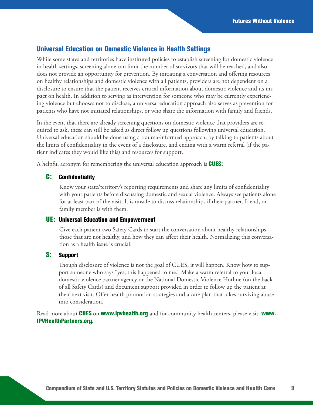#### Universal Education on Domestic Violence in Health Settings

While some states and territories have instituted policies to establish screening for domestic violence in health settings, screening alone can limit the number of survivors that will be reached, and also does not provide an opportunity for prevention. By initiating a conversation and offering resources on healthy relationships and domestic violence with all patients, providers are not dependent on a disclosure to ensure that the patient receives critical information about domestic violence and its impact on health. In addition to serving as intervention for someone who may be currently experiencing violence but chooses not to disclose, a universal education approach also serves as prevention for patients who have not initiated relationships, or who share the information with family and friends.

In the event that there are already screening questions on domestic violence that providers are required to ask, these can still be asked as direct follow up questions following universal education. Universal education should be done using a trauma-informed approach, by talking to patients about the limits of confidentiality in the event of a disclosure, and ending with a warm referral (if the patient indicates they would like this) and resources for support.

A helpful acronym for remembering the universal education approach is CUES:

#### C: Confidentiality

Know your state/territory's reporting requirements and share any limits of confidentiality with your patients before discussing domestic and sexual violence. Always see patients alone for at least part of the visit. It is unsafe to discuss relationships if their partner, friend, or family member is with them.

#### UE: Universal Education and Empowerment

Give each patient two Safety Cards to start the conversation about healthy relationships, those that are not healthy, and how they can affect their health. Normalizing this conversation as a health issue is crucial.

#### S: Support

Though disclosure of violence is not the goal of CUES, it will happen. Know how to support someone who says "yes, this happened to me." Make a warm referral to your local domestic violence partner agency or the National Domestic Violence Hotline (on the back of all Safety Cards) and document support provided in order to follow up the patient at their next visit. Offer health promotion strategies and a care plan that takes surviving abuse into consideration.

Read more about **CUES** on **[www.](www.IPVHealthPartners.org)ipvhealth.org** and for community health centers, please visit: **www.** [IPVHealthPartners.org](www.IPVHealthPartners.org).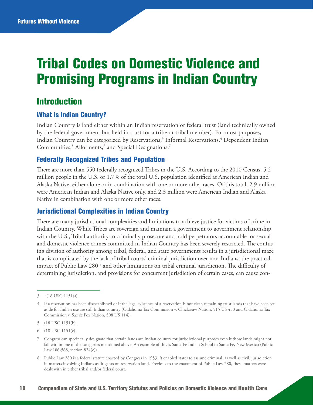## Tribal Codes on Domestic Violence and Promising Programs in Indian Country

## **Introduction**

#### What is Indian Country?

Indian Country is land either within an Indian reservation or federal trust (land technically owned by the federal government but held in trust for a tribe or tribal member). For most purposes, Indian Country can be categorized by Reservations,<sup>3</sup> Informal Reservations,<sup>4</sup> Dependent Indian Communities,<sup>5</sup> Allotments,<sup>6</sup> and Special Designations.<sup>7</sup>

#### Federally Recognized Tribes and Population

There are more than 550 federally recognized Tribes in the U.S. According to the 2010 Census, 5.2 million people in the U.S. or 1.7% of the total U.S. population identified as American Indian and Alaska Native, either alone or in combination with one or more other races. Of this total, 2.9 million were American Indian and Alaska Native only, and 2.3 million were American Indian and Alaska Native in combination with one or more other races.

#### Jurisdictional Complexities in Indian Country

There are many jurisdictional complexities and limitations to achieve justice for victims of crime in Indian Country. While Tribes are sovereign and maintain a government to government relationship with the U.S., Tribal authority to criminally prosecute and hold perpetrators accountable for sexual and domestic violence crimes committed in Indian Country has been severely restricted. The confusing division of authority among tribal, federal, and state governments results in a jurisdictional maze that is complicated by the lack of tribal courts' criminal jurisdiction over non-Indians, the practical impact of Public Law 280,<sup>8</sup> and other limitations on tribal criminal jurisdiction. The difficulty of determining jurisdiction, and provisions for concurrent jurisdiction of certain cases, can cause con-

<sup>3 (18</sup> USC 1151(a).

<sup>4</sup> If a reservation has been disestablished or if the legal existence of a reservation is not clear, remaining trust lands that have been set aside for Indian use are still Indian country (Oklahoma Tax Commission v. Chickasaw Nation, 515 US 450 and Oklahoma Tax Commission v. Sac & Fox Nation, 508 US 114).

<sup>5 (18</sup> USC 1151(b).

<sup>6</sup> (18 USC 1151(c).

<sup>7</sup> Congress can specifically designate that certain lands are Indian country for jurisdictional purposes even if those lands might not fall within one of the categories mentioned above. An example of this is Santa Fe Indian School in Santa Fe, New Mexico (Public Law 106-568, section 824(c)).

<sup>8</sup> Public Law 280 is a federal statute enacted by Congress in 1953. It enabled states to assume criminal, as well as civil, jurisdiction in matters involving Indians as litigants on reservation land. Previous to the enactment of Public Law 280, these matters were dealt with in either tribal and/or federal court.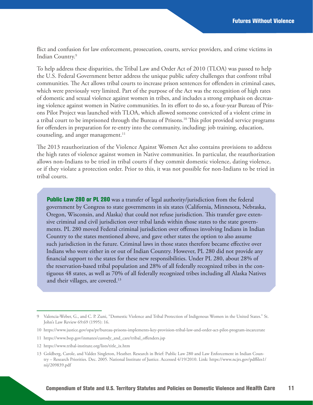flict and confusion for law enforcement, prosecution, courts, service providers, and crime victims in Indian Country.9

To help address these disparities, the Tribal Law and Order Act of 2010 (TLOA) was passed to help the U.S. Federal Government better address the unique public safety challenges that confront tribal communities. The Act allows tribal courts to increase prison sentences for offenders in criminal cases, which were previously very limited. Part of the purpose of the Act was the recognition of high rates of domestic and sexual violence against women in tribes, and includes a strong emphasis on decreasing violence against women in Native communities. In its effort to do so, a four-year Bureau of Prisons Pilot Project was launched with TLOA, which allowed someone convicted of a violent crime in a tribal court to be imprisoned through the Bureau of Prisons.<sup>10</sup> This pilot provided service programs for offenders in preparation for re-entry into the community, including: job training, education, counseling, and anger management.<sup>11</sup>

The 2013 reauthorization of the Violence Against Women Act also contains provisions to address the high rates of violence against women in Native communities. In particular, the reauthorization allows non-Indians to be tried in tribal courts if they commit domestic violence, dating violence, or if they violate a protection order. Prior to this, it was not possible for non-Indians to be tried in tribal courts.

**Public Law 280 or PL 280** was a transfer of legal authority/jurisdiction from the federal government by Congress to state governments in six states (California, Minnesota, Nebraska, Oregon, Wisconsin, and Alaska) that could not refuse jurisdiction. This transfer gave extensive criminal and civil jurisdiction over tribal lands within those states to the state governments. PL 280 moved Federal criminal jurisdiction over offenses involving Indians in Indian Country to the states mentioned above, and gave other states the option to also assume such jurisdiction in the future. Criminal laws in those states therefore became effective over Indians who were either in or out of Indian Country. However, PL 280 did not provide any financial support to the states for these new responsibilities. Under PL 280, about 28% of the reservation-based tribal population and 28% of all federally recognized tribes in the contiguous 48 states, as well as 70% of all federally recognized tribes including all Alaska Natives and their villages, are covered.<sup>13</sup>

<sup>9</sup> Valencia-Weber, G., and C. P. Zuni, "Domestic Violence and Tribal Protection of Indigenous Women in the United States." St. John's Law Review 69:69 (1995): 16.

<sup>10</sup> <https://www.justice.gov/opa/pr/bureau-prisons-implements-key-provision-tribal-law-and-order-act-pilot-program-incarcerate>

<sup>11</sup> [https://www.bop.gov/inmates/custody\\_and\\_care/tribal\\_offenders.jsp](https://www.bop.gov/inmates/custody_and_care/tribal_offenders.jsp)

<sup>12</sup> [https://www.tribal-institute.org/lists/title\\_ix.htm](https://www.tribal-institute.org/lists/title_ix.htm)

<sup>13</sup> Goldberg, Carole, and Valdez Singleton, Heather. Research in Brief: Public Law 280 and Law Enforcement in Indian Country – Research Priorities. Dec. 2005. National Institute of Justice. Accessed 4/19/2010. Link: [https://www.ncjrs.gov/pdffiles1/](https://www.ncjrs.gov/pdffiles1/nij/209839.pdf) [nij/209839.pdf](https://www.ncjrs.gov/pdffiles1/nij/209839.pdf)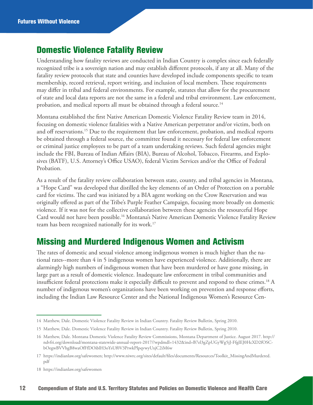### Domestic Violence Fatality Review

Understanding how fatality reviews are conducted in Indian Country is complex since each federally recognized tribe is a sovereign nation and may establish different protocols, if any at all. Many of the fatality review protocols that state and counties have developed include components specific to team membership, record retrieval, report writing, and inclusion of local members. These requirements may differ in tribal and federal environments. For example, statutes that allow for the procurement of state and local data reports are not the same in a federal and tribal environment. Law enforcement, probation, and medical reports all must be obtained through a federal source.<sup>14</sup>

Montana established the first Native American Domestic Violence Fatality Review team in 2014, focusing on domestic violence fatalities with a Native American perpetrator and/or victim, both on and off reservations.<sup>15</sup> Due to the requirement that law enforcement, probation, and medical reports be obtained through a federal source, the committee found it necessary for federal law enforcement or criminal justice employees to be part of a team undertaking reviews. Such federal agencies might include the FBI, Bureau of Indian Affairs (BIA), Bureau of Alcohol, Tobacco, Firearms, and Explosives (BATF), U.S. Attorney's Office USAO), federal Victim Services and/or the Office of Federal Probation.

As a result of the fatality review collaboration between state, county, and tribal agencies in Montana, a "Hope Card" was developed that distilled the key elements of an Order of Protection on a portable card for victims. The card was initiated by a BIA agent working on the Crow Reservation and was originally offered as part of the Tribe's Purple Feather Campaign, focusing more broadly on domestic violence. If it was not for the collective collaboration between these agencies the resourceful Hope Card would not have been possible.16 Montana's Native American Domestic Violence Fatality Review team has been recognized nationally for its work.<sup>17</sup>

## Missing and Murdered Indigenous Women and Activism

The rates of domestic and sexual violence among indigenous women is much higher than the national rates--more than 4 in 5 indigenous women have experienced violence. Additionally, there are alarmingly high numbers of indigenous women that have been murdered or have gone missing, in large part as a result of domestic violence. Inadequate law enforcement in tribal communities and insufficient federal protections make it especially difficult to prevent and respond to these crimes.18 A number of indigenous women's organizations have been working on prevention and response efforts, including the Indian Law Resource Center and the National Indigenous Women's Resource Cen-

<sup>14</sup> Matthew, Dale. Domestic Violence Fatality Review in Indian Country. Fatality Review Bulletin, Spring 2010.

<sup>15</sup> Matthew, Dale. Domestic Violence Fatality Review in Indian Country. Fatality Review Bulletin, Spring 2010.

<sup>16</sup> Matthew, Dale. Montana Domestic Violence Fatality Review Commissions, Montana Department of Justice. August 2017. [http://](http://ndvfri.org/download/montana) [ndvfri.org/download/montana-](http://ndvfri.org/download/montana)statewide-annual-report-2017/?wpdmdl=1432&ind=B7el3gZpUGyWg5jJ-FfgIEJ0HcXD2fOSCbOegwBVVhgB8waOfFfDOiblH3oYsUf0V3PrwkPIpqvwyUxjC2iM6w

<sup>17</sup> [https://indianlaw.org/safewomen;](https://indianlaw.org/safewomen) [http://www.niwrc.org/sites/default/files/documents/Resources/Toolkit\\_MissingAndMurdered.](http://www.niwrc.org/sites/default/files/documents/Resources/Toolkit_MissingAndMurdered.pdf) [pdf](http://www.niwrc.org/sites/default/files/documents/Resources/Toolkit_MissingAndMurdered.pdf) 

<sup>18</sup> <https://indianlaw.org/safewomen>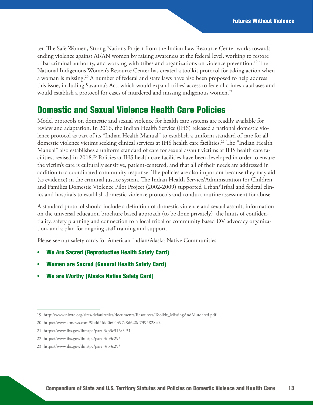ter. The Safe Women, Strong Nations Project from the Indian Law Resource Center works towards ending violence against AI/AN women by raising awareness at the federal level, working to restore tribal criminal authority, and working with tribes and organizations on violence prevention.19 The National Indigenous Women's Resource Center has created a toolkit protocol for taking action when a woman is missing.<sup>20</sup> A number of federal and state laws have also been proposed to help address this issue, including Savanna's Act, which would expand tribes' access to federal crimes databases and would establish a protocol for cases of murdered and missing indigenous women.<sup>21</sup>

## Domestic and Sexual Violence Health Care Policies

Model protocols on domestic and sexual violence for health care systems are readily available for review and adaptation. In 2016, the Indian Health Service (IHS) released a national domestic violence protocol as part of its "Indian Health Manual" to establish a uniform standard of care for all domestic violence victims seeking clinical services at IHS health care facilities.<sup>22</sup> The "Indian Health Manual" also establishes a uniform standard of care for sexual assault victims at IHS health care facilities, revised in 2018.23 Policies at IHS health care facilities have been developed in order to ensure the victim's care is culturally sensitive, patient-centered, and that all of their needs are addressed in addition to a coordinated community response. The policies are also important because they may aid (as evidence) in the criminal justice system. The Indian Health Service/Administration for Children and Families Domestic Violence Pilot Project (2002-2009) supported Urban/Tribal and federal clinics and hospitals to establish domestic violence protocols and conduct routine assessment for abuse.

A standard protocol should include a definition of domestic violence and sexual assault, information on the universal education brochure based approach (to be done privately), the limits of confidentiality, safety planning and connection to a local tribal or community based DV advocacy organization, and a plan for ongoing staff training and support.

Please see our safety cards for American Indian/Alaska Native Communities:

- **[We Are Sacred \(Reproductive Health Safety Card\)](http://www.futureswithoutviolence.org/we-are-sacred-american-indianalaska-native-reproductive-health-safety-card/)**
- **[Women are Sacred \(General Health Safety Card\)](http://www.futureswithoutviolence.org/women-are-sacred-american-indianalaska-native-safety-card/)**
- [We are Worthy \(Alaska Native Safety Card\)](http://www.futureswithoutviolence.org/we-are-worthy-alaska-safety-card/)

<sup>19</sup> [http://www.niwrc.org/sites/default/files/documents/Resources/Toolkit\\_MissingAndMurdered.pdf](http://www.niwrc.org/sites/default/files/documents/Resources/Toolkit_MissingAndMurdered.pdf)

<sup>20</sup> <https://www.apnews.com/9bdd5fdd0604497a8d628d7395828c0a>

<sup>21</sup> [https://www.ihs.gov/ihm/pc/part-3/p3c31/](https://www.ihs.gov/ihm/pc/part-3/p3c31)#3-31

<sup>22</sup> [https://www.ihs.gov/ihm/pc/part-3/p3c29/](https://www.ihs.gov/ihm/pc/part-3/p3c29)

<sup>23</sup> [https://www.ihs.gov/ihm/pc/part-3/p3c29/](https://www.ihs.gov/ihm/pc/part-3/p3c29)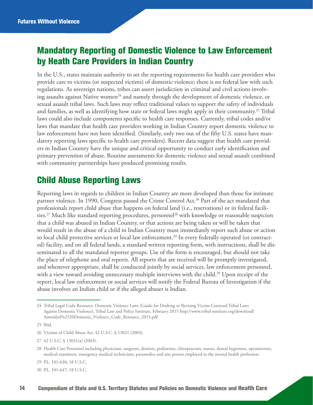## Mandatory Reporting of Domestic Violence to Law Enforcement by Heath Care Providers in Indian Country

In the U.S., states maintain authority to set the reporting requirements for health care providers who provide care to victims (or suspected victims) of domestic violence; there is no federal law with such regulations. As sovereign nations, tribes can assert jurisdiction in criminal and civil actions involving assaults against Native women<sup>24</sup> and namely through the development of domestic violence, or sexual assault tribal laws. Such laws may reflect traditional values to support the safety of individuals and families, as well as identifying how state or federal laws might apply in their community.<sup>25</sup> Tribal laws could also include components specific to health care responses. Currently, tribal codes and/or laws that mandate that health care providers working in Indian Country report domestic violence to law enforcement have not been identified. (Similarly, only two out of the fifty U.S. states have mandatory reporting laws specific to health care providers). Recent data suggest that health care providers in Indian Country have the unique and critical opportunity to conduct early identification and primary prevention of abuse. Routine assessments for domestic violence and sexual assault combined with community partnerships have produced promising results.

## Child Abuse Reporting Laws

Reporting laws in regards to children in Indian Country are more developed than those for intimate partner violence. In 1990, Congress passed the Crime Control Act.<sup>26</sup> Part of the act mandated that professionals report child abuse that happens on federal land (i.e., reservations) or in federal facilities.<sup>27</sup> Much like standard reporting procedures, personnel<sup>28</sup> with knowledge or reasonable suspicion that a child was abused in Indian Country, or that actions are being taken or will be taken that would result in the abuse of a child in Indian Country must immediately report such abuse or action to local child protective services or local law enforcement.<sup>29</sup> In every federally operated (or contracted) facility, and on all federal lands, a standard written reporting form, with instructions, shall be disseminated to all the mandated reporter groups. Use of the form is encouraged, but should not take the place of telephone and oral reports. All reports that are received will be promptly investigated, and whenever appropriate, shall be conducted jointly by social services, law enforcement personnel, with a view toward avoiding unnecessary multiple interviews with the child.<sup>30</sup> Upon receipt of the report, local law enforcement or social services will notify the Federal Bureau of Investigation if the abuse involves an Indian child or if the alleged abuser is Indian.

<sup>24</sup> Tribal Legal Code Resource: Domestic Violence Laws (Guide for Drafting or Revising Victim-Centered Tribal Laws Against Domestic Violence), Tribal Law and Policy Institute, February 2015 [http://www.tribal-institute.org/download/](http://www.tribal-institute.org/download/Amended) [Amended](http://www.tribal-institute.org/download/Amended)%[2520Domestic\\_Violence\\_Code\\_Resource\\_2015.pdf](2520Domestic_Violence_Code_Resource_2015.pdf) 

<sup>25</sup> Ibid.

<sup>26</sup> Victims of Child Abuse Act, 42 U.S.C. § 13021 (2003).

<sup>27</sup> 42 U.S.C. § 13031(a) (2003).

<sup>28</sup> Health Care Personnel including physicians, surgeons, dentists, podiatrists, chiropractors, nurses, dental hygienists, optometrists, medical examiners, emergency medical technicians, paramedics and any person employed in the mental health profession.

<sup>29</sup> P.L. 101-630; 18 U.S.C.

<sup>30</sup> P.L. 101-647; 18 U.S.C.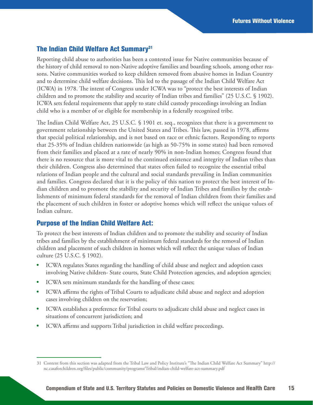#### The Indian Child Welfare Act Summary<sup>31</sup>

Reporting child abuse to authorities has been a contested issue for Native communities because of the history of child removal to non-Native adoptive families and boarding schools, among other reasons. Native communities worked to keep children removed from abusive homes in Indian Country and to determine child welfare decisions. This led to the passage of the Indian Child Welfare Act (ICWA) in 1978. The intent of Congress under ICWA was to "protect the best interests of Indian children and to promote the stability and security of Indian tribes and families" (25 U.S.C. § 1902). ICWA sets federal requirements that apply to state child custody proceedings involving an Indian child who is a member of or eligible for membership in a federally recognized tribe.

The Indian Child Welfare Act, 25 U.S.C. § 1901 et. seq., recognizes that there is a government to government relationship between the United States and Tribes. This law, passed in 1978, affirms that special political relationship, and is not based on race or ethnic factors. Responding to reports that 25-35% of Indian children nationwide (as high as 50-75% in some states) had been removed from their families and placed at a rate of nearly 90% in non-Indian homes; Congress found that there is no resource that is more vital to the continued existence and integrity of Indian tribes than their children. Congress also determined that states often failed to recognize the essential tribal relations of Indian people and the cultural and social standards prevailing in Indian communities and families. Congress declared that it is the policy of this nation to protect the best interest of Indian children and to promote the stability and security of Indian Tribes and families by the establishments of minimum federal standards for the removal of Indian children from their families and the placement of such children in foster or adoptive homes which will reflect the unique values of Indian culture.

#### Purpose of the Indian Child Welfare Act:

To protect the best interests of Indian children and to promote the stability and security of Indian tribes and families by the establishment of minimum federal standards for the removal of Indian children and placement of such children in homes which will reflect the unique values of Indian culture (25 U.S.C. § 1902).

- ICWA regulates States regarding the handling of child abuse and neglect and adoption cases involving Native children- State courts, State Child Protection agencies, and adoption agencies;
- ICWA sets minimum standards for the handling of these cases;
- ICWA affirms the rights of Tribal Courts to adjudicate child abuse and neglect and adoption cases involving children on the reservation;
- ICWA establishes a preference for Tribal courts to adjudicate child abuse and neglect cases in situations of concurrent jurisdiction; and
- ICWA affirms and supports Tribal jurisdiction in child welfare proceedings.

<sup>31</sup> Content from this section was adapted from the Tribal Law and Policy Institute's "The Indian Child Welfare Act Summary" [http://](http://nc.casaforchildren.org/files/public/community/programs/Tribal/indian-child-welfare-act-summary.pdf) [nc.casaforchildren.org/files/public/community/programs/Tribal/indian-child-welfare-act-summary.pdf](http://nc.casaforchildren.org/files/public/community/programs/Tribal/indian-child-welfare-act-summary.pdf)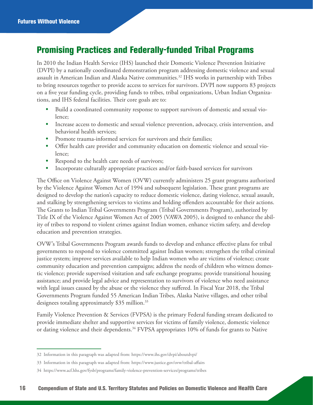## Promising Practices and Federally-funded Tribal Programs

In 2010 the Indian Health Service (IHS) launched their Domestic Violence Prevention Initiative (DVPI) by a nationally coordinated demonstration program addressing domestic violence and sexual assault in American Indian and Alaska Native communities.<sup>32</sup> IHS works in partnership with Tribes to bring resources together to provide access to services for survivors. DVPI now supports 83 projects on a five year funding cycle, providing funds to tribes, tribal organizations, Urban Indian Organizations, and IHS federal facilities. Their core goals are to:

- Build a coordinated community response to support survivors of domestic and sexual violence;
- Increase access to domestic and sexual violence prevention, advocacy, crisis intervention, and behavioral health services;
- Promote trauma-informed services for survivors and their families;
- Offer health care provider and community education on domestic violence and sexual violence;
- Respond to the health care needs of survivors;
- Incorporate culturally appropriate practices and/or faith-based services for survivors

The Office on Violence Against Women (OVW) currently administers 25 grant programs authorized by the Violence Against Women Act of 1994 and subsequent legislation. These grant programs are designed to develop the nation's capacity to reduce domestic violence, dating violence, sexual assault, and stalking by strengthening services to victims and holding offenders accountable for their actions. The Grants to Indian Tribal Governments Program (Tribal Governments Program), authorized by Title IX of the Violence Against Women Act of 2005 (VAWA 2005), is designed to enhance the ability of tribes to respond to violent crimes against Indian women, enhance victim safety, and develop education and prevention strategies.

OVW's Tribal Governments Program awards funds to develop and enhance effective plans for tribal governments to respond to violence committed against Indian women; strengthen the tribal criminal justice system; improve services available to help Indian women who are victims of violence; create community education and prevention campaigns; address the needs of children who witness domestic violence; provide supervised visitation and safe exchange programs; provide transitional housing assistance; and provide legal advice and representation to survivors of violence who need assistance with legal issues caused by the abuse or the violence they suffered. In Fiscal Year 2018, the Tribal Governments Program funded 55 American Indian Tribes, Alaska Native villages, and other tribal designees totaling approximately \$35 million.<sup>33</sup>

Family Violence Prevention & Services (FVPSA) is the primary Federal funding stream dedicated to provide immediate shelter and supportive services for victims of family violence, domestic violence or dating violence and their dependents.34 FVPSA appropriates 10% of funds for grants to Native

<sup>32</sup> Information in this paragraph was adapted from:<https://www.ihs.gov/dvpi/aboutdvpi>/

<sup>33</sup> Information in this paragraph was adapted from:<https://www.justice.gov/ovw/tribal>-affairs

<sup>34</sup> <https://www.acf.hhs.gov/fysb/programs/family-violence-prevention-services/programs/tribes>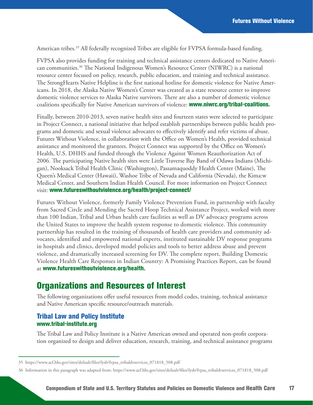American tribes.<sup>35</sup> All federally recognized Tribes are eligible for FVPSA formula-based funding.

FVPSA also provides funding for training and technical assistance centers dedicated to Native American communities.36 The National Indigenous Women's Resource Center (NIWRC) is a national resource center focused on policy, research, public education, and training and technical assistance. The StrongHearts Native Helpline is the first national hotline for domestic violence for Native Americans. In 2018, the Alaska Native Women's Center was created as a state resource center to improve domestic violence services to Alaska Native survivors. There are also a number of domestic violence coalitions specifically for Native American survivors of violence: <www.niwrc.org/tribal>-coalitions.

Finally, between 2010-2013, seven native health sites and fourteen states were selected to participate in Project Connect, a national initiative that helped establish partnerships between public health programs and domestic and sexual violence advocates to effectively identify and refer victims of abuse. Futures Without Violence, in collaboration with the Office on Women's Health, provided technical assistance and monitored the grantees. Project Connect was supported by the Office on Women's Health, U.S. DHHS and funded through the Violence Against Women Reauthorization Act of 2006. The participating Native health sites were Little Traverse Bay Band of Odawa Indians (Michigan), Nooksack Tribal Health Clinic (Washington), Passamaquoddy Health Center (Maine), The Queen's Medical Center (Hawaii), Washoe Tribe of Nevada and California (Nevada), the Kima:w Medical Center, and Southern Indian Health Council. For more information on Project Connect visit: [www.futureswithoutviolence.org/health/project-](https://www.futureswithoutviolence.org/health/project)connect/

Futures Without Violence, formerly Family Violence Prevention Fund, in partnership with faculty from Sacred Circle and Mending the Sacred Hoop Technical Assistance Project, worked with more than 100 Indian, Tribal and Urban health care facilities as well as DV advocacy programs across the United States to improve the health system response to domestic violence. This community partnership has resulted in the training of thousands of health care providers and community advocates, identified and empowered national experts, instituted sustainable DV response programs in hospitals and clinics, developed model policies and tools to better address abuse and prevent violence, and dramatically increased screening for DV. The complete report, Building Domestic Violence Health Care Responses in Indian Country: A Promising Practices Report, can be found at [www.futureswithoutviolence.org/health.](www.futureswithoutviolence.org/health)

## Organizations and Resources of Interest

The following organizations offer useful resources from model codes, training, technical assistance and Native American specific resource/outreach materials.

#### Tribal Law and Policy Institute [www.tribal-institute.org](http://www.tribal-institute.org/)

The Tribal Law and Policy Institute is a Native American owned and operated non-profit corporation organized to design and deliver education, research, training, and technical assistance programs

<sup>35</sup> [https://www.acf.hhs.gov/sites/default/files/fysb/fvpsa\\_tribaldvservices\\_071818\\_508.pdf](https://www.acf.hhs.gov/sites/default/files/fysb/fvpsa_tribaldvservices_071818_508.pdf)

<sup>36</sup> Information in this paragraph was adapted from: [https://www.acf.hhs.gov/sites/default/files/fysb/fvpsa\\_tribaldvservices\\_071818\\_508.pdf](https://www.acf.hhs.gov/sites/default/files/fysb/fvpsa_tribaldvservices_071818_508.pdf)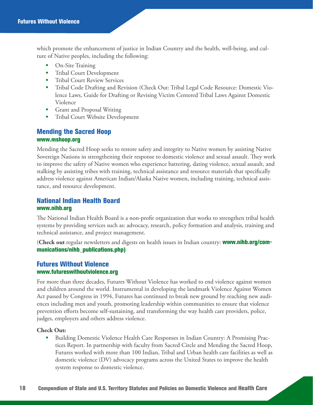which promote the enhancement of justice in Indian Country and the health, well-being, and culture of Native peoples, including the following:

- On-Site Training
- • Tribal Court Development
- Tribal Court Review Services
- • Tribal Code Drafting and Revision (Check Out: Tribal Legal Code Resource: Domestic Violence Laws, Guide for Drafting or Revising Victim Centered Tribal Laws Against Domestic Violence
- • Grant and Proposal Writing
- • Tribal Court Website Development

#### Mending the Sacred Hoop <www.mshoop.org>

Mending the Sacred Hoop seeks to restore safety and integrity to Native women by assisting Native Sovereign Nations in strengthening their response to domestic violence and sexual assault. They work to improve the safety of Native women who experience battering, dating violence, sexual assault, and stalking by assisting tribes with training, technical assistance and resource materials that specifically address violence against American Indian/Alaska Native women, including training, technical assistance, and resource development.

#### National Indian Health Board <www.nihb.org>

The National Indian Health Board is a non-profit organization that works to strengthen tribal health systems by providing services such as: advocacy, research, policy formation and analysis, training and technical assistance, and project management.

(**Check out** regular newsletters and digests on health issues in Indian country: [www.nihb.org/com](www.nihb.org/communications/nihb_publications.php)[munications/nihb\\_publications.php\)](www.nihb.org/communications/nihb_publications.php)

#### Futures Without Violence <www.futureswithoutviolence.org>

For more than three decades, Futures Without Violence has worked to end violence against women and children around the world. Instrumental in developing the landmark Violence Against Women Act passed by Congress in 1994, Futures has continued to break new ground by reaching new audiences including men and youth, promoting leadership within communities to ensure that violence prevention efforts become self-sustaining, and transforming the way health care providers, police, judges, employers and others address violence.

#### **Check Out:**

• Building Domestic Violence Health Care Responses in Indian Country: A Promising Practices Report. In partnership with faculty from Sacred Circle and Mending the Sacred Hoop, Futures worked with more than 100 Indian, Tribal and Urban health care facilities as well as domestic violence (DV) advocacy programs across the United States to improve the health system response to domestic violence.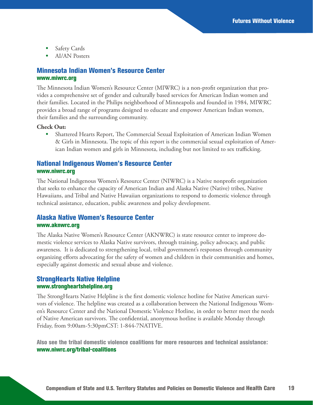- Safety Cards
- AI/AN Posters

#### Minnesota Indian Women's Resource Center <www.miwrc.org>

The Minnesota Indian Women's Resource Center (MIWRC) is a non-profit organization that provides a comprehensive set of gender and culturally based services for American Indian women and their families. Located in the Philips neighborhood of Minneapolis and founded in 1984, MIWRC provides a broad range of programs designed to educate and empower American Indian women, their families and the surrounding community.

#### **Check Out:**

• Shattered Hearts Report, The Commercial Sexual Exploitation of American Indian Women & Girls in Minnesota. The topic of this report is the commercial sexual exploitation of American Indian women and girls in Minnesota, including but not limited to sex trafficking.

#### National Indigenous Women's Resource Center <www.niwrc.org>

The National Indigenous Women's Resource Center (NIWRC) is a Native nonprofit organization that seeks to enhance the capacity of American Indian and Alaska Native (Native) tribes, Native Hawaiians, and Tribal and Native Hawaiian organizations to respond to domestic violence through technical assistance, education, public awareness and policy development.

#### Alaska Native Women's Resource Center <www.aknwrc.org>

The Alaska Native Women's Resource Center (AKNWRC) is state resource center to improve domestic violence services to Alaska Native survivors, through training, policy advocacy, and public awareness. It is dedicated to strengthening local, tribal government's responses through community organizing efforts advocating for the safety of women and children in their communities and homes, especially against domestic and sexual abuse and violence.

#### StrongHearts Native Helpline <www.strongheartshelpline.org>

The StrongHearts Native Helpline is the first domestic violence hotline for Native American survivors of violence. The helpline was created as a collaboration between the National Indigenous Women's Resource Center and the National Domestic Violence Hotline, in order to better meet the needs of Native American survivors. The confidential, anonymous hotline is available Monday through Friday, from 9:00am-5:30pmCST: 1-844-7NATIVE.

Also see the tribal domestic violence coalitions for more resources and technical assistance: <www.niwrc.org/tribal>-coalitions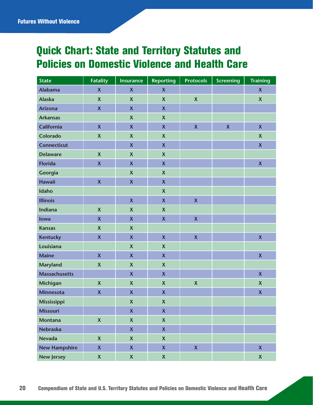## Quick Chart: State and Territory Statutes and Policies on Domestic Violence and Health Care

| <b>State</b>         | <b>Fatality</b>         | <b>Insurance</b>          | <b>Reporting</b>          | <b>Protocols</b>          | <b>Screening</b> | <b>Training</b>           |
|----------------------|-------------------------|---------------------------|---------------------------|---------------------------|------------------|---------------------------|
| <b>Alabama</b>       | $\mathsf{X}$            | $\boldsymbol{X}$          | $\mathbf{x}$              |                           |                  | $\boldsymbol{\mathsf{X}}$ |
| <b>Alaska</b>        | $\boldsymbol{X}$        | $\mathsf{X}$              | $\mathsf{X}$              | $\mathsf{X}$              |                  | $\boldsymbol{X}$          |
| <b>Arizona</b>       | $\mathsf{X}$            | $\overline{\mathsf{X}}$   | $\mathsf{X}$              |                           |                  |                           |
| <b>Arkansas</b>      |                         | $\mathsf{X}$              | $\mathsf{X}$              |                           |                  |                           |
| <b>California</b>    | $\mathbf x$             | $\pmb{\mathsf{X}}$        | $\mathsf{X}$              | $\boldsymbol{\mathsf{X}}$ | $\mathsf{X}$     | $\mathsf{X}$              |
| Colorado             | $\mathsf{X}$            | $\mathsf{X}$              | $\mathsf{X}$              |                           |                  | $\boldsymbol{X}$          |
| <b>Connecticut</b>   |                         | $\mathsf{X}$              | $\mathbf x$               |                           |                  | $\mathsf{X}$              |
| <b>Delaware</b>      | $\mathsf{X}$            | $\mathsf{X}$              | $\mathsf{X}$              |                           |                  |                           |
| <b>Florida</b>       | $\mathsf{X}$            | $\pmb{\mathsf{X}}$        | $\mathsf{X}$              |                           |                  | $\mathsf{X}$              |
| Georgia              |                         | $\boldsymbol{\mathsf{X}}$ | $\mathsf{X}$              |                           |                  |                           |
| <b>Hawaii</b>        | $\mathsf{X}$            | $\pmb{\mathsf{X}}$        | $\mathsf{X}$              |                           |                  |                           |
| Idaho                |                         |                           | $\mathsf{X}$              |                           |                  |                           |
| <b>Illinois</b>      |                         | $\boldsymbol{\mathsf{X}}$ | $\mathsf{X}$              | $\boldsymbol{\mathsf{X}}$ |                  |                           |
| Indiana              | $\mathsf{X}$            | $\mathsf{X}$              | $\mathsf{X}$              |                           |                  |                           |
| lowa                 | $\overline{\mathsf{X}}$ | $\pmb{\mathsf{X}}$        | $\mathsf{X}$              | $\boldsymbol{\mathsf{X}}$ |                  |                           |
| <b>Kansas</b>        | $\mathsf{X}$            | $\mathsf{X}$              |                           |                           |                  |                           |
| <b>Kentucky</b>      | $\mathsf{X}$            | $\pmb{\mathsf{X}}$        | $\mathbf{x}$              | $\boldsymbol{\mathsf{X}}$ |                  | $\mathsf{X}$              |
| Louisiana            |                         | $\mathsf{X}$              | $\mathsf{X}$              |                           |                  |                           |
| <b>Maine</b>         | $\mathsf{X}$            | $\pmb{\mathsf{X}}$        | $\mathsf{X}$              |                           |                  | $\mathsf{X}$              |
| <b>Maryland</b>      | $\boldsymbol{X}$        | $\mathsf{X}$              | $\mathsf{X}$              |                           |                  |                           |
| <b>Massachusetts</b> |                         | $\boldsymbol{\mathsf{X}}$ | $\mathbf{x}$              |                           |                  | $\mathsf{X}$              |
| <b>Michigan</b>      | $\mathsf{X}$            | $\mathsf{X}$              | $\mathsf{X}$              | $\boldsymbol{\mathsf{X}}$ |                  | $\boldsymbol{X}$          |
| Minnesota            | $\overline{\mathsf{X}}$ | $\boldsymbol{X}$          | $\boldsymbol{\mathsf{X}}$ |                           |                  | $\mathsf{X}$              |
| Mississippi          |                         | $\pmb{\mathsf{X}}$        | $\pmb{\mathsf{X}}$        |                           |                  |                           |
| <b>Missouri</b>      |                         | $\mathbf x$               | $\pmb{\mathsf{X}}$        |                           |                  |                           |
| <b>Montana</b>       | $\mathsf{X}$            | $\boldsymbol{\mathsf{X}}$ | $\pmb{\mathsf{X}}$        |                           |                  |                           |
| Nebraska             |                         | $\mathbf{x}$              | $\mathsf{X}$              |                           |                  |                           |
| <b>Nevada</b>        | $\mathsf{X}$            | $\pmb{\mathsf{X}}$        | $\pmb{\mathsf{X}}$        |                           |                  |                           |
| <b>New Hampshire</b> | $\mathsf{X}$            | $\mathbf{x}$              | $\mathsf{X}$              | $\mathbf{x}$              |                  | $\overline{\mathsf{X}}$   |
| <b>New Jersey</b>    | $\pmb{\mathsf{X}}$      | $\pmb{\mathsf{X}}$        | $\pmb{\mathsf{X}}$        |                           |                  | $\pmb{\mathsf{X}}$        |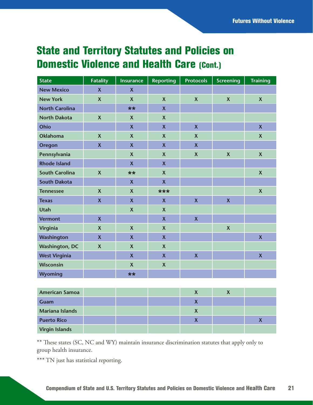## State and Territory Statutes and Policies on **Domestic Violence and Health Care (Cont.)**

| <b>State</b>          | <b>Fatality</b>         | <b>Insurance</b>        | <b>Reporting</b>          | <b>Protocols</b> | <b>Screening</b>        | <b>Training</b>           |
|-----------------------|-------------------------|-------------------------|---------------------------|------------------|-------------------------|---------------------------|
| <b>New Mexico</b>     | $\mathsf{X}$            | $\mathsf{X}$            |                           |                  |                         |                           |
| <b>New York</b>       | $\boldsymbol{X}$        | $\boldsymbol{X}$        | $\mathsf{x}$              | $\mathsf{x}$     | $\mathsf{X}$            | $\boldsymbol{\mathsf{X}}$ |
| <b>North Carolina</b> |                         | $***$                   | $\mathsf{x}$              |                  |                         |                           |
| <b>North Dakota</b>   | $\mathsf{X}$            | $\mathsf{X}$            | $\mathsf{x}$              |                  |                         |                           |
| Ohio                  |                         | $\mathsf{x}$            | $\overline{\mathsf{X}}$   | $\mathsf{x}$     |                         | $\overline{\mathsf{X}}$   |
| <b>Oklahoma</b>       | $\mathsf{x}$            | $\mathsf{X}$            | $\boldsymbol{X}$          | $\mathsf{X}$     |                         | $\boldsymbol{\mathsf{X}}$ |
| <b>Oregon</b>         | $\overline{\mathsf{X}}$ | $\mathsf{X}$            | $\mathsf{x}$              | $\mathsf{X}$     |                         |                           |
| Pennsylvania          |                         | $\mathsf{x}$            | $\mathsf{x}$              | $\mathsf{x}$     | $\overline{\mathsf{X}}$ | $\mathsf{X}$              |
| <b>Rhode Island</b>   |                         | $\mathsf{x}$            | $\boldsymbol{\mathsf{X}}$ |                  |                         |                           |
| <b>South Carolina</b> | $\mathsf{X}$            | $***$                   | $\mathsf{x}$              |                  |                         | $\mathsf{x}$              |
| <b>South Dakota</b>   |                         | $\overline{\mathsf{x}}$ | $\overline{\mathsf{x}}$   |                  |                         |                           |
| <b>Tennessee</b>      | $\mathsf{X}$            | $\mathsf{x}$            | ***                       |                  |                         | $\mathsf{X}$              |
| <b>Texas</b>          | $\mathsf{X}$            | $\mathsf{X}$            | $\mathsf{X}$              | $\mathsf{X}$     | $\boldsymbol{X}$        |                           |
| <b>Utah</b>           |                         | $\mathsf{X}$            | $\mathsf{X}$              |                  |                         |                           |
| <b>Vermont</b>        | $\mathsf{X}$            |                         | $\boldsymbol{X}$          | $\mathsf{x}$     |                         |                           |
| Virginia              | $\mathsf{X}$            | $\mathsf{X}$            | $\mathsf{x}$              |                  | $\mathsf{x}$            |                           |
| Washington            | $\overline{\mathsf{x}}$ | $\overline{\mathsf{X}}$ | $\mathsf{x}$              |                  |                         | $\boldsymbol{\mathsf{X}}$ |
| <b>Washington, DC</b> | $\mathsf{X}$            | $\mathsf{x}$            | $\boldsymbol{X}$          |                  |                         |                           |
| <b>West Virginia</b>  |                         | $\mathsf{X}$            | $\mathsf{x}$              | $\mathsf{X}$     |                         | $\boldsymbol{\mathsf{X}}$ |
| <b>Wisconsin</b>      |                         | $\boldsymbol{X}$        | $\pmb{\mathsf{X}}$        |                  |                         |                           |
| <b>Wyoming</b>        |                         | $***$                   |                           |                  |                         |                           |

| <b>American Samoa</b>  |  |  |  |
|------------------------|--|--|--|
| Guam                   |  |  |  |
| <b>Mariana Islands</b> |  |  |  |
| <b>Puerto Rico</b>     |  |  |  |
| <b>Virgin Islands</b>  |  |  |  |

\*\* These states (SC, NC and WY) maintain insurance discrimination statutes that apply only to group health insurance.

\*\*\* TN just has statistical reporting.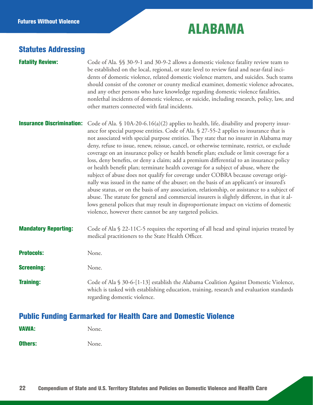## ALABAMA

## Statutes Addressing

| <b>Fatality Review:</b>          | Code of Ala. §§ 30-9-1 and 30-9-2 allows a domestic violence fatality review team to<br>be established on the local, regional, or state level to review fatal and near-fatal inci-<br>dents of domestic violence, related domestic violence matters, and suicides. Such teams<br>should consist of the coroner or county medical examiner, domestic violence advocates,<br>and any other persons who have knowledge regarding domestic violence fatalities,<br>nonlethal incidents of domestic violence, or suicide, including research, policy, law, and<br>other matters connected with fatal incidents.                                                                                                                                                                                                                                                                                                                                                                                                                                                                                                                                                                                                    |
|----------------------------------|---------------------------------------------------------------------------------------------------------------------------------------------------------------------------------------------------------------------------------------------------------------------------------------------------------------------------------------------------------------------------------------------------------------------------------------------------------------------------------------------------------------------------------------------------------------------------------------------------------------------------------------------------------------------------------------------------------------------------------------------------------------------------------------------------------------------------------------------------------------------------------------------------------------------------------------------------------------------------------------------------------------------------------------------------------------------------------------------------------------------------------------------------------------------------------------------------------------|
| <b>Insurance Discrimination:</b> | Code of Ala. $\frac{1}{2}$ 10A-20-6.16(a)(2) applies to health, life, disability and property insur-<br>ance for special purpose entities. Code of Ala. § 27-55-2 applies to insurance that is<br>not associated with special purpose entities. They state that no insurer in Alabama may<br>deny, refuse to issue, renew, reissue, cancel, or otherwise terminate, restrict, or exclude<br>coverage on an insurance policy or health benefit plan; exclude or limit coverage for a<br>loss, deny benefits, or deny a claim; add a premium differential to an insurance policy<br>or health benefit plan; terminate health coverage for a subject of abuse, where the<br>subject of abuse does not qualify for coverage under COBRA because coverage origi-<br>nally was issued in the name of the abuser; on the basis of an applicant's or insured's<br>abuse status, or on the basis of any association, relationship, or assistance to a subject of<br>abuse. The statute for general and commercial insurers is slightly different, in that it al-<br>lows general polices that may result in disproportionate impact on victims of domestic<br>violence, however there cannot be any targeted policies. |
| <b>Mandatory Reporting:</b>      | Code of Ala § 22-11C-5 requires the reporting of all head and spinal injuries treated by<br>medical practitioners to the State Health Officer.                                                                                                                                                                                                                                                                                                                                                                                                                                                                                                                                                                                                                                                                                                                                                                                                                                                                                                                                                                                                                                                                |
| <b>Protocols:</b>                | None.                                                                                                                                                                                                                                                                                                                                                                                                                                                                                                                                                                                                                                                                                                                                                                                                                                                                                                                                                                                                                                                                                                                                                                                                         |
| <b>Screening:</b>                | None.                                                                                                                                                                                                                                                                                                                                                                                                                                                                                                                                                                                                                                                                                                                                                                                                                                                                                                                                                                                                                                                                                                                                                                                                         |
| <b>Training:</b>                 | Code of Ala § 30-6-[1-13] establish the Alabama Coalition Against Domestic Violence,<br>which is tasked with establishing education, training, research and evaluation standards<br>regarding domestic violence.                                                                                                                                                                                                                                                                                                                                                                                                                                                                                                                                                                                                                                                                                                                                                                                                                                                                                                                                                                                              |
|                                  |                                                                                                                                                                                                                                                                                                                                                                                                                                                                                                                                                                                                                                                                                                                                                                                                                                                                                                                                                                                                                                                                                                                                                                                                               |

## Public Funding Earmarked for Health Care and Domestic Violence

Others: None.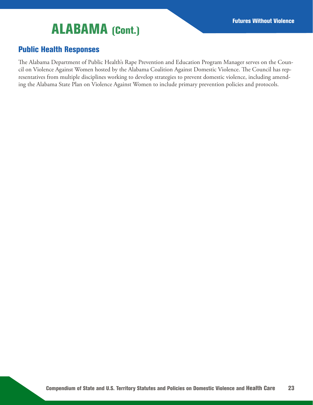## ALABAMA (Cont.)

### Public Health Responses

The Alabama Department of Public Health's Rape Prevention and Education Program Manager serves on the Council on Violence Against Women hosted by the Alabama Coalition Against Domestic Violence. The Council has representatives from multiple disciplines working to develop strategies to prevent domestic violence, including amending the Alabama State Plan on Violence Against Women to include primary prevention policies and protocols.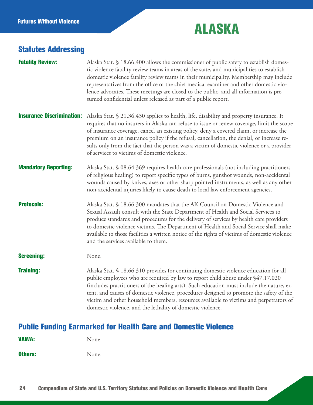

## Statutes Addressing

| <b>Fatality Review:</b>          | Alaska Stat. § 18.66.400 allows the commissioner of public safety to establish domes-<br>tic violence fatality review teams in areas of the state, and municipalities to establish<br>domestic violence fatality review teams in their municipality. Membership may include<br>representatives from the office of the chief medical examiner and other domestic vio-<br>lence advocates. These meetings are closed to the public, and all information is pre-<br>sumed confidential unless released as part of a public report. |
|----------------------------------|---------------------------------------------------------------------------------------------------------------------------------------------------------------------------------------------------------------------------------------------------------------------------------------------------------------------------------------------------------------------------------------------------------------------------------------------------------------------------------------------------------------------------------|
| <b>Insurance Discrimination:</b> | Alaska Stat. § 21.36.430 applies to health, life, disability and property insurance. It<br>requires that no insurers in Alaska can refuse to issue or renew coverage, limit the scope<br>of insurance coverage, cancel an existing policy, deny a covered claim, or increase the<br>premium on an insurance policy if the refusal, cancellation, the denial, or increase re-<br>sults only from the fact that the person was a victim of domestic violence or a provider<br>of services to victims of domestic violence.        |
| <b>Mandatory Reporting:</b>      | Alaska Stat. § 08.64.369 requires health care professionals (not including practitioners<br>of religious healing) to report specific types of burns, gunshot wounds, non-accidental<br>wounds caused by knives, axes or other sharp pointed instruments, as well as any other<br>non-accidental injuries likely to cause death to local law enforcement agencies.                                                                                                                                                               |
| <b>Protocols:</b>                | Alaska Stat. § 18.66.300 mandates that the AK Council on Domestic Violence and<br>Sexual Assault consult with the State Department of Health and Social Services to<br>produce standards and procedures for the delivery of services by health care providers<br>to domestic violence victims. The Department of Health and Social Service shall make<br>available to those facilities a written notice of the rights of victims of domestic violence<br>and the services available to them.                                    |
| <b>Screening:</b>                | None.                                                                                                                                                                                                                                                                                                                                                                                                                                                                                                                           |
| <b>Training:</b>                 | Alaska Stat. § 18.66.310 provides for continuing domestic violence education for all<br>public employees who are required by law to report child abuse under \$47.17.020<br>(includes practitioners of the healing arts). Such education must include the nature, ex-<br>tent, and causes of domestic violence, procedures designed to promote the safety of the<br>victim and other household members, resources available to victims and perpetrators of<br>domestic violence, and the lethality of domestic violence.        |

## Public Funding Earmarked for Health Care and Domestic Violence

VAWA: None.

Others: None.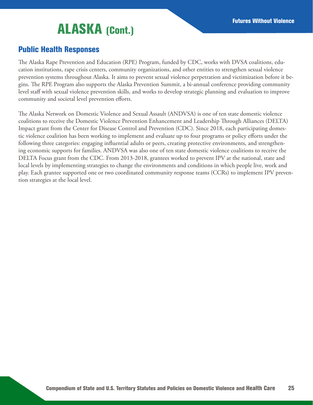## ALASKA (Cont.)

### Public Health Responses

The Alaska Rape Prevention and Education (RPE) Program, funded by CDC, works with DVSA coalitions, education institutions, rape crisis centers, community organizations, and other entities to strengthen sexual violence prevention systems throughout Alaska. It aims to prevent sexual violence perpetration and victimization before it begins. The RPE Program also supports the Alaska Prevention Summit, a bi-annual conference providing community level staff with sexual violence prevention skills, and works to develop strategic planning and evaluation to improve community and societal level prevention efforts.

The Alaska Network on Domestic Violence and Sexual Assault (ANDVSA) is one of ten state domestic violence coalitions to receive the Domestic Violence Prevention Enhancement and Leadership Through Alliances (DELTA) Impact grant from the Center for Disease Control and Prevention (CDC). Since 2018, each participating domestic violence coalition has been working to implement and evaluate up to four programs or policy efforts under the following three categories: engaging influential adults or peers, creating protective environments, and strengthening economic supports for families. ANDVSA was also one of ten state domestic violence coalitions to receive the DELTA Focus grant from the CDC. From 2013-2018, grantees worked to prevent IPV at the national, state and local levels by implementing strategies to change the environments and conditions in which people live, work and play. Each grantee supported one or two coordinated community response teams (CCRs) to implement IPV prevention strategies at the local level.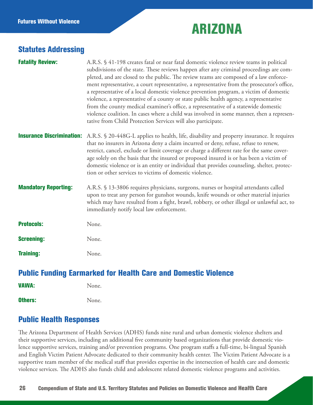## ARIZONA

### Statutes Addressing

| <b>Fatality Review:</b>          | A.R.S. § 41-198 creates fatal or near fatal domestic violence review teams in political<br>subdivisions of the state. These reviews happen after any criminal proceedings are com-<br>pleted, and are closed to the public. The review teams are composed of a law enforce-<br>ment representative, a court representative, a representative from the prosecutor's office,<br>a representative of a local domestic violence prevention program, a victim of domestic<br>violence, a representative of a county or state public health agency, a representative<br>from the county medical examiner's office, a representative of a statewide domestic<br>violence coalition. In cases where a child was involved in some manner, then a represen-<br>tative from Child Protection Services will also participate. |
|----------------------------------|-------------------------------------------------------------------------------------------------------------------------------------------------------------------------------------------------------------------------------------------------------------------------------------------------------------------------------------------------------------------------------------------------------------------------------------------------------------------------------------------------------------------------------------------------------------------------------------------------------------------------------------------------------------------------------------------------------------------------------------------------------------------------------------------------------------------|
| <b>Insurance Discrimination:</b> | A.R.S. § 20-448G-L applies to health, life, disability and property insurance. It requires<br>that no insurers in Arizona deny a claim incurred or deny, refuse, refuse to renew,<br>restrict, cancel, exclude or limit coverage or charge a different rate for the same cover-<br>age solely on the basis that the insured or proposed insured is or has been a victim of<br>domestic violence or is an entity or individual that provides counseling, shelter, protec-<br>tion or other services to victims of domestic violence.                                                                                                                                                                                                                                                                               |
| <b>Mandatory Reporting:</b>      | A.R.S. § 13-3806 requires physicians, surgeons, nurses or hospital attendants called<br>upon to treat any person for gunshot wounds, knife wounds or other material injuries<br>which may have resulted from a fight, brawl, robbery, or other illegal or unlawful act, to<br>immediately notify local law enforcement.                                                                                                                                                                                                                                                                                                                                                                                                                                                                                           |
| <b>Protocols:</b>                | None.                                                                                                                                                                                                                                                                                                                                                                                                                                                                                                                                                                                                                                                                                                                                                                                                             |
| <b>Screening:</b>                | None.                                                                                                                                                                                                                                                                                                                                                                                                                                                                                                                                                                                                                                                                                                                                                                                                             |
| <b>Training:</b>                 | None.                                                                                                                                                                                                                                                                                                                                                                                                                                                                                                                                                                                                                                                                                                                                                                                                             |

### Public Funding Earmarked for Health Care and Domestic Violence

| <b>VAWA:</b>   | None. |
|----------------|-------|
| <b>Others:</b> | None. |

### Public Health Responses

The Arizona Department of Health Services (ADHS) funds nine rural and urban domestic violence shelters and their supportive services, including an additional five community based organizations that provide domestic violence supportive services, training and/or prevention programs. One program staffs a full-time, bi-lingual Spanish and English Victim Patient Advocate dedicated to their community health center. The Victim Patient Advocate is a supportive team member of the medical staff that provides expertise in the intersection of health care and domestic violence services. The ADHS also funds child and adolescent related domestic violence programs and activities.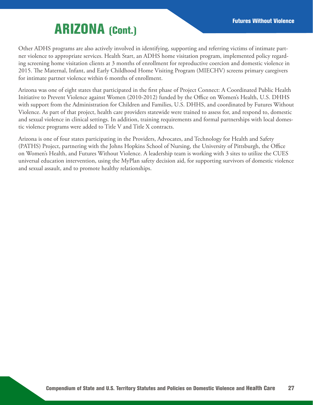## ARIZONA (Cont.)

Other ADHS programs are also actively involved in identifying, supporting and referring victims of intimate partner violence to appropriate services. Health Start, an ADHS home visitation program, implemented policy regarding screening home visitation clients at 3 months of enrollment for reproductive coercion and domestic violence in 2015. The Maternal, Infant, and Early Childhood Home Visiting Program (MIECHV) screens primary caregivers for intimate partner violence within 6 months of enrollment.

Arizona was one of eight states that participated in the first phase of Project Connect: A Coordinated Public Health Initiative to Prevent Violence against Women (2010-2012) funded by the Office on Women's Health, U.S. DHHS with support from the Administration for Children and Families, U.S. DHHS, and coordinated by Futures Without Violence. As part of that project, health care providers statewide were trained to assess for, and respond to, domestic and sexual violence in clinical settings. In addition, training requirements and formal partnerships with local domestic violence programs were added to Title V and Title X contracts.

Arizona is one of four states participating in the Providers, Advocates, and Technology for Health and Safety (PATHS) Project, partnering with the Johns Hopkins School of Nursing, the University of Pittsburgh, the Office on Women's Health, and Futures Without Violence. A leadership team is working with 3 sites to utilize the CUES universal education intervention, using the MyPlan safety decision aid, for supporting survivors of domestic violence and sexual assault, and to promote healthy relationships.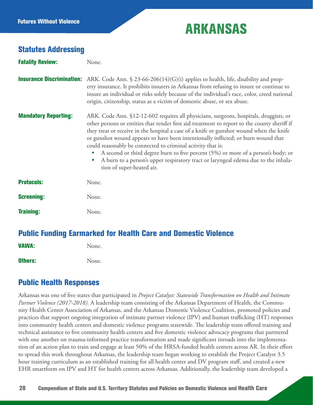## ARKANSAS

### Statutes Addressing

| <b>Fatality Review:</b>     | None.                                                                                                                                                                                                                                                                                                                                                                                                                                                                                                                                                                                                                                                     |
|-----------------------------|-----------------------------------------------------------------------------------------------------------------------------------------------------------------------------------------------------------------------------------------------------------------------------------------------------------------------------------------------------------------------------------------------------------------------------------------------------------------------------------------------------------------------------------------------------------------------------------------------------------------------------------------------------------|
|                             | <b>Insurance Discrimination:</b> ARK. Code Ann. $\$ 23-66-206(14)(G)(i)$ applies to health, life, disability and prop-<br>erty insurance. It prohibits insurers in Arkansas from refusing to insure or continue to<br>insure an individual or risks solely because of the individual's race, color, creed national<br>origin, citizenship, status as a victim of domestic abuse, or sex abuse.                                                                                                                                                                                                                                                            |
| <b>Mandatory Reporting:</b> | ARK. Code Ann. §12-12-602 requires all physicians, surgeons, hospitals, druggists, or<br>other persons or entities that render first aid treatment to report to the county sheriff if<br>they treat or receive in the hospital a case of a knife or gunshot wound when the knife<br>or gunshot wound appears to have been intentionally inflicted; or burn wound that<br>could reasonably be connected to criminal activity that is:<br>A second or third degree burn to five percent (5%) or more of a person's body; or<br>$\bullet$<br>A burn to a person's upper respiratory tract or laryngeal edema due to the inhala-<br>tion of super-heated air. |
| <b>Protocols:</b>           | None.                                                                                                                                                                                                                                                                                                                                                                                                                                                                                                                                                                                                                                                     |
| <b>Screening:</b>           | None.                                                                                                                                                                                                                                                                                                                                                                                                                                                                                                                                                                                                                                                     |
| <b>Training:</b>            | None.                                                                                                                                                                                                                                                                                                                                                                                                                                                                                                                                                                                                                                                     |

### Public Funding Earmarked for Health Care and Domestic Violence

| <b>VAWA:</b> | None. |
|--------------|-------|
| Others:      | None. |

### Public Health Responses

Arkansas was one of five states that participated in *Project Catalyst: Statewide Transformation on Health and Intimate Partner Violence (2017-2018).* A leadership team consisting of the Arkansas Department of Health, the Community Health Center Association of Arkansas, and the Arkansas Domestic Violence Coalition, promoted policies and practices that support ongoing integration of intimate partner violence (IPV) and human trafficking (HT) responses into community health centers and domestic violence programs statewide. The leadership team offered training and technical assistance to five community health centers and five domestic violence advocacy programs that partnered with one another on trauma-informed practice transformation and made significant inroads into the implementation of an action plan to train and engage at least 50% of the HRSA-funded health centers across AR. In their effort to spread this work throughout Arkansas, the leadership team began working to establish the Project Catalyst 3.5 hour training curriculum as an established training for all health center and DV program staff, and created a new EHR smartform on IPV and HT for health centers across Arkansas. Additionally, the leadership team developed a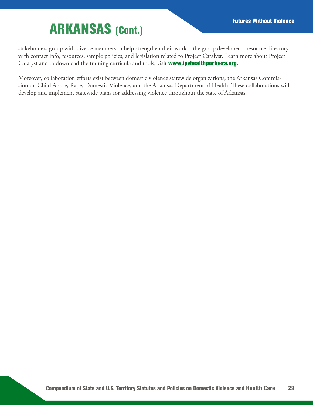## ARKANSAS (Cont.)

stakeholders group with diverse members to help strengthen their work—the group developed a resource directory with contact info, resources, sample policies, and legislation related to Project Catalyst. Learn more about Project Catalyst and to download the training curricula and tools, visit **<www.ipvhealthpartners.org>.** 

Moreover, collaboration efforts exist between domestic violence statewide organizations, the Arkansas Commission on Child Abuse, Rape, Domestic Violence, and the Arkansas Department of Health. These collaborations will develop and implement statewide plans for addressing violence throughout the state of Arkansas.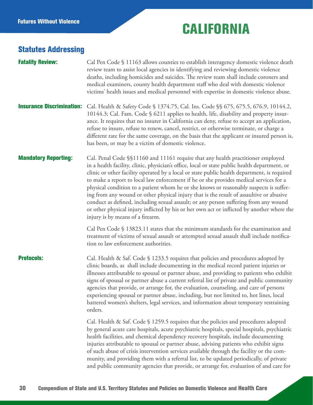# Futures Without Violence CALIFORNIA

## Statutes Addressing

| <b>Fatality Review:</b>          | Cal Pen Code § 11163 allows counties to establish interagency domestic violence death<br>review team to assist local agencies in identifying and reviewing domestic violence<br>deaths, including homicides and suicides. The review team shall include coroners and<br>medical examiners, county health department staff who deal with domestic violence<br>victims' health issues and medical personnel with expertise in domestic violence abuse.                                                                                                                                                                                                                                                                                                                                     |
|----------------------------------|------------------------------------------------------------------------------------------------------------------------------------------------------------------------------------------------------------------------------------------------------------------------------------------------------------------------------------------------------------------------------------------------------------------------------------------------------------------------------------------------------------------------------------------------------------------------------------------------------------------------------------------------------------------------------------------------------------------------------------------------------------------------------------------|
| <b>Insurance Discrimination:</b> | Cal. Health & Safety Code § 1374.75, Cal. Ins. Code § § 675, 675.5, 676.9, 10144.2,<br>10144.3; Cal. Fam. Code § 6211 applies to health, life, disability and property insur-<br>ance. It requires that no insurer in California can deny, refuse to accept an application,<br>refuse to insure, refuse to renew, cancel, restrict, or otherwise terminate, or charge a<br>different rate for the same coverage, on the basis that the applicant or insured person is,<br>has been, or may be a victim of domestic violence.                                                                                                                                                                                                                                                             |
| <b>Mandatory Reporting:</b>      | Cal. Penal Code §§11160 and 11161 require that any health practitioner employed<br>in a health facility, clinic, physician's office, local or state public health department, or<br>clinic or other facility operated by a local or state public health department, is required<br>to make a report to local law enforcement if he or she provides medical services for a<br>physical condition to a patient whom he or she knows or reasonably suspects is suffer-<br>ing from any wound or other physical injury that is the result of assaultive or abusive<br>conduct as defined, including sexual assault; or any person suffering from any wound<br>or other physical injury inflicted by his or her own act or inflicted by another where the<br>injury is by means of a firearm. |
|                                  | Cal Pen Code § 13823.11 states that the minimum standards for the examination and<br>treatment of victims of sexual assault or attempted sexual assault shall include notifica-<br>tion to law enforcement authorities.                                                                                                                                                                                                                                                                                                                                                                                                                                                                                                                                                                  |
| <b>Protocols:</b>                | Cal. Health & Saf. Code § 1233.5 requires that policies and procedures adopted by<br>clinic boards, as shall include documenting in the medical record patient injuries or<br>illnesses attributable to spousal or partner abuse, and providing to patients who exhibit<br>signs of spousal or partner abuse a current referral list of private and public community<br>agencies that provide, or arrange for, the evaluation, counseling, and care of persons<br>experiencing spousal or partner abuse, including, but not limited to, hot lines, local<br>battered women's shelters, legal services, and information about temporary restraining<br>orders.                                                                                                                            |
|                                  | Cal. Health & Saf. Code § 1259.5 requires that the policies and procedures adopted<br>by general acute care hospitals, acute psychiatric hospitals, special hospitals, psychiatric<br>health facilities, and chemical dependency recovery hospitals, include documenting<br>injuries attributable to spousal or partner abuse, advising patients who exhibit signs<br>of such abuse of crisis intervention services available through the facility or the com-<br>munity, and providing them with a referral list, to be updated periodically, of private<br>and public community agencies that provide, or arrange for, evaluation of and care for                                                                                                                                      |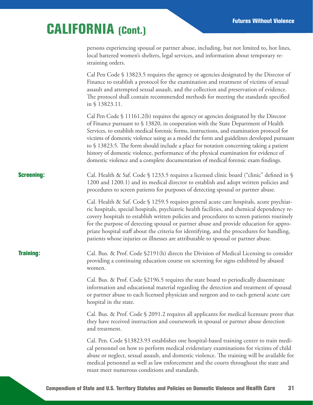### CALIFORNIA (Cont.)

|                   | persons experiencing spousal or partner abuse, including, but not limited to, hot lines,<br>local battered women's shelters, legal services, and information about temporary re-<br>straining orders.                                                                                                                                                                                                                                                                                                                                                                                                                                       |
|-------------------|---------------------------------------------------------------------------------------------------------------------------------------------------------------------------------------------------------------------------------------------------------------------------------------------------------------------------------------------------------------------------------------------------------------------------------------------------------------------------------------------------------------------------------------------------------------------------------------------------------------------------------------------|
|                   | Cal Pen Code § 13823.5 requires the agency or agencies designated by the Director of<br>Finance to establish a protocol for the examination and treatment of victims of sexual<br>assault and attempted sexual assault, and the collection and preservation of evidence.<br>The protocol shall contain recommended methods for meeting the standards specified<br>in § 13823.11.                                                                                                                                                                                                                                                            |
|                   | Cal Pen Code § 11161.2(b) requires the agency or agencies designated by the Director<br>of Finance pursuant to § 13820, in cooperation with the State Department of Health<br>Services, to establish medical forensic forms, instructions, and examination protocol for<br>victims of domestic violence using as a model the form and guidelines developed pursuant<br>to § 13823.5. The form should include a place for notation concerning taking a patient<br>history of domestic violence, performance of the physical examination for evidence of<br>domestic violence and a complete documentation of medical forensic exam findings. |
| <b>Screening:</b> | Cal. Health & Saf. Code § 1233.5 requires a licensed clinic board ("clinic" defined in §<br>1200 and 1200.1) and its medical director to establish and adopt written policies and<br>procedures to screen patients for purposes of detecting spousal or partner abuse.                                                                                                                                                                                                                                                                                                                                                                      |
|                   | Cal. Health & Saf. Code § 1259.5 requires general acute care hospitals, acute psychiat-<br>ric hospitals, special hospitals, psychiatric health facilities, and chemical dependency re-<br>covery hospitals to establish written policies and procedures to screen patients routinely<br>for the purpose of detecting spousal or partner abuse and provide education for appro-<br>priate hospital staff about the criteria for identifying, and the procedures for handling,<br>patients whose injuries or illnesses are attributable to spousal or partner abuse.                                                                         |
| <b>Training:</b>  | Cal. Bus. & Prof. Code \$2191(h) directs the Division of Medical Licensing to consider<br>providing a continuing education course on screening for signs exhibited by abused<br>women.                                                                                                                                                                                                                                                                                                                                                                                                                                                      |
|                   | Cal. Bus. & Prof. Code \$2196.5 requires the state board to periodically disseminate<br>information and educational material regarding the detection and treatment of spousal<br>or partner abuse to each licensed physician and surgeon and to each general acute care<br>hospital in the state.                                                                                                                                                                                                                                                                                                                                           |
|                   | Cal. Bus. & Prof. Code § 2091.2 requires all applicants for medical licensure prove that<br>they have received instruction and coursework in spousal or partner abuse detection<br>and treatment.                                                                                                                                                                                                                                                                                                                                                                                                                                           |
|                   | Cal. Pen. Code §13823.93 establishes one hospital-based training center to train medi-<br>cal personnel on how to perform medical evidentiary examinations for victims of child<br>abuse or neglect, sexual assault, and domestic violence. The training will be available for<br>medical personnel as well as law enforcement and the courts throughout the state and<br>must meet numerous conditions and standards.                                                                                                                                                                                                                      |
|                   |                                                                                                                                                                                                                                                                                                                                                                                                                                                                                                                                                                                                                                             |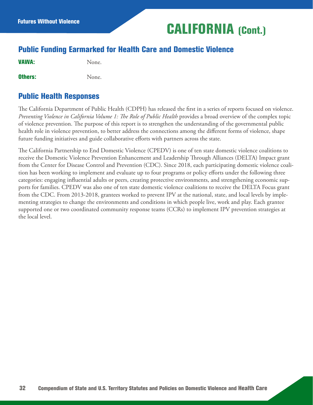# Futures Without Violence CALIFORNIA (Cont.)

### Public Funding Earmarked for Health Care and Domestic Violence

| <b>VAWA:</b>   | None. |
|----------------|-------|
| <b>Others:</b> | None. |

#### Public Health Responses

The California Department of Public Health (CDPH) has released the first in a series of reports focused on violence. *Preventing Violence in [California Volume 1: The Role of Public Health](https://www.cdph.ca.gov/Programs/CCDPHP/DCDIC/SACB/CDPH Document Library/Violence Prevention Initiative/Preventing Violence in California - The Role of Public Health.pdfolume 1: The Role of Public Health)* provides a broad overview of the complex topic of violence prevention. The purpose of this report is to strengthen the understanding of the governmental public health role in violence prevention, to better address the connections among the different forms of violence, shape future funding initiatives and guide collaborative efforts with partners across the state.

The California Partnership to End Domestic Violence (CPEDV) is one of ten state domestic violence coalitions to receive the Domestic Violence Prevention Enhancement and Leadership Through Alliances (DELTA) Impact grant from the Center for Disease Control and Prevention (CDC). Since 2018, each participating domestic violence coalition has been working to implement and evaluate up to four programs or policy efforts under the following three categories: engaging influential adults or peers, creating protective environments, and strengthening economic supports for families. CPEDV was also one of ten state domestic violence coalitions to receive the DELTA Focus grant from the CDC. From 2013-2018, grantees worked to prevent IPV at the national, state, and local levels by implementing strategies to change the environments and conditions in which people live, work and play. Each grantee supported one or two coordinated community response teams (CCRs) to implement IPV prevention strategies at the local level.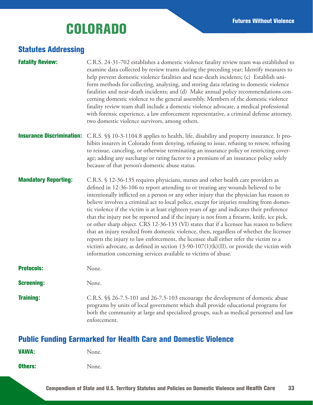## COLORADO

### Statutes Addressing

| <b>Fatality Review:</b>          | C.R.S. 24-31-702 establishes a domestic violence fatality review team was established to<br>examine data collected by review teams during the preceding year; Identify measures to<br>help prevent domestic violence fatalities and near-death incidents; (c) Establish uni-<br>form methods for collecting, analyzing, and storing data relating to domestic violence<br>fatalities and near-death incidents; and (d) Make annual policy recommendations con-<br>cerning domestic violence to the general assembly. Members of the domestic violence<br>fatality review team shall include a domestic violence advocate, a medical professional<br>with forensic experience, a law enforcement representative, a criminal defense attorney,<br>two domestic violence survivors, among others.                                                                                                                                                                                                                   |
|----------------------------------|------------------------------------------------------------------------------------------------------------------------------------------------------------------------------------------------------------------------------------------------------------------------------------------------------------------------------------------------------------------------------------------------------------------------------------------------------------------------------------------------------------------------------------------------------------------------------------------------------------------------------------------------------------------------------------------------------------------------------------------------------------------------------------------------------------------------------------------------------------------------------------------------------------------------------------------------------------------------------------------------------------------|
| <b>Insurance Discrimination:</b> | C.R.S. §§ 10-3-1104.8 applies to health, life, disability and property insurance. It pro-<br>hibits insurers in Colorado from denying, refusing to issue, refusing to renew, refusing<br>to reissue, canceling, or otherwise terminating an insurance policy or restricting cover-<br>age; adding any surcharge or rating factor to a premium of an insurance policy solely<br>because of that person's domestic abuse status.                                                                                                                                                                                                                                                                                                                                                                                                                                                                                                                                                                                   |
| <b>Mandatory Reporting:</b>      | C.R.S. § 12-36-135 requires physicians, nurses and other health care providers as<br>defined in 12-36-106 to report attending to or treating any wounds believed to be<br>intentionally inflicted on a person or any other injury that the physician has reason to<br>believe involves a criminal act to local police, except for injuries resulting from domes-<br>tic violence if the victim is at least eighteen years of age and indicates their preference<br>that the injury not be reported and if the injury is not from a firearm, knife, ice pick,<br>or other sharp object. CRS 12-36-135 (VI) states that if a licensee has reason to believe<br>that an injury resulted from domestic violence, then, regardless of whether the licensee<br>reports the injury to law enforcement, the licensee shall either refer the victim to a<br>victim's advocate, as defined in section $13-90-107(1)(k)(II)$ , or provide the victim with<br>information concerning services available to victims of abuse. |
| <b>Protocols:</b>                | None.                                                                                                                                                                                                                                                                                                                                                                                                                                                                                                                                                                                                                                                                                                                                                                                                                                                                                                                                                                                                            |
| <b>Screening:</b>                | None.                                                                                                                                                                                                                                                                                                                                                                                                                                                                                                                                                                                                                                                                                                                                                                                                                                                                                                                                                                                                            |
| <b>Training:</b>                 | C.R.S. § § 26-7.5-101 and 26-7.5-103 encourage the development of domestic abuse<br>programs by units of local government which shall provide educational programs for<br>both the community at large and specialized groups, such as medical personnel and law<br>enforcement.                                                                                                                                                                                                                                                                                                                                                                                                                                                                                                                                                                                                                                                                                                                                  |

### Public Funding Earmarked for Health Care and Domestic Violence

| <b>VAWA:</b> | None. |
|--------------|-------|
| Others:      | None. |

Compendium of State and U.S. Territory Statutes and Policies on Domestic Violence and Health Care 33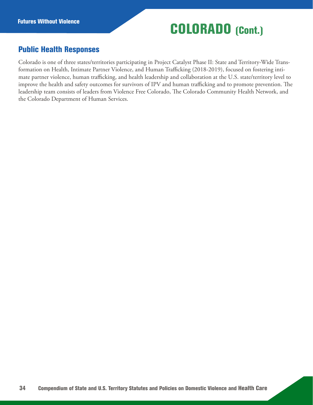### COLORADO (Cont.)

### Public Health Responses

Colorado is one of three states/territories participating in Project Catalyst Phase II: State and Territory-Wide Transformation on Health, Intimate Partner Violence, and Human Trafficking (2018-2019), focused on fostering intimate partner violence, human trafficking, and health leadership and collaboration at the U.S. state/territory level to improve the health and safety outcomes for survivors of IPV and human trafficking and to promote prevention. The leadership team consists of leaders from Violence Free Colorado, The Colorado Community Health Network, and the Colorado Department of Human Services.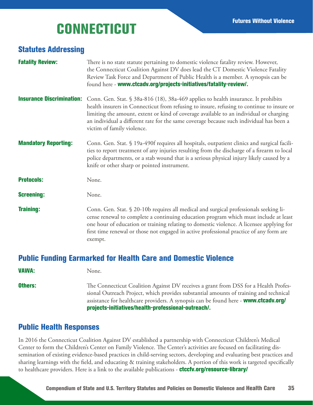## **CONNECTICUT**

#### Statutes Addressing

| <b>Fatality Review:</b>     | There is no state statute pertaining to domestic violence fatality review. However,<br>the Connecticut Coalition Against DV does lead the CT Domestic Violence Fatality<br>Review Task Force and Department of Public Health is a member. A synopsis can be<br>found here - www.ctcadv.org/projects-initiatives/fatality-review/.                                                                                                   |
|-----------------------------|-------------------------------------------------------------------------------------------------------------------------------------------------------------------------------------------------------------------------------------------------------------------------------------------------------------------------------------------------------------------------------------------------------------------------------------|
|                             | <b>Insurance Discrimination:</b> Conn. Gen. Stat. § 38a-816 (18), 38a-469 applies to health insurance. It prohibits<br>health insurers in Connecticut from refusing to insure, refusing to continue to insure or<br>limiting the amount, extent or kind of coverage available to an individual or charging<br>an individual a different rate for the same coverage because such individual has been a<br>victim of family violence. |
| <b>Mandatory Reporting:</b> | Conn. Gen. Stat. § 19a-490f requires all hospitals, outpatient clinics and surgical facili-<br>ties to report treatment of any injuries resulting from the discharge of a firearm to local<br>police departments, or a stab wound that is a serious physical injury likely caused by a<br>knife or other sharp or pointed instrument.                                                                                               |
| <b>Protocols:</b>           | None.                                                                                                                                                                                                                                                                                                                                                                                                                               |
| <b>Screening:</b>           | None.                                                                                                                                                                                                                                                                                                                                                                                                                               |
| <b>Training:</b>            | Conn. Gen. Stat. § 20-10b requires all medical and surgical professionals seeking li-<br>cense renewal to complete a continuing education program which must include at least<br>one hour of education or training relating to domestic violence. A licensee applying for<br>first time renewal or those not engaged in active professional practice of any form are<br>exempt.                                                     |

#### Public Funding Earmarked for Health Care and Domestic Violence

VAWA: None.

**Others:** The Connecticut Coalition Against DV receives a grant from DSS for a Health Professional Outreach Project, which provides substantial amounts of training and technical assistance for healthcare providers. A synopsis can be found here - [www.ctcadv.org/](www.ctcadv.org/projects) [projects](www.ctcadv.org/projects)-initiatives/health-professional-outreach/.

### Public Health Responses

In 2016 the Connecticut Coalition Against DV established a partnership with Connecticut Children's Medical Center to form the Children's Center on Family Violence. The Center's activities are focused on facilitating dissemination of existing evidence-based practices in child-serving sectors, developing and evaluating best practices and sharing learnings with the field, and educating & training stakeholders. A portion of this work is targeted specifically to healthcare providers. Here is a link to the available publications - **<ctccfv.org/resource>-library/**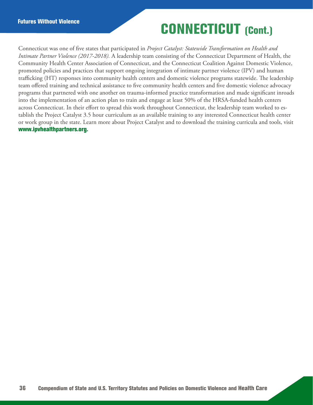### CONNECTICUT (Cont.)

Connecticut was one of five states that participated in *[Project Catalyst: Statewide Transformation on Health and](https://www.futureswithoutviolence.org/health/project-catalyst-statewide-transformation-on-health-and-ipv/)  [Intimate Partner Violence \(2017-2018\).](https://www.futureswithoutviolence.org/health/project-catalyst-statewide-transformation-on-health-and-ipv/)* A leadership team consisting of the Connecticut Department of Health, the Community Health Center Association of Connecticut, and the Connecticut Coalition Against Domestic Violence, promoted policies and practices that support ongoing integration of intimate partner violence (IPV) and human trafficking (HT) responses into community health centers and domestic violence programs statewide. The leadership team offered training and technical assistance to five community health centers and five domestic violence advocacy programs that partnered with one another on trauma-informed practice transformation and made significant inroads into the implementation of an action plan to train and engage at least 50% of the HRSA-funded health centers across Connecticut. In their effort to spread this work throughout Connecticut, the leadership team worked to establish the Project Catalyst 3.5 hour curriculum as an available training to any interested Connecticut health center or work group in the state. Learn more about [Project Catalyst](https://www.futureswithoutviolence.org/health/project-catalyst-statewide-transformation-on-health-and-ipv/) and to download the training curricula and tools, visit [www.ipvhealthpartners.org.](www.ipvhealthpartners.org)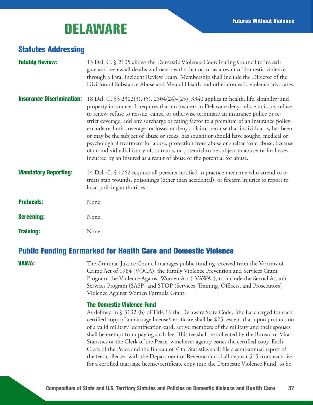## DELAWARE

### Statutes Addressing

| <b>Fatality Review:</b>          | 13 Del. C. § 2105 allows the Domestic Violence Coordinating Council to investi-<br>gate and review all deaths and near deaths that occur as a result of domestic violence<br>through a Fatal Incident Review Team. Membership shall include the Director of the<br>Division of Substance Abuse and Mental Health and other domestic violence advocates.                                                                                                                                                                                                                                                                                                                                                                                                                                                                                 |
|----------------------------------|-----------------------------------------------------------------------------------------------------------------------------------------------------------------------------------------------------------------------------------------------------------------------------------------------------------------------------------------------------------------------------------------------------------------------------------------------------------------------------------------------------------------------------------------------------------------------------------------------------------------------------------------------------------------------------------------------------------------------------------------------------------------------------------------------------------------------------------------|
| <b>Insurance Discrimination:</b> | 18 Del. C. \$ 2302(3), (5), 2304(24)-(25), 3340 applies to health, life, disability and<br>property insurance. It requires that no insurers in Delaware deny, refuse to issue, refuse<br>to renew, refuse to reissue, cancel or otherwise terminate an insurance policy or re-<br>strict coverage; add any surcharge or rating factor to a premium of an insurance policy;<br>exclude or limit coverage for losses or deny a claim; because that individual is, has been<br>or may be the subject of abuse or seeks, has sought or should have sought, medical or<br>psychological treatment for abuse, protection from abuse or shelter from abuse; because<br>of an individual's history of, status as, or potential to be subject to abuse; or for losses<br>incurred by an insured as a result of abuse or the potential for abuse. |
| <b>Mandatory Reporting:</b>      | 24 Del. C. § 1762 requires all persons certified to practice medicine who attend to or<br>treats stab wounds, poisonings (other than accidental), or firearm injuries to report to<br>local policing authorities.                                                                                                                                                                                                                                                                                                                                                                                                                                                                                                                                                                                                                       |
| <b>Protocols:</b>                | None.                                                                                                                                                                                                                                                                                                                                                                                                                                                                                                                                                                                                                                                                                                                                                                                                                                   |
| <b>Screening:</b>                | None.                                                                                                                                                                                                                                                                                                                                                                                                                                                                                                                                                                                                                                                                                                                                                                                                                                   |
| <b>Training:</b>                 | None.                                                                                                                                                                                                                                                                                                                                                                                                                                                                                                                                                                                                                                                                                                                                                                                                                                   |

#### Public Funding Earmarked for Health Care and Domestic Violence

**VAWA:** The Criminal Justice Council manages public funding received from the Victims of Crime Act of 1984 (VOCA); the Family Violence Prevention and Services Grant Program; the Violence Against Women Act ("VAWA"), to include the Sexual Assault Services Program (SASP) and STOP (Services, Training, Officers, and Prosecutors) Violence Against Women Formula Grant.

#### The Domestic Violence Fund

As defined in § 3132 (b) of Title 16 the Delaware State Code, "the fee charged for each certified copy of a marriage license/certificate shall be \$25, except that upon production of a valid military identification card, active members of the military and their spouses shall be exempt from paying such fee. This fee shall be collected by the Bureau of Vital Statistics or the Clerk of the Peace, whichever agency issues the certified copy. Each Clerk of the Peace and the Bureau of Vital Statistics shall file a semi-annual report of the fees collected with the Department of Revenue and shall deposit \$15 from each fee for a certified marriage license/certificate copy into the Domestic Violence Fund, to be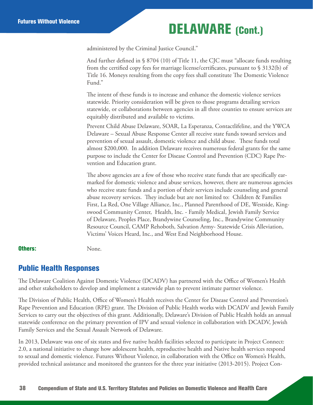### DELAWARE (Cont.)

administered by the Criminal Justice Council."

And further defined in § 8704 (10) of Title 11, the CJC must "allocate funds resulting from the certified copy fees for marriage license/certificates, pursuant to § 3132(b) of Title 16. Moneys resulting from the copy fees shall constitute The Domestic Violence Fund."

The intent of these funds is to increase and enhance the domestic violence services statewide. Priority consideration will be given to those programs detailing services statewide, or collaborations between agencies in all three counties to ensure services are equitably distributed and available to victims.

Prevent Child Abuse Delaware, SOAR, La Esperanza, Contactlifeline, and the YWCA Delaware – Sexual Abuse Response Center all receive state funds toward services and prevention of sexual assault, domestic violence and child abuse. These funds total almost \$200,000. In addition Delaware receives numerous federal grants for the same purpose to include the Center for Disease Control and Prevention (CDC) Rape Prevention and Education grant.

The above agencies are a few of those who receive state funds that are specifically earmarked for domestic violence and abuse services, however, there are numerous agencies who receive state funds and a portion of their services include counseling and general abuse recovery services. They include but are not limited to: Children & Families First, La Red, One Village Alliance, Inc., Planned Parenthood of DE, Westside, Kingswood Community Center, Health, Inc. - Family Medical, Jewish Family Service of Delaware, Peoples Place, Brandywine Counseling, Inc., Brandywine Community Resource Council, CAMP Rehoboth, Salvation Army- Statewide Crisis Alleviation, Victims' Voices Heard, Inc., and West End Neighborhood House.

#### **Others:** None.

#### Public Health Responses

The Delaware Coalition Against Domestic Violence (DCADV) has partnered with the Office of Women's Health and other stakeholders to develop and implement a statewide plan to prevent intimate partner violence.

The Division of Public Health, Office of Women's Health receives the Center for Disease Control and Prevention's Rape Prevention and Education (RPE) grant. The Division of Public Health works with DCADV and Jewish Family Services to carry out the objectives of this grant. Additionally, Delaware's Division of Public Health holds an annual statewide conference on the primary prevention of IPV and sexual violence in collaboration with DCADV, Jewish Family Services and the Sexual Assault Network of Delaware.

In 2013, Delaware was one of six states and five native health facilities selected to participate in Project Connect: 2.0, a national initiative to change how adolescent health, reproductive health and Native health services respond to sexual and domestic violence. Futures Without Violence, in collaboration with the Office on Women's Health, provided technical assistance and monitored the grantees for the three year initiative (2013-2015). Project Con-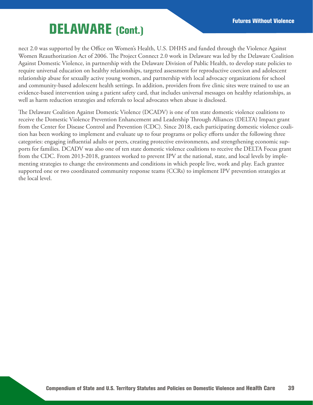### DELAWARE (Cont.)

nect 2.0 was supported by the Office on Women's Health, U.S. DHHS and funded through the Violence Against Women Reauthorization Act of 2006. The Project Connect 2.0 work in Delaware was led by the Delaware Coalition Against Domestic Violence, in partnership with the Delaware Division of Public Health, to develop state policies to require universal education on healthy relationships, targeted assessment for reproductive coercion and adolescent relationship abuse for sexually active young women, and partnership with local advocacy organizations for school and community-based adolescent health settings. In addition, providers from five clinic sites were trained to use an evidence-based intervention using a patient safety card, that includes universal messages on healthy relationships, as well as harm reduction strategies and referrals to local advocates when abuse is disclosed.

The Delaware Coalition Against Domestic Violence (DCADV) is one of ten state domestic violence coalitions to receive the Domestic Violence Prevention Enhancement and Leadership Through Alliances (DELTA) Impact grant from the Center for Disease Control and Prevention (CDC). Since 2018, each participating domestic violence coalition has been working to implement and evaluate up to four programs or policy efforts under the following three categories: engaging influential adults or peers, creating protective environments, and strengthening economic supports for families. DCADV was also one of ten state domestic violence coalitions to receive the DELTA Focus grant from the CDC. From 2013-2018, grantees worked to prevent IPV at the national, state, and local levels by implementing strategies to change the environments and conditions in which people live, work and play. Each grantee supported one or two coordinated community response teams (CCRs) to implement IPV prevention strategies at the local level.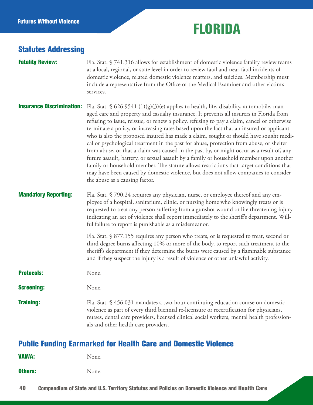

| <b>Fatality Review:</b>          | Fla. Stat. § 741.316 allows for establishment of domestic violence fatality review teams<br>at a local, regional, or state level in order to review fatal and near-fatal incidents of<br>domestic violence, related domestic violence matters, and suicides. Membership must<br>include a representative from the Office of the Medical Examiner and other victim's<br>services.                                                                                                                                                                                                                                                                                                                                                                                                                                                                                                                                                                                                 |
|----------------------------------|----------------------------------------------------------------------------------------------------------------------------------------------------------------------------------------------------------------------------------------------------------------------------------------------------------------------------------------------------------------------------------------------------------------------------------------------------------------------------------------------------------------------------------------------------------------------------------------------------------------------------------------------------------------------------------------------------------------------------------------------------------------------------------------------------------------------------------------------------------------------------------------------------------------------------------------------------------------------------------|
| <b>Insurance Discrimination:</b> | Fla. Stat. § $626.9541$ (1)(g)(3)(e) applies to health, life, disability, automobile, man-<br>aged care and property and casualty insurance. It prevents all insurers in Florida from<br>refusing to issue, reissue, or renew a policy, refusing to pay a claim, cancel or otherwise<br>terminate a policy, or increasing rates based upon the fact that an insured or applicant<br>who is also the proposed insured has made a claim, sought or should have sought medi-<br>cal or psychological treatment in the past for abuse, protection from abuse, or shelter<br>from abuse, or that a claim was caused in the past by, or might occur as a result of, any<br>future assault, battery, or sexual assault by a family or household member upon another<br>family or household member. The statute allows restrictions that target conditions that<br>may have been caused by domestic violence, but does not allow companies to consider<br>the abuse as a causing factor. |
| <b>Mandatory Reporting:</b>      | Fla. Stat. § 790.24 requires any physician, nurse, or employee thereof and any em-<br>ployee of a hospital, sanitarium, clinic, or nursing home who knowingly treats or is<br>requested to treat any person suffering from a gunshot wound or life threatening injury<br>indicating an act of violence shall report immediately to the sheriff's department. Will-<br>ful failure to report is punishable as a misdemeanor.                                                                                                                                                                                                                                                                                                                                                                                                                                                                                                                                                      |
|                                  | Fla. Stat. § 877.155 requires any person who treats, or is requested to treat, second or<br>third degree burns affecting 10% or more of the body, to report such treatment to the<br>sheriff's department if they determine the burns were caused by a flammable substance<br>and if they suspect the injury is a result of violence or other unlawful activity.                                                                                                                                                                                                                                                                                                                                                                                                                                                                                                                                                                                                                 |
| <b>Protocols:</b>                | None.                                                                                                                                                                                                                                                                                                                                                                                                                                                                                                                                                                                                                                                                                                                                                                                                                                                                                                                                                                            |
| <b>Screening:</b>                | None.                                                                                                                                                                                                                                                                                                                                                                                                                                                                                                                                                                                                                                                                                                                                                                                                                                                                                                                                                                            |
| <b>Training:</b>                 | Fla. Stat. § 456.031 mandates a two-hour continuing education course on domestic<br>violence as part of every third biennial re-licensure or recertification for physicians,<br>nurses, dental care providers, licensed clinical social workers, mental health profession-<br>als and other health care providers.                                                                                                                                                                                                                                                                                                                                                                                                                                                                                                                                                                                                                                                               |

### Public Funding Earmarked for Health Care and Domestic Violence

VAWA: None. Others: None.

40 Compendium of State and U.S. Territory Statutes and Policies on Domestic Violence and Health Care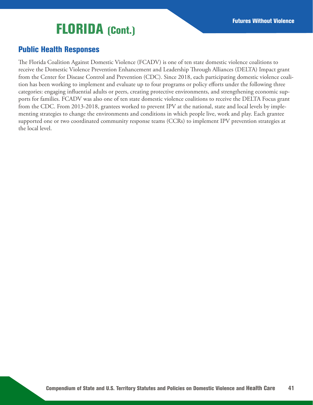### FLORIDA (Cont.)

#### Public Health Responses

The Florida Coalition Against Domestic Violence (FCADV) is one of ten state domestic violence coalitions to receive the Domestic Violence Prevention Enhancement and Leadership Through Alliances (DELTA) Impact grant from the Center for Disease Control and Prevention (CDC). Since 2018, each participating domestic violence coalition has been working to implement and evaluate up to four programs or policy efforts under the following three categories: engaging influential adults or peers, creating protective environments, and strengthening economic supports for families. FCADV was also one of ten state domestic violence coalitions to receive the DELTA Focus grant from the CDC. From 2013-2018, grantees worked to prevent IPV at the national, state and local levels by implementing strategies to change the environments and conditions in which people live, work and play. Each grantee supported one or two coordinated community response teams (CCRs) to implement IPV prevention strategies at the local level.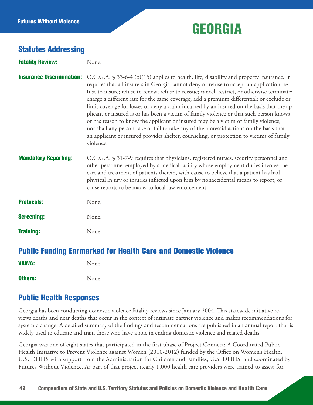

| <b>Fatality Review:</b>          | None.                                                                                                                                                                                                                                                                                                                                                                                                                                                                                                                                                                                                                                                                                                                                                                                                                                                                  |
|----------------------------------|------------------------------------------------------------------------------------------------------------------------------------------------------------------------------------------------------------------------------------------------------------------------------------------------------------------------------------------------------------------------------------------------------------------------------------------------------------------------------------------------------------------------------------------------------------------------------------------------------------------------------------------------------------------------------------------------------------------------------------------------------------------------------------------------------------------------------------------------------------------------|
| <b>Insurance Discrimination:</b> | O.C.G.A. § 33-6-4 (b)(15) applies to health, life, disability and property insurance. It<br>requires that all insurers in Georgia cannot deny or refuse to accept an application; re-<br>fuse to insure; refuse to renew; refuse to reissue; cancel, restrict, or otherwise terminate;<br>charge a different rate for the same coverage; add a premium differential; or exclude or<br>limit coverage for losses or deny a claim incurred by an insured on the basis that the ap-<br>plicant or insured is or has been a victim of family violence or that such person knows<br>or has reason to know the applicant or insured may be a victim of family violence;<br>nor shall any person take or fail to take any of the aforesaid actions on the basis that<br>an applicant or insured provides shelter, counseling, or protection to victims of family<br>violence. |
| <b>Mandatory Reporting:</b>      | O.C.G.A. § 31-7-9 requires that physicians, registered nurses, security personnel and<br>other personnel employed by a medical facility whose employment duties involve the<br>care and treatment of patients therein, with cause to believe that a patient has had<br>physical injury or injuries inflicted upon him by nonaccidental means to report, or<br>cause reports to be made, to local law enforcement.                                                                                                                                                                                                                                                                                                                                                                                                                                                      |
| <b>Protocols:</b>                | None.                                                                                                                                                                                                                                                                                                                                                                                                                                                                                                                                                                                                                                                                                                                                                                                                                                                                  |
| <b>Screening:</b>                | None.                                                                                                                                                                                                                                                                                                                                                                                                                                                                                                                                                                                                                                                                                                                                                                                                                                                                  |
| <b>Training:</b>                 | None.                                                                                                                                                                                                                                                                                                                                                                                                                                                                                                                                                                                                                                                                                                                                                                                                                                                                  |

### Public Funding Earmarked for Health Care and Domestic Violence

| <b>VAWA:</b> | None. |
|--------------|-------|
| Others:      | None  |

### Public Health Responses

Georgia has been conducting domestic violence fatality reviews since January 2004. This statewide initiative reviews deaths and near deaths that occur in the context of intimate partner violence and makes recommendations for systemic change. A detailed summary of the findings and recommendations are published in an annual report that is widely used to educate and train those who have a role in ending domestic violence and related deaths.

Georgia was one of eight states that participated in the first phase of Project Connect: A Coordinated Public Health Initiative to Prevent Violence against Women (2010-2012) funded by the Office on Women's Health, U.S. DHHS with support from the Administration for Children and Families, U.S. DHHS, and coordinated by Futures Without Violence. As part of that project nearly 1,000 health care providers were trained to assess for,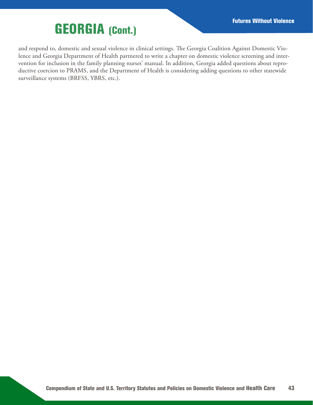### GEORGIA (Cont.)

and respond to, domestic and sexual violence in clinical settings. The Georgia Coalition Against Domestic Violence and Georgia Department of Health partnered to write a chapter on domestic violence screening and intervention for inclusion in the family planning nurses' manual. In addition, Georgia added questions about reproductive coercion to PRAMS, and the Department of Health is considering adding questions to other statewide surveillance systems (BRFSS, YBRS, etc.).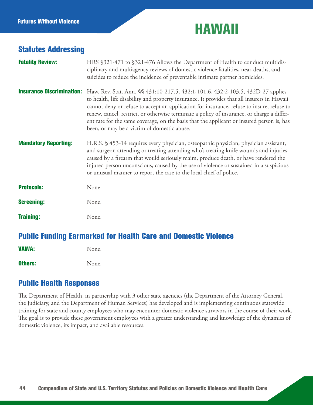

| <b>Fatality Review:</b>          | HRS §321-471 to §321-476 Allows the Department of Health to conduct multidis-<br>ciplinary and multiagency reviews of domestic violence fatalities, near-deaths, and<br>suicides to reduce the incidence of preventable intimate partner homicides.                                                                                                                                                                                                                                                                   |
|----------------------------------|-----------------------------------------------------------------------------------------------------------------------------------------------------------------------------------------------------------------------------------------------------------------------------------------------------------------------------------------------------------------------------------------------------------------------------------------------------------------------------------------------------------------------|
| <b>Insurance Discrimination:</b> | Haw. Rev. Stat. Ann. \$\$431:10-217.5, 432:1-101.6, 432:2-103.5, 432D-27 applies<br>to health, life disability and property insurance. It provides that all insurers in Hawaii<br>cannot deny or refuse to accept an application for insurance, refuse to insure, refuse to<br>renew, cancel, restrict, or otherwise terminate a policy of insurance, or charge a differ-<br>ent rate for the same coverage, on the basis that the applicant or insured person is, has<br>been, or may be a victim of domestic abuse. |
| <b>Mandatory Reporting:</b>      | H.R.S. § 453-14 requires every physician, osteopathic physician, physician assistant,<br>and surgeon attending or treating attending who's treating knife wounds and injuries<br>caused by a firearm that would seriously maim, produce death, or have rendered the<br>injured person unconscious, caused by the use of violence or sustained in a suspicious<br>or unusual manner to report the case to the local chief of police.                                                                                   |
| <b>Protocols:</b>                | None.                                                                                                                                                                                                                                                                                                                                                                                                                                                                                                                 |
| <b>Screening:</b>                | None.                                                                                                                                                                                                                                                                                                                                                                                                                                                                                                                 |
| <b>Training:</b>                 | None.                                                                                                                                                                                                                                                                                                                                                                                                                                                                                                                 |

#### Public Funding Earmarked for Health Care and Domestic Violence

| <b>VAWA:</b> | None. |
|--------------|-------|
| Others:      | None. |

### Public Health Responses

The Department of Health, in partnership with 3 other state agencies (the Department of the Attorney General, the Judiciary, and the Department of Human Services) has developed and is implementing continuous statewide training for state and county employees who may encounter domestic violence survivors in the course of their work. The goal is to provide these government employees with a greater understanding and knowledge of the dynamics of domestic violence, its impact, and available resources.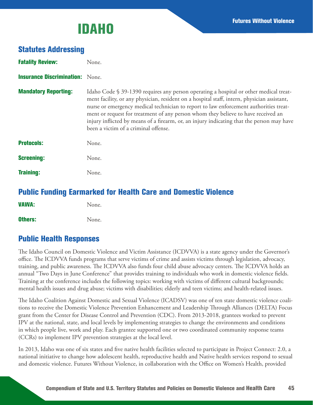| <b>Fatality Review:</b>                | None.                                                                                                                                                                                                                                                                                                                                                                                                                                                                                                   |
|----------------------------------------|---------------------------------------------------------------------------------------------------------------------------------------------------------------------------------------------------------------------------------------------------------------------------------------------------------------------------------------------------------------------------------------------------------------------------------------------------------------------------------------------------------|
| <b>Insurance Discrimination: None.</b> |                                                                                                                                                                                                                                                                                                                                                                                                                                                                                                         |
| <b>Mandatory Reporting:</b>            | Idaho Code § 39-1390 requires any person operating a hospital or other medical treat-<br>ment facility, or any physician, resident on a hospital staff, intern, physician assistant,<br>nurse or emergency medical technician to report to law enforcement authorities treat-<br>ment or request for treatment of any person whom they believe to have received an<br>injury inflicted by means of a firearm, or, an injury indicating that the person may have<br>been a victim of a criminal offense. |
| <b>Protocols:</b>                      | None.                                                                                                                                                                                                                                                                                                                                                                                                                                                                                                   |
| <b>Screening:</b>                      | None.                                                                                                                                                                                                                                                                                                                                                                                                                                                                                                   |
| <b>Training:</b>                       | None.                                                                                                                                                                                                                                                                                                                                                                                                                                                                                                   |

#### Public Funding Earmarked for Health Care and Domestic Violence

| <b>VAWA:</b>   | None. |
|----------------|-------|
| <b>Others:</b> | None. |

### Public Health Responses

The Idaho Council on Domestic Violence and Victim Assistance (ICDVVA) is a state agency under the Governor's office. The ICDVVA funds programs that serve victims of crime and assists victims through legislation, advocacy, training, and public awareness. The ICDVVA also funds four child abuse advocacy centers. The ICDVVA holds an annual "Two Days in June Conference" that provides training to individuals who work in domestic violence fields. Training at the conference includes the following topics: working with victims of different cultural backgrounds; mental health issues and drug abuse; victims with disabilities; elderly and teen victims; and health-related issues.

The Idaho Coalition Against Domestic and Sexual Violence (ICADSV) was one of ten state domestic violence coalitions to receive the Domestic Violence Prevention Enhancement and Leadership Through Alliances (DELTA) Focus grant from the Center for Disease Control and Prevention (CDC). From 2013-2018, grantees worked to prevent IPV at the national, state, and local levels by implementing strategies to change the environments and conditions in which people live, work and play. Each grantee supported one or two coordinated community response teams (CCRs) to implement IPV prevention strategies at the local level.

In 2013, Idaho was one of six states and five native health facilities selected to participate in Project Connect: 2.0, a national initiative to change how adolescent health, reproductive health and Native health services respond to sexual and domestic violence. Futures Without Violence, in collaboration with the Office on Women's Health, provided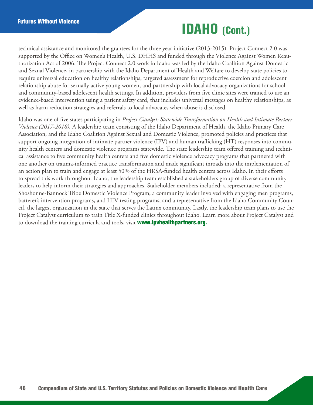# Futures Without Violence **IDAHO** (Cont.)

technical assistance and monitored the grantees for the three year initiative (2013-2015). Project Connect 2.0 was supported by the Office on Women's Health, U.S. DHHS and funded through the Violence Against Women Reauthorization Act of 2006. The Project Connect 2.0 work in Idaho was led by the Idaho Coalition Against Domestic and Sexual Violence, in partnership with the Idaho Department of Health and Welfare to develop state policies to require universal education on healthy relationships, targeted assessment for reproductive coercion and adolescent relationship abuse for sexually active young women, and partnership with local advocacy organizations for school and community-based adolescent health settings. In addition, providers from five clinic sites were trained to use an evidence-based intervention using a patient safety card, that includes universal messages on healthy relationships, as well as harm reduction strategies and referrals to local advocates when abuse is disclosed.

Idaho was one of five states participating in *[Project Catalyst: Statewide Transformation on Health and Intimate Partner](https://www.futureswithoutviolence.org/health/project-catalyst-statewide-transformation-on-health-and-ipv/)  [Violence \(2017-2018\).](https://www.futureswithoutviolence.org/health/project-catalyst-statewide-transformation-on-health-and-ipv/)* A leadership team consisting of the Idaho Department of Health, the Idaho Primary Care Association, and the Idaho Coalition Against Sexual and Domestic Violence, promoted policies and practices that support ongoing integration of intimate partner violence (IPV) and human trafficking (HT) responses into community health centers and domestic violence programs statewide. The state leadership team offered training and technical assistance to five community health centers and five domestic violence advocacy programs that partnered with one another on trauma-informed practice transformation and made significant inroads into the implementation of an action plan to train and engage at least 50% of the HRSA-funded health centers across Idaho. In their efforts to spread this work throughout Idaho, the leadership team established a stakeholders group of diverse community leaders to help inform their strategies and approaches. Stakeholder members included: a representative from the Shoshonne-Bannock Tribe Domestic Violence Program; a community leader involved with engaging men programs, batterer's intervention programs, and HIV testing programs; and a representative from the Idaho Community Council, the largest organization in the state that serves the Latinx community. Lastly, the leadership team plans to use the Project Catalyst curriculum to train Title X-funded clinics throughout Idaho. Learn more about Project Catalyst and to download the training curricula and tools, visit **<www.ipvhealthpartners.org>.**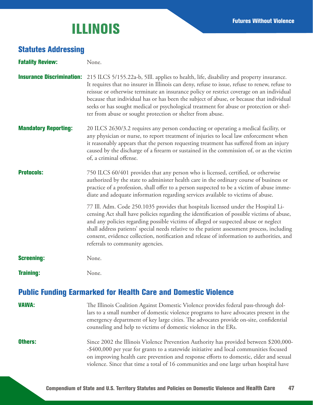

Fatality Review: None. **Insurance Discrimination:** 215 ILCS 5/155.22a-b, 5Ill. applies to health, life, disability and property insurance. It requires that no insurer in Illinois can deny, refuse to issue, refuse to renew, refuse to reissue or otherwise terminate an insurance policy or restrict coverage on an individual because that individual has or has been the subject of abuse, or because that individual seeks or has sought medical or psychological treatment for abuse or protection or shelter from abuse or sought protection or shelter from abuse[.](http://www.ilga.gov/legislation/ilcs/ilcs2.asp?ChapterID=22.) **Mandatory Reporting:** 20 ILCS 2630/3.2 requires any person conducting or operating a medical facility, or any physician or nurse, to report treatment of injuries to local law enforcement when it reasonably appears that the person requesting treatment has suffered from an injury caused by the discharge of a firearm or sustained in the commission of, or as the victim of, a criminal offense. **Protocols:** 750 ILCS 60/401 provides that any person who is licensed, certified, or otherwise authorized by the state to administer health care in the ordinary course of business or practice of a profession, shall offer to a person suspected to be a victim of abuse immediate and adequate information regarding services available to victims of abuse. 77 Ill. Adm. Code 250.1035 provides that hospitals licensed under the Hospital Licensing Act shall have policies regarding the identification of possible victims of abuse, and any policies regarding possible victims of alleged or suspected abuse or neglect shall address patients' special needs relative to the patient assessment process, including consent, evidence collection, notification and release of information to authorities, and referrals to community agencies. Screening: None. Training: None.

#### Public Funding Earmarked for Health Care and Domestic Violence

VAWA: The Illinois Coalition Against Domestic Violence provides federal pass-through dollars to a small number of domestic violence programs to have advocates present in the emergency department of key large cities. The advocates provide on-site, confidential counseling and help to victims of domestic violence in the ERs. **Others:** Since 2002 the Illinois Violence Prevention Authority has provided between \$200,000--\$400,000 per year for grants to a statewide initiative and local communities focused on improving health care prevention and response efforts to domestic, elder and sexual violence. Since that time a total of 16 communities and one large urban hospital have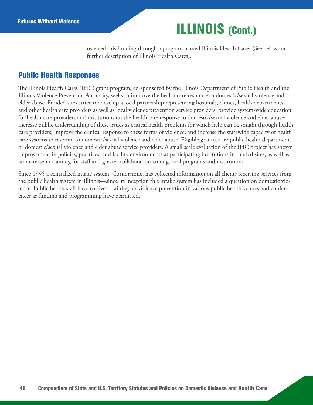### ILLINOIS (Cont.)

received this funding through a program named Illinois Health Cares (See below for further description of Illinois Health Cares).

### Public Health Responses

The Illinois Health Cares (IHC) grant program, co-sponsored by the Illinois Department of Public Health and the Illinois Violence Prevention Authority, seeks to improve the health care response to domestic/sexual violence and elder abuse. Funded sites strive to: develop a local partnership representing hospitals, clinics, health departments, and other health care providers as well as local violence prevention service providers; provide system-wide education for health care providers and institutions on the health care response to domestic/sexual violence and elder abuse; increase public understanding of these issues as critical health problems for which help can be sought through health care providers; improve the clinical response to these forms of violence; and increase the statewide capacity of health care systems to respond to domestic/sexual violence and elder abuse. Eligible grantees are public health departments or domestic/sexual violence and elder abuse service providers. A small scale evaluation of the IHC project has shown improvement in policies, practices, and facility environments at participating institutions in funded sites, as well as an increase in training for staff and greater collaboration among local programs and institutions.

Since 1995 a centralized intake system, Cornorstone, has collected information on all clients receiving services from the public health system in Illinois—since its inception this intake system has included a question on domestic violence. Public health staff have received training on violence prevention in various public health venues and conferences as funding and programming have permitted.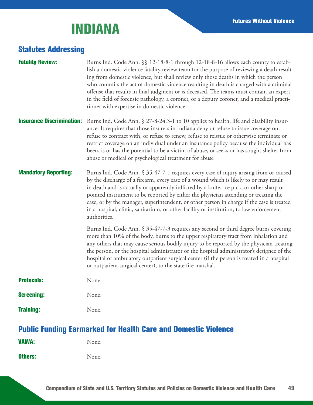

| <b>Fatality Review:</b>          | Burns Ind. Code Ann. § 12-18-8-1 through 12-18-8-16 allows each county to estab-<br>lish a domestic violence fatality review team for the purpose of reviewing a death result-<br>ing from domestic violence, but shall review only those deaths in which the person<br>who commits the act of domestic violence resulting in death is charged with a criminal<br>offense that results in final judgment or is deceased. The teams must contain an expert<br>in the field of forensic pathology, a coroner, or a deputy coroner, and a medical practi-<br>tioner with expertise in domestic violence. |
|----------------------------------|-------------------------------------------------------------------------------------------------------------------------------------------------------------------------------------------------------------------------------------------------------------------------------------------------------------------------------------------------------------------------------------------------------------------------------------------------------------------------------------------------------------------------------------------------------------------------------------------------------|
| <b>Insurance Discrimination:</b> | Burns Ind. Code Ann. § 27-8-24.3-1 to 10 applies to health, life and disability insur-<br>ance. It requires that those insurers in Indiana deny or refuse to issue coverage on,<br>refuse to contract with, or refuse to renew, refuse to reissue or otherwise terminate or<br>restrict coverage on an individual under an insurance policy because the individual has<br>been, is or has the potential to be a victim of abuse, or seeks or has sought shelter from<br>abuse or medical or psychological treatment for abuse                                                                         |
| <b>Mandatory Reporting:</b>      | Burns Ind. Code Ann. § 35-47-7-1 requires every case of injury arising from or caused<br>by the discharge of a firearm, every case of a wound which is likely to or may result<br>in death and is actually or apparently inflicted by a knife, ice pick, or other sharp or<br>pointed instrument to be reported by either the physician attending or treating the<br>case, or by the manager, superintendent, or other person in charge if the case is treated<br>in a hospital, clinic, sanitarium, or other facility or institution, to law enforcement<br>authorities.                             |
|                                  | Burns Ind. Code Ann. § 35-47-7-3 requires any second or third degree burns covering<br>more than 10% of the body, burns to the upper respiratory tract from inhalation and<br>any others that may cause serious bodily injury to be reported by the physician treating<br>the person, or the hospital administrator or the hospital administrator's designee of the<br>hospital or ambulatory outpatient surgical center (if the person is treated in a hospital<br>or outpatient surgical center), to the state fire marshal.                                                                        |
| <b>Protocols:</b>                | None.                                                                                                                                                                                                                                                                                                                                                                                                                                                                                                                                                                                                 |
| <b>Screening:</b>                | None.                                                                                                                                                                                                                                                                                                                                                                                                                                                                                                                                                                                                 |
| <b>Training:</b>                 | None.                                                                                                                                                                                                                                                                                                                                                                                                                                                                                                                                                                                                 |

### Public Funding Earmarked for Health Care and Domestic Violence

| <b>VAWA:</b> | None. |
|--------------|-------|
|              |       |

Others: None.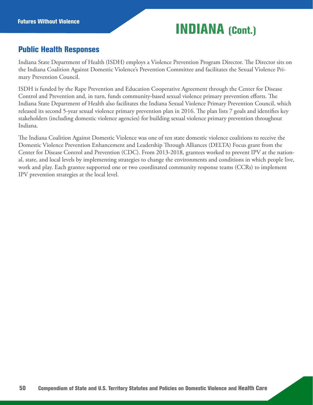### INDIANA (Cont.)

### Public Health Responses

Indiana State Department of Health (ISDH) employs a Violence Prevention Program Director. The Director sits on the Indiana Coalition Against Domestic Violence's Prevention Committee and facilitates the Sexual Violence Primary Prevention Council.

ISDH is funded by the Rape Prevention and Education Cooperative Agreement through the Center for Disease Control and Prevention and, in turn, funds community-based sexual violence primary prevention efforts. The Indiana State Department of Health also facilitates the Indiana Sexual Violence Primary Prevention Council, which released its second 5-year sexual violence primary prevention plan in 2016. The plan lists 7 goals and identifies key stakeholders (including domestic violence agencies) for building sexual violence primary prevention throughout Indiana.

The Indiana Coalition Against Domestic Violence was one of ten state domestic violence coalitions to receive the Domestic Violence Prevention Enhancement and Leadership Through Alliances (DELTA) Focus grant from the Center for Disease Control and Prevention (CDC). From 2013-2018, grantees worked to prevent IPV at the national, state, and local levels by implementing strategies to change the environments and conditions in which people live, work and play. Each grantee supported one or two coordinated community response teams (CCRs) to implement IPV prevention strategies at the local level.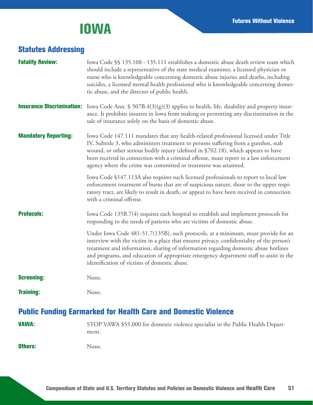

| <b>Fatality Review:</b>          | Iowa Code § 135.108 - 135.111 establishes a domestic abuse death review team which<br>should include a representative of the state medical examiner, a licensed physician or<br>nurse who is knowledgeable concerning domestic abuse injuries and deaths, including<br>suicides, a licensed mental health professional who is knowledgeable concerning domes-<br>tic abuse, and the director of public health.                |
|----------------------------------|-------------------------------------------------------------------------------------------------------------------------------------------------------------------------------------------------------------------------------------------------------------------------------------------------------------------------------------------------------------------------------------------------------------------------------|
| <b>Insurance Discrimination:</b> | Iowa Code Ann. § 507B.4(3)(g)(3) applies to health, life, disability and property insur-<br>ance. It prohibits insurers in Iowa from making or permitting any discrimination in the<br>sale of insurance solely on the basis of domestic abuse.                                                                                                                                                                               |
| <b>Mandatory Reporting:</b>      | Iowa Code 147.111 mandates that any health-related professional licensed under Title<br>IV, Subtitle 3, who administers treatment to persons suffering from a gunshot, stab<br>wound, or other serious bodily injury (defined in §702.18), which appears to have<br>been received in connection with a criminal offense, must report to a law enforcement<br>agency where the crime was committed or treatment was attainted. |
|                                  | Iowa Code §147.113A also requires such licensed professionals to report to local law<br>enforcement treatment of burns that are of suspicious nature, those to the upper respi-<br>ratory tract, are likely to result in death, or appear to have been received in connection<br>with a criminal offense.                                                                                                                     |
| <b>Protocols:</b>                | Iowa Code 135B.7(4) requires each hospital to establish and implement protocols for<br>responding to the needs of patients who are victims of domestic abuse.                                                                                                                                                                                                                                                                 |
|                                  | Under Iowa Code 481-51.7(135B), such protocols, at a minimum, must provide for an<br>interview with the victim in a place that ensures privacy, confidentiality of the person's<br>treatment and information, sharing of information regarding domestic abuse hotlines<br>and programs, and education of appropriate emergency department staff to assist in the<br>identification of victims of domestic abuse.              |
| <b>Screening:</b>                | None.                                                                                                                                                                                                                                                                                                                                                                                                                         |
| <b>Training:</b>                 | None.                                                                                                                                                                                                                                                                                                                                                                                                                         |
|                                  | <b>Public Funding Earmarked for Health Care and Domestic Violence</b>                                                                                                                                                                                                                                                                                                                                                         |
| <b>VAWA:</b>                     | STOP VAWA \$55,000 for domestic violence specialist in the Public Health Depart-<br>ment.                                                                                                                                                                                                                                                                                                                                     |

Others: None.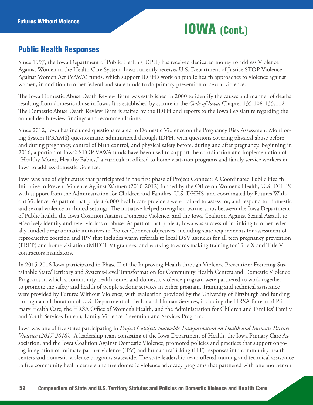# Futures Without Violence **IOWA** (Cont.)

### Public Health Responses

Since 1997, the Iowa Department of Public Health (IDPH) has received dedicated money to address Violence Against Women in the Health Care System. Iowa currently receives U.S. Department of Justice STOP Violence Against Women Act (VAWA) funds, which support IDPH's work on public health approaches to violence against women, in addition to other federal and state funds to do primary prevention of sexual violence.

The Iowa Domestic Abuse Death Review Team was established in 2000 to identify the causes and manner of deaths resulting from domestic abuse in Iowa. It is established by statute in the *Code of Iowa*, Chapter 135.108-135.112. The Domestic Abuse Death Review Team is staffed by the IDPH and reports to the Iowa Legislature regarding the annual death review findings and recommendations.

Since 2012, Iowa has included questions related to Domestic Violence on the Pregnancy Risk Assessment Monitoring System (PRAMS) questionnaire, administered through IDPH, with questions covering physical abuse before and during pregnancy, control of birth control, and physical safety before, during and after pregnancy. Beginning in 2016, a portion of Iowa's STOP VAWA funds have been used to support the coordination and implementation of "Healthy Moms, Healthy Babies," a curriculum offered to home visitation programs and family service workers in Iowa to address domestic violence.

Iowa was one of eight states that participated in the first phase of Project Connect: A Coordinated Public Health Initiative to Prevent Violence Against Women (2010-2012) funded by the Office on Women's Health, U.S. DHHS with support from the Administration for Children and Families, U.S. DHHS, and coordinated by Futures Without Violence. As part of that project 6,000 health care providers were trained to assess for, and respond to, domestic and sexual violence in clinical settings. The initiative helped strengthen partnerships between the Iowa Department of Public health, the Iowa Coalition Against Domestic Violence, and the Iowa Coalition Against Sexual Assault to effectively identify and refer victims of abuse. As part of that project, Iowa was successful in linking to other federally funded programmatic initiatives to Project Connect objectives, including state requirements for assessment of reproductive coercion and IPV that includes warm referrals to local DSV agencies for all teen pregnancy prevention (PREP) and home visitation (MIECHV) grantees, and working towards making training for Title X and Title V contractors mandatory.

In 2015-2016 Iowa participated in Phase II of the Improving Health through Violence Prevention: Fostering Sustainable State/Territory and Systems-Level Transformation for Community Health Centers and Domestic Violence Programs in which a community health center and domestic violence program were partnered to work together to promote the safety and health of people seeking services in either program. Training and technical assistance were provided by Futures Without Violence, with evaluation provided by the University of Pittsburgh and funding through a collaboration of U.S. Department of Health and Human Services, including the HRSA Bureau of Primary Health Care, the HRSA Office of Women's Health, and the Administration for Children and Families' Family and Youth Services Bureau, Family Violence Prevention and Services Program.

Iowa was one of five states participating in *[Project Catalyst: Statewide Transformation on Health and Intimate Partner](https://www.futureswithoutviolence.org/health/project-catalyst-statewide-transformation-on-health-and-ipv/)  [Violence \(2017-2018\).](https://www.futureswithoutviolence.org/health/project-catalyst-statewide-transformation-on-health-and-ipv/)* A leadership team consisting of the Iowa Department of Health, the Iowa Primary Care Association, and the Iowa Coalition Against Domestic Violence, promoted policies and practices that support ongoing integration of intimate partner violence (IPV) and human trafficking (HT) responses into community health centers and domestic violence programs statewide. The state leadership team offered training and technical assistance to five community health centers and five domestic violence advocacy programs that partnered with one another on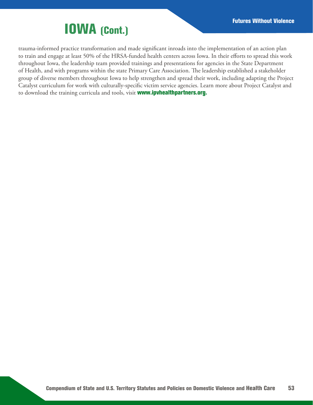trauma-informed practice transformation and made significant inroads into the implementation of an action plan to train and engage at least 50% of the HRSA-funded health centers across Iowa. In their efforts to spread this work throughout Iowa, the leadership team provided trainings and presentations for agencies in the State Department of Health, and with programs within the state Primary Care Association. The leadership established a stakeholder group of diverse members throughout Iowa to help strengthen and spread their work, including adapting the Project Catalyst curriculum for work with culturally-specific victim service agencies. Learn more about Project Catalyst and to download the training curricula and tools, visit <www.ipvhealthpartners.org>.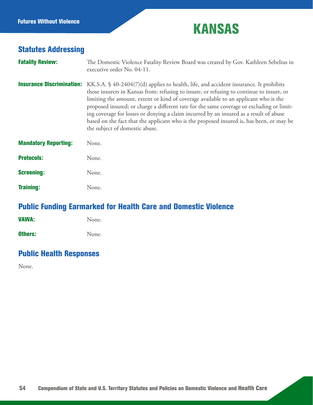

| <b>Fatality Review:</b>     | The Domestic Violence Fatality Review Board was created by Gov. Kathleen Sebelius in<br>executive order No. 04-11.                                                                                                                                                                                                                                                                                                                                                                                                                                                                                                                        |
|-----------------------------|-------------------------------------------------------------------------------------------------------------------------------------------------------------------------------------------------------------------------------------------------------------------------------------------------------------------------------------------------------------------------------------------------------------------------------------------------------------------------------------------------------------------------------------------------------------------------------------------------------------------------------------------|
|                             | <b>Insurance Discrimination:</b> KK.S.A. $\frac{6}{40-2404(7)(d)}$ applies to health, life, and accident insurance. It prohibits<br>those insurers in Kansas from: refusing to insure, or refusing to continue to insure, or<br>limiting the amount, extent or kind of coverage available to an applicant who is the<br>proposed insured; or charge a different rate for the same coverage or excluding or limit-<br>ing coverage for losses or denying a claim incurred by an insured as a result of abuse<br>based on the fact that the applicant who is the proposed insured is, has been, or may be<br>the subject of domestic abuse. |
| <b>Mandatory Reporting:</b> | None.                                                                                                                                                                                                                                                                                                                                                                                                                                                                                                                                                                                                                                     |
| <b>Protocols:</b>           | None.                                                                                                                                                                                                                                                                                                                                                                                                                                                                                                                                                                                                                                     |
| <b>Screening:</b>           | None.                                                                                                                                                                                                                                                                                                                                                                                                                                                                                                                                                                                                                                     |
| <b>Training:</b>            | None.                                                                                                                                                                                                                                                                                                                                                                                                                                                                                                                                                                                                                                     |

### Public Funding Earmarked for Health Care and Domestic Violence

| <b>VAWA:</b>   | None. |
|----------------|-------|
| <b>Others:</b> | None. |

### Public Health Responses

None.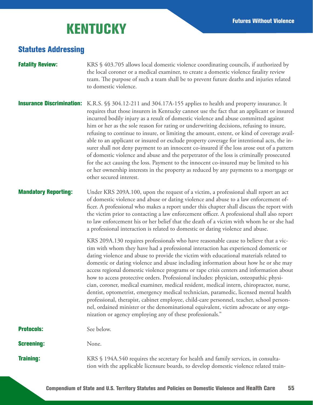### **KENTUCKY**

### Statutes Addressing

| <b>Fatality Review:</b>          | KRS § 403.705 allows local domestic violence coordinating councils, if authorized by<br>the local coroner or a medical examiner, to create a domestic violence fatality review<br>team. The purpose of such a team shall be to prevent future deaths and injuries related<br>to domestic violence.                                                                                                                                                                                                                                                                                                                                                                                                                                                                                                                                                                                                                                                                                   |
|----------------------------------|--------------------------------------------------------------------------------------------------------------------------------------------------------------------------------------------------------------------------------------------------------------------------------------------------------------------------------------------------------------------------------------------------------------------------------------------------------------------------------------------------------------------------------------------------------------------------------------------------------------------------------------------------------------------------------------------------------------------------------------------------------------------------------------------------------------------------------------------------------------------------------------------------------------------------------------------------------------------------------------|
| <b>Insurance Discrimination:</b> | K.R.S. §§ 304.12-211 and 304.17A-155 applies to health and property insurance. It<br>requires that those insurers in Kentucky cannot use the fact that an applicant or insured<br>incurred bodily injury as a result of domestic violence and abuse committed against<br>him or her as the sole reason for rating or underwriting decisions, refusing to insure,<br>refusing to continue to insure, or limiting the amount, extent, or kind of coverage avail-<br>able to an applicant or insured or exclude property coverage for intentional acts, the in-<br>surer shall not deny payment to an innocent co-insured if the loss arose out of a pattern<br>of domestic violence and abuse and the perpetrator of the loss is criminally prosecuted<br>for the act causing the loss. Payment to the innocent co-insured may be limited to his<br>or her ownership interests in the property as reduced by any payments to a mortgage or<br>other secured interest.                  |
| <b>Mandatory Reporting:</b>      | Under KRS 209A.100, upon the request of a victim, a professional shall report an act<br>of domestic violence and abuse or dating violence and abuse to a law enforcement of-<br>ficer. A professional who makes a report under this chapter shall discuss the report with<br>the victim prior to contacting a law enforcement officer. A professional shall also report<br>to law enforcement his or her belief that the death of a victim with whom he or she had<br>a professional interaction is related to domestic or dating violence and abuse.                                                                                                                                                                                                                                                                                                                                                                                                                                |
|                                  | KRS 209A.130 requires professionals who have reasonable cause to believe that a vic-<br>tim with whom they have had a professional interaction has experienced domestic or<br>dating violence and abuse to provide the victim with educational materials related to<br>domestic or dating violence and abuse including information about how he or she may<br>access regional domestic violence programs or rape crisis centers and information about<br>how to access protective orders. Professional includes: physician, osteopathic physi-<br>cian, coroner, medical examiner, medical resident, medical intern, chiropractor, nurse,<br>dentist, optometrist, emergency medical technician, paramedic, licensed mental health<br>professional, therapist, cabinet employee, child-care personnel, teacher, school person-<br>nel, ordained minister or the denominational equivalent, victim advocate or any orga-<br>nization or agency employing any of these professionals." |
| <b>Protocols:</b>                | See below.                                                                                                                                                                                                                                                                                                                                                                                                                                                                                                                                                                                                                                                                                                                                                                                                                                                                                                                                                                           |
| <b>Screening:</b>                | None.                                                                                                                                                                                                                                                                                                                                                                                                                                                                                                                                                                                                                                                                                                                                                                                                                                                                                                                                                                                |
| <b>Training:</b>                 | KRS § 194A.540 requires the secretary for health and family services, in consulta-<br>tion with the applicable licensure boards, to develop domestic violence related train-                                                                                                                                                                                                                                                                                                                                                                                                                                                                                                                                                                                                                                                                                                                                                                                                         |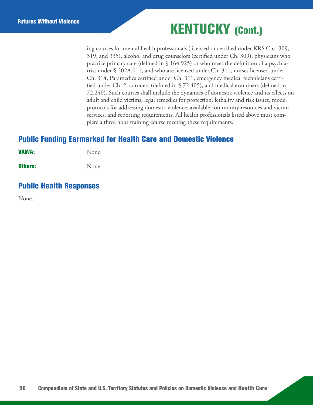### KENTUCKY (Cont.)

ing courses for mental health professionals (licensed or certified under KRS Chs. 309, 319, and 335), alcohol and drug counselors (certified under Ch. 309), physicians who practice primary care (defined in § 164.925) or who meet the definition of a psychiatrist under § 202A.011, and who are licensed under Ch. 311, nurses licensed under Ch. 314, Paramedics certified under Ch. 311, emergency medical technicians certified under Ch. 2, coroners (defined in § 72.405), and medical examiners (defined in 72.240). Such courses shall include the dynamics of domestic violence and its effects on adult and child victims, legal remedies for protection, lethality and risk issues, model protocols for addressing domestic violence, available community resources and victim services, and reporting requirements. All health professionals listed above must complete a three hour training course meeting these requirements.

### Public Funding Earmarked for Health Care and Domestic Violence

| <b>VAWA:</b> | None. |
|--------------|-------|
|              |       |

**Others:** None.

### Public Health Responses

None.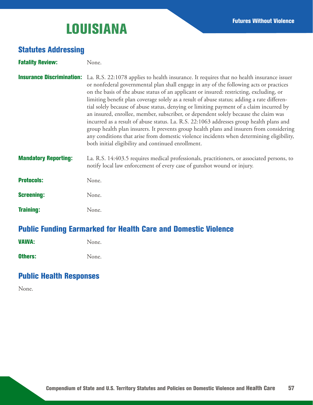### LOUISIANA

### Statutes Addressing

| <b>Fatality Review:</b>     | None.                                                                                                                                                                                                                                                                                                                                                                                                                                                                                                                                                                                                                                                                                                                                                                                                                                                                                                                                    |
|-----------------------------|------------------------------------------------------------------------------------------------------------------------------------------------------------------------------------------------------------------------------------------------------------------------------------------------------------------------------------------------------------------------------------------------------------------------------------------------------------------------------------------------------------------------------------------------------------------------------------------------------------------------------------------------------------------------------------------------------------------------------------------------------------------------------------------------------------------------------------------------------------------------------------------------------------------------------------------|
|                             | <b>Insurance Discrimination:</b> La. R.S. 22:1078 applies to health insurance. It requires that no health insurance issuer<br>or nonfederal governmental plan shall engage in any of the following acts or practices<br>on the basis of the abuse status of an applicant or insured: restricting, excluding, or<br>limiting benefit plan coverage solely as a result of abuse status; adding a rate differen-<br>tial solely because of abuse status, denying or limiting payment of a claim incurred by<br>an insured, enrollee, member, subscriber, or dependent solely because the claim was<br>incurred as a result of abuse status. La. R.S. 22:1063 addresses group health plans and<br>group health plan insurers. It prevents group health plans and insurers from considering<br>any conditions that arise from domestic violence incidents when determining eligibility,<br>both initial eligibility and continued enrollment. |
| <b>Mandatory Reporting:</b> | La. R.S. 14:403.5 requires medical professionals, practitioners, or associated persons, to<br>notify local law enforcement of every case of gunshot wound or injury.                                                                                                                                                                                                                                                                                                                                                                                                                                                                                                                                                                                                                                                                                                                                                                     |
| <b>Protocols:</b>           | None.                                                                                                                                                                                                                                                                                                                                                                                                                                                                                                                                                                                                                                                                                                                                                                                                                                                                                                                                    |
| <b>Screening:</b>           | None.                                                                                                                                                                                                                                                                                                                                                                                                                                                                                                                                                                                                                                                                                                                                                                                                                                                                                                                                    |
| <b>Training:</b>            | None.                                                                                                                                                                                                                                                                                                                                                                                                                                                                                                                                                                                                                                                                                                                                                                                                                                                                                                                                    |

### Public Funding Earmarked for Health Care and Domestic Violence

| <b>VAWA:</b> | None. |
|--------------|-------|
|              |       |

Others: None.

### Public Health Responses

None.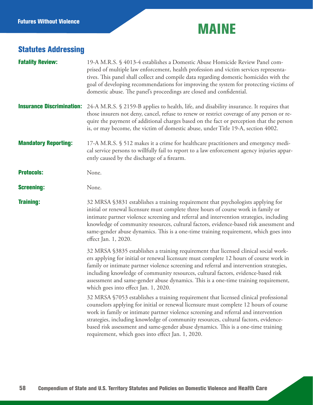

| <b>Fatality Review:</b>          | 19-A M.R.S. § 4013-4 establishes a Domestic Abuse Homicide Review Panel com-<br>prised of multiple law enforcement, health profession and victim services representa-<br>tives. This panel shall collect and compile data regarding domestic homicides with the<br>goal of developing recommendations for improving the system for protecting victims of<br>domestic abuse. The panel's proceedings are closed and confidential.                                                                       |
|----------------------------------|--------------------------------------------------------------------------------------------------------------------------------------------------------------------------------------------------------------------------------------------------------------------------------------------------------------------------------------------------------------------------------------------------------------------------------------------------------------------------------------------------------|
| <b>Insurance Discrimination:</b> | 24-A M.R.S. § 2159-B applies to health, life, and disability insurance. It requires that<br>those insurers not deny, cancel, refuse to renew or restrict coverage of any person or re-<br>quire the payment of additional charges based on the fact or perception that the person<br>is, or may become, the victim of domestic abuse, under Title 19-A, section 4002.                                                                                                                                  |
| <b>Mandatory Reporting:</b>      | 17-A M.R.S. § 512 makes it a crime for healthcare practitioners and emergency medi-<br>cal service persons to willfully fail to report to a law enforcement agency injuries appar-<br>ently caused by the discharge of a firearm.                                                                                                                                                                                                                                                                      |
| <b>Protocols:</b>                | None.                                                                                                                                                                                                                                                                                                                                                                                                                                                                                                  |
| <b>Screening:</b>                | None.                                                                                                                                                                                                                                                                                                                                                                                                                                                                                                  |
| <b>Training:</b>                 | 32 MRSA §3831 establishes a training requirement that psychologists applying for<br>initial or renewal licensure must complete three hours of course work in family or<br>intimate partner violence screening and referral and intervention strategies, including<br>knowledge of community resources, cultural factors, evidence-based risk assessment and<br>same-gender abuse dynamics. This is a one-time training requirement, which goes into<br>effect Jan. 1, 2020.                            |
|                                  | 32 MRSA §3835 establishes a training requirement that licensed clinical social work-<br>ers applying for initial or renewal licensure must complete 12 hours of course work in<br>family or intimate partner violence screening and referral and intervention strategies,<br>including knowledge of community resources, cultural factors, evidence-based risk<br>assessment and same-gender abuse dynamics. This is a one-time training requirement,<br>which goes into effect Jan. 1, 2020.          |
|                                  | 32 MRSA \$7053 establishes a training requirement that licensed clinical professional<br>counselors applying for initial or renewal licensure must complete 12 hours of course<br>work in family or intimate partner violence screening and referral and intervention<br>strategies, including knowledge of community resources, cultural factors, evidence-<br>based risk assessment and same-gender abuse dynamics. This is a one-time training<br>requirement, which goes into effect Jan. 1, 2020. |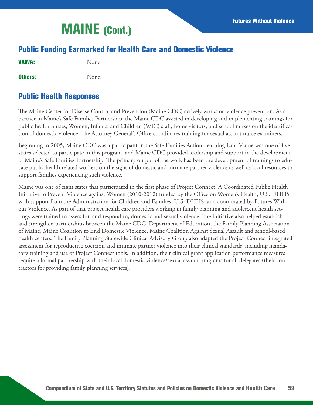### MAINE (Cont.)

### Public Funding Earmarked for Health Care and Domestic Violence

VAWA: None **Others:** None.

#### Public Health Responses

The Maine Center for Disease Control and Prevention (Maine CDC) actively works on violence prevention. As a partner in Maine's Safe Families Partnership, the Maine CDC assisted in developing and implementing trainings for public health nurses, Women, Infants, and Children (WIC) staff, home visitors, and school nurses on the identification of domestic violence. The Attorney General's Office coordinates training for sexual assault nurse examiners.

Beginning in 2005, Maine CDC was a participant in the Safe Families Action Learning Lab. Maine was one of five states selected to participate in this program, and Maine CDC provided leadership and support in the development of Maine's Safe Families Partnership. The primary output of the work has been the development of trainings to educate public health related workers on the signs of domestic and intimate partner violence as well as local resources to support families experiencing such violence.

Maine was one of eight states that participated in the first phase of Project Connect: A Coordinated Public Health Initiative to Prevent Violence against Women (2010-2012) funded by the Office on Women's Health, U.S. DHHS with support from the Administration for Children and Families, U.S. DHHS, and coordinated by Futures Without Violence. As part of that project health care providers working in family planning and adolescent health settings were trained to assess for, and respond to, domestic and sexual violence. The initiative also helped establish and strengthen partnerships between the Maine CDC, Department of Education, the Family Planning Association of Maine, Maine Coalition to End Domestic Violence, Maine Coalition Against Sexual Assault and school-based health centers. The Family Planning Statewide Clinical Advisory Group also adapted the Project Connect integrated assessment for reproductive coercion and intimate partner violence into their clinical standards, including mandatory training and use of Project Connect tools. In addition, their clinical grant application performance measures require a formal partnership with their local domestic violence/sexual assault programs for all delegates (their contractors for providing family planning services).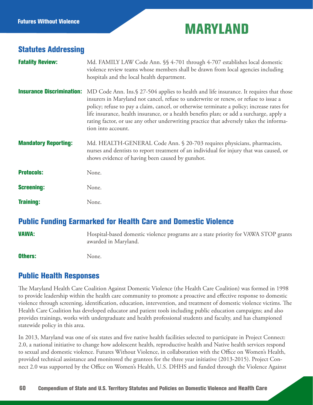### MARYLAND

### Statutes Addressing

| <b>Fatality Review:</b>          | Md. FAMILY LAW Code Ann. \$\$4-701 through 4-707 establishes local domestic<br>violence review teams whose members shall be drawn from local agencies including<br>hospitals and the local health department.                                                                                                                                                                                                                                                                              |
|----------------------------------|--------------------------------------------------------------------------------------------------------------------------------------------------------------------------------------------------------------------------------------------------------------------------------------------------------------------------------------------------------------------------------------------------------------------------------------------------------------------------------------------|
| <b>Insurance Discrimination:</b> | MD Code Ann. Ins. § 27-504 applies to health and life insurance. It requires that those<br>insurers in Maryland not cancel, refuse to underwrite or renew, or refuse to issue a<br>policy; refuse to pay a claim, cancel, or otherwise terminate a policy; increase rates for<br>life insurance, health insurance, or a health benefits plan; or add a surcharge, apply a<br>rating factor, or use any other underwriting practice that adversely takes the informa-<br>tion into account. |
| <b>Mandatory Reporting:</b>      | Md. HEALTH-GENERAL Code Ann. § 20-703 requires physicians, pharmacists,<br>nurses and dentists to report treatment of an individual for injury that was caused, or<br>shows evidence of having been caused by gunshot.                                                                                                                                                                                                                                                                     |
| <b>Protocols:</b>                | None.                                                                                                                                                                                                                                                                                                                                                                                                                                                                                      |
| <b>Screening:</b>                | None.                                                                                                                                                                                                                                                                                                                                                                                                                                                                                      |
| <b>Training:</b>                 | None.                                                                                                                                                                                                                                                                                                                                                                                                                                                                                      |

### Public Funding Earmarked for Health Care and Domestic Violence

VAWA: Hospital-based domestic violence programs are a state priority for VAWA STOP grants awarded in Maryland.

Others: None.

### Public Health Responses

The Maryland Health Care Coalition Against Domestic Violence (the Health Care Coalition) was formed in 1998 to provide leadership within the health care community to promote a proactive and effective response to domestic violence through screening, identification, education, intervention, and treatment of domestic violence victims. The Health Care Coalition has developed educator and patient tools including public education campaigns; and also provides trainings, works with undergraduate and health professional students and faculty, and has championed statewide policy in this area.

In 2013, Maryland was one of six states and five native health facilities selected to participate in Project Connect: 2.0, a national initiative to change how adolescent health, reproductive health and Native health services respond to sexual and domestic violence. Futures Without Violence, in collaboration with the Office on Women's Health, provided technical assistance and monitored the grantees for the three year initiative (2013-2015). Project Connect 2.0 was supported by the Office on Women's Health, U.S. DHHS and funded through the Violence Against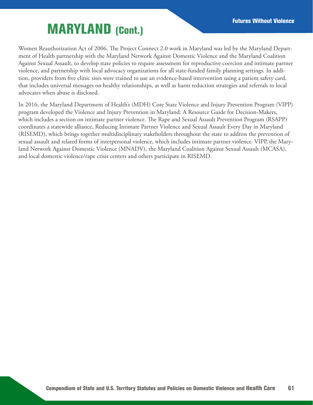### MARYLAND (Cont.)

Women Reauthorization Act of 2006. The Project Connect 2.0 work in Maryland was led by the Maryland Department of Health partnership with the Maryland Network Against Domestic Violence and the Maryland Coalition Against Sexual Assault, to develop state policies to require assessment for reproductive coercion and intimate partner violence, and partnership with local advocacy organizations for all state-funded family planning settings. In addition, providers from five clinic sites were trained to use an evidence-based intervention using a patient safety card, that includes universal messages on healthy relationships, as well as harm reduction strategies and referrals to local advocates when abuse is disclosed.

In 2016, the Maryland Department of Health's (MDH) Core State Violence and Injury Prevention Program (VIPP) program developed the [Violence and Injury Prevention in Maryland: A Resource Guide for Decision-Makers,](https://phpa.health.maryland.gov/ohpetup/Shared Documents/EIP-RESOURCE/MarylandResourceGuide2016LowRes.pdf) which includes a section on intimate partner violence. The Rape and Sexual Assault Prevention Program (RSAPP) coordinates a statewide alliance, Reducing Intimate Partner Violence and Sexual Assault Every Day in Maryland (RISEMD), which brings together multidisciplinary stakeholders throughout the state to address the prevention of sexual assault and related forms of interpersonal violence, which includes intimate partner violence. VIPP, the Maryland Network Against Domestic Violence (MNADV), the Maryland Coalition Against Sexual Assault (MCASA), and local domestic violence/rape crisis centers and others participate in RISEMD.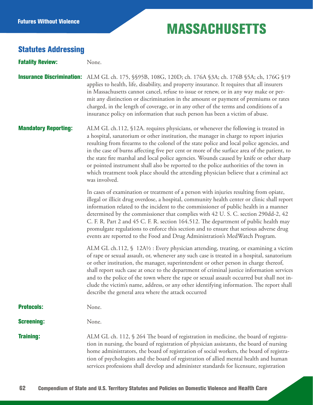## MASSACHUSETTS

### Statutes Addressing

Fatality Review: None. **Insurance Discrimination:** ALM GL ch. 175, \$\$95B, 108G, 120D; ch. 176A \$3A; ch. 176B \$5A; ch, 176G \$19 applies to health, life, disability, and property insurance. It requires that all insurers in Massachusetts cannot cancel, refuse to issue or renew, or in any way make or permit any distinction or discrimination in the amount or payment of premiums or rates charged, in the length of coverage, or in any other of the terms and conditions of a insurance policy on information that such person has been a victim of abuse. **Mandatory Reporting:** ALM GL ch.112, §12A. requires physicians, or whenever the following is treated in a hospital, sanatorium or other institution, the manager in charge to report injuries resulting from firearms to the colonel of the state police and local police agencies, and in the case of burns affecting five per cent or more of the surface area of the patient, to the state fire marshal and local police agencies. Wounds caused by knife or other sharp or pointed instrument shall also be reported to the police authorities of the town in which treatment took place should the attending physician believe that a criminal act was involved. In cases of examination or treatment of a person with injuries resulting from opiate, illegal or illicit drug overdose, a hospital, community health center or clinic shall report information related to the incident to the commissioner of public health in a manner determined by the commissioner that complies with [42 U. S. C. section 290dd-2,](https://advance.lexis.com/search/?pdmfid=1000516&crid=35ddb9e4-1be1-4e39-8dd9-31d34ff1fd4f&pdsearchterms=ALM+GL+ch.112%2C+%C2%A712A&pdstartin=hlct%3A1%3A1&pdtypeofsearch=searchboxclick&pdsearchtype=SearchBox&pdqttype=and&pdpsf=jur%3A1%3A44&ecomp=_g25k&earg=pdpsf&prid=5e7c9bb1-d68d-4f1a-83df-43286313b2b6) [42](https://advance.lexis.com/search/?pdmfid=1000516&crid=35ddb9e4-1be1-4e39-8dd9-31d34ff1fd4f&pdsearchterms=ALM+GL+ch.112%2C+%C2%A712A&pdstartin=hlct%3A1%3A1&pdtypeofsearch=searchboxclick&pdsearchtype=SearchBox&pdqttype=and&pdpsf=jur%3A1%3A44&ecomp=_g25k&earg=pdpsf&prid=5e7c9bb1-d68d-4f1a-83df-43286313b2b6)  [C. F. R. Part 2](https://advance.lexis.com/search/?pdmfid=1000516&crid=35ddb9e4-1be1-4e39-8dd9-31d34ff1fd4f&pdsearchterms=ALM+GL+ch.112%2C+%C2%A712A&pdstartin=hlct%3A1%3A1&pdtypeofsearch=searchboxclick&pdsearchtype=SearchBox&pdqttype=and&pdpsf=jur%3A1%3A44&ecomp=_g25k&earg=pdpsf&prid=5e7c9bb1-d68d-4f1a-83df-43286313b2b6) and [45 C. F. R. section 164.512](https://advance.lexis.com/search/?pdmfid=1000516&crid=35ddb9e4-1be1-4e39-8dd9-31d34ff1fd4f&pdsearchterms=ALM+GL+ch.112%2C+%C2%A712A&pdstartin=hlct%3A1%3A1&pdtypeofsearch=searchboxclick&pdsearchtype=SearchBox&pdqttype=and&pdpsf=jur%3A1%3A44&ecomp=_g25k&earg=pdpsf&prid=5e7c9bb1-d68d-4f1a-83df-43286313b2b6). The department of public health may promulgate regulations to enforce this section and to ensure that serious adverse drug events are reported to the Food and Drug Administration's MedWatch Program. ALM GL ch.112,  $\oint$  12A½ : Every physician attending, treating, or examining a victim of rape or sexual assault, or, whenever any such case is treated in a hospital, sanatorium or other institution, the manager, superintendent or other person in charge thereof, shall report such case at once to the department of criminal justice information services and to the police of the town where the rape or sexual assault occurred but shall not include the victim's name, address, or any other identifying information. The report shall describe the general area where the attack occurred Protocols: None. Screening: None. **Training:** ALM GL ch. 112, § 264 The board of registration in medicine, the board of registration in nursing, the board of registration of physician assistants, the board of nursing home administrators, the board of registration of social workers, the board of registration of psychologists and the board of registration of allied mental health and human

services professions shall develop and administer standards for licensure, registration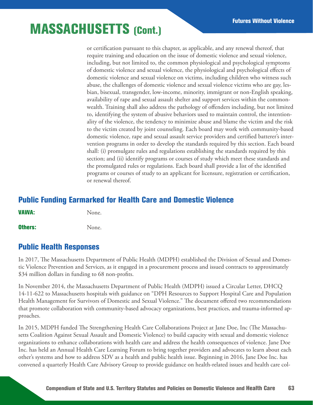### MASSACHUSETTS (Cont.)

or certification pursuant to this chapter, as applicable, and any renewal thereof, that require training and education on the issue of domestic violence and sexual violence, including, but not limited to, the common physiological and psychological symptoms of domestic violence and sexual violence, the physiological and psychological effects of domestic violence and sexual violence on victims, including children who witness such abuse, the challenges of domestic violence and sexual violence victims who are gay, lesbian, bisexual, transgender, low-income, minority, immigrant or non-English speaking, availability of rape and sexual assault shelter and support services within the commonwealth. Training shall also address the pathology of offenders including, but not limited to, identifying the system of abusive behaviors used to maintain control, the intentionality of the violence, the tendency to minimize abuse and blame the victim and the risk to the victim created by joint counseling. Each board may work with community-based domestic violence, rape and sexual assault service providers and certified batterer's intervention programs in order to develop the standards required by this section. Each board shall: (i) promulgate rules and regulations establishing the standards required by this section; and (ii) identify programs or courses of study which meet these standards and the promulgated rules or regulations. Each board shall provide a list of the identified programs or courses of study to an applicant for licensure, registration or certification, or renewal thereof.

### Public Funding Earmarked for Health Care and Domestic Violence

| <b>VAWA:</b> | None. |
|--------------|-------|
| Others:      | None. |

### Public Health Responses

In 2017, The Massachusetts Department of Public Health (MDPH) established the Division of Sexual and Domestic Violence Prevention and Services, as it engaged in a procurement process and issued contracts to approximately \$34 million dollars in funding to 68 non-profits.

In November 2014, the Massachusetts Department of Public Health (MDPH) issued a [Circular Letter, DHCQ](http://www.mass.gov/eohhs/docs/dph/quality/hcq-circular-letters/2014/dhcq-1411622.pdf)  [14-11-622](http://www.mass.gov/eohhs/docs/dph/quality/hcq-circular-letters/2014/dhcq-1411622.pdf) to Massachusetts hospitals with guidance on "DPH Resources to Support Hospital Care and Population Health Management for Survivors of Domestic and Sexual Violence." The document offered two recommendations that promote collaboration with community-based advocacy organizations, best practices, and trauma-informed approaches.

In 2015, MDPH funded The Strengthening Health Care Collaborations Project at Jane Doe, Inc (The Massachusetts Coalition Against Sexual Assault and Domestic Violence) to build capacity with sexual and domestic violence organizations to enhance collaborations with health care and address the health consequences of violence. Jane Doe Inc. has held an Annual Health Care Learning Forum to bring together providers and advocates to learn about each other's systems and how to address SDV as a health and public health issue. Beginning in 2016, Jane Doe Inc. has convened a quarterly Health Care Advisory Group to provide guidance on health-related issues and health care col-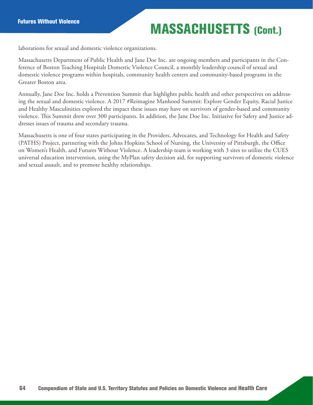# Futures Without Violence **MASSACHUSETTS** (Cont.)

laborations for sexual and domestic violence organizations.

Massachusetts Department of Public Health and Jane Doe Inc. are ongoing members and participants in the Conference of Boston Teaching Hospitals Domestic Violence Council, a monthly leadership council of sexual and domestic violence programs within hospitals, community health centers and community-based programs in the Greater Boston area.

Annually, Jane Doe Inc. holds a Prevention Summit that highlights public health and other perspectives on addressing the sexual and domestic violence. A 2017 #Reimagine Manhood Summit: Explore Gender Equity, Racial Justice and Healthy Masculinities explored the impact these issues may have on survivors of gender-based and community violence. This Summit drew over 300 participants. In addition, the Jane Doe Inc. Initiative for Safety and Justice addresses issues of trauma and secondary trauma.

Massachusetts is one of four states participating in the Providers, Advocates, and Technology for Health and Safety (PATHS) Project, partnering with the Johns Hopkins School of Nursing, the University of Pittsburgh, the Office on Women's Health, and Futures Without Violence. A leadership team is working with 3 sites to utilize the [CUES](https://ipvhealth.org/health-professionals/educate-providers/)  [universal education intervention,](https://ipvhealth.org/health-professionals/educate-providers/) using the MyPlan safety decision aid, for supporting survivors of domestic violence and sexual assault, and to promote healthy relationships.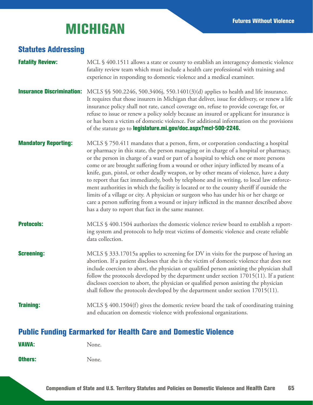### MICHIGAN

### Statutes Addressing

| <b>Fatality Review:</b>          | MCL § 400.1511 allows a state or county to establish an interagency domestic violence<br>fatality review team which must include a health care professional with training and<br>experience in responding to domestic violence and a medical examiner.                                                                                                                                                                                                                                                                                                                                                                                                                                                                                                                                                                                                                                 |
|----------------------------------|----------------------------------------------------------------------------------------------------------------------------------------------------------------------------------------------------------------------------------------------------------------------------------------------------------------------------------------------------------------------------------------------------------------------------------------------------------------------------------------------------------------------------------------------------------------------------------------------------------------------------------------------------------------------------------------------------------------------------------------------------------------------------------------------------------------------------------------------------------------------------------------|
| <b>Insurance Discrimination:</b> | MCLS \$\$ 500.2246, 500.3406j, 550.1401(3)(d) applies to health and life insurance.<br>It requires that those insurers in Michigan that deliver, issue for delivery, or renew a life<br>insurance policy shall not rate, cancel coverage on, refuse to provide coverage for, or<br>refuse to issue or renew a policy solely because an insured or applicant for insurance is<br>or has been a victim of domestic violence. For additional information on the provisions<br>of the statute go to legislature.mi.gov/doc.aspx?mcl-500-2246.                                                                                                                                                                                                                                                                                                                                              |
| <b>Mandatory Reporting:</b>      | MCLS § 750.411 mandates that a person, firm, or corporation conducting a hospital<br>or pharmacy in this state, the person managing or in charge of a hospital or pharmacy,<br>or the person in charge of a ward or part of a hospital to which one or more persons<br>come or are brought suffering from a wound or other injury inflicted by means of a<br>knife, gun, pistol, or other deadly weapon, or by other means of violence, have a duty<br>to report that fact immediately, both by telephone and in writing, to local law enforce-<br>ment authorities in which the facility is located or to the county sheriff if outside the<br>limits of a village or city. A physician or surgeon who has under his or her charge or<br>care a person suffering from a wound or injury inflicted in the manner described above<br>has a duty to report that fact in the same manner. |
| <b>Protocols:</b>                | MCLS § 400.1504 authorizes the domestic violence review board to establish a report-<br>ing system and protocols to help treat victims of domestic violence and create reliable<br>data collection.                                                                                                                                                                                                                                                                                                                                                                                                                                                                                                                                                                                                                                                                                    |
| <b>Screening:</b>                | MCLS § 333.17015a applies to screening for DV in visits for the purpose of having an<br>abortion. If a patient discloses that she is the victim of domestic violence that does not<br>include coercion to abort, the physician or qualified person assisting the physician shall<br>follow the protocols developed by the department under section $17015(11)$ . If a patient<br>discloses coercion to abort, the physician or qualified person assisting the physician<br>shall follow the protocols developed by the department under section 17015(11).                                                                                                                                                                                                                                                                                                                             |
| <b>Training:</b>                 | MCLS § 400.1504(f) gives the domestic review board the task of coordinating training<br>and education on domestic violence with professional organizations.                                                                                                                                                                                                                                                                                                                                                                                                                                                                                                                                                                                                                                                                                                                            |

### Public Funding Earmarked for Health Care and Domestic Violence

| <b>VAWA:</b> | None. |
|--------------|-------|
|              |       |

Others: None.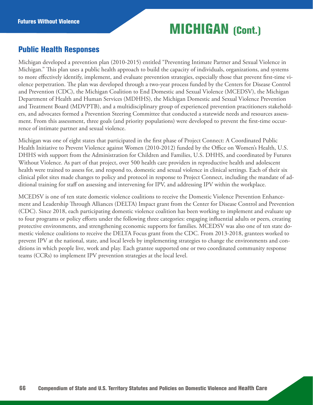## Futures Without Violence MICHIGAN (Cont.)

### Public Health Responses

Michigan developed a prevention plan (2010-2015) entitled ["Preventing Intimate Partner and Sexual Violence in](http://www.mcedsv.org/prevention/prevention-executive-report.html)  [Michigan."](http://www.mcedsv.org/prevention/prevention-executive-report.html) This plan uses a public health approach to build the capacity of individuals, organizations, and systems to more effectively identify, implement, and evaluate prevention strategies, especially those that prevent first-time violence perpetration. The plan was developed through a two-year process funded by the Centers for Disease Control and Prevention (CDC), the Michigan Coalition to End Domestic and Sexual Violence (MCEDSV), the Michigan Department of Health and Human Services (MDHHS), the Michigan Domestic and Sexual Violence Prevention and Treatment Board (MDVPTB), and a multidisciplinary group of experienced prevention practitioners stakeholders, and advocates formed a Prevention Steering Committee that conducted a statewide needs and resources assessment. From this assessment, three goals (and priority populations) were developed to prevent the first-time occurrence of intimate partner and sexual violence.

Michigan was one of eight states that participated in the first phase of Project Connect: A Coordinated Public Health Initiative to Prevent Violence against Women (2010-2012) funded by the Office on Women's Health, U.S. DHHS with support from the Administration for Children and Families, U.S. DHHS, and coordinated by Futures Without Violence. As part of that project, over 500 health care providers in reproductive health and adolescent health were trained to assess for, and respond to, domestic and sexual violence in clinical settings. Each of their six clinical pilot sites made changes to policy and protocol in response to Project Connect, including the mandate of additional training for staff on assessing and intervening for IPV, and addressing IPV within the workplace.

MCEDSV is one of ten state domestic violence coalitions to receive the Domestic Violence Prevention Enhancement and Leadership Through Alliances (DELTA) Impact grant from the Center for Disease Control and Prevention (CDC). Since 2018, each participating domestic violence coalition has been working to implement and evaluate up to four programs or policy efforts under the following three categories: engaging influential adults or peers, creating protective environments, and strengthening economic supports for families. MCEDSV was also one of ten state domestic violence coalitions to receive the DELTA Focus grant from the CDC. From 2013-2018, grantees worked to prevent IPV at the national, state, and local levels by implementing strategies to change the environments and conditions in which people live, work and play. Each grantee supported one or two coordinated community response teams (CCRs) to implement IPV prevention strategies at the local level.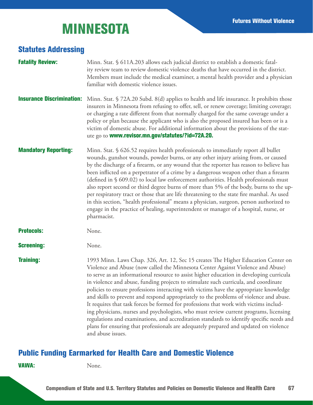### **MINNESOTA**

### Statutes Addressing

| <b>Fatality Review:</b>          | Minn. Stat. § 611A.203 allows each judicial district to establish a domestic fatal-<br>ity review team to review domestic violence deaths that have occurred in the district.<br>Members must include the medical examiner, a mental health provider and a physician<br>familiar with domestic violence issues.                                                                                                                                                                                                                                                                                                                                                                                                                                                                                                                                                                                                                         |
|----------------------------------|-----------------------------------------------------------------------------------------------------------------------------------------------------------------------------------------------------------------------------------------------------------------------------------------------------------------------------------------------------------------------------------------------------------------------------------------------------------------------------------------------------------------------------------------------------------------------------------------------------------------------------------------------------------------------------------------------------------------------------------------------------------------------------------------------------------------------------------------------------------------------------------------------------------------------------------------|
| <b>Insurance Discrimination:</b> | Minn. Stat. § 72A.20 Subd. 8(d) applies to health and life insurance. It prohibits those<br>insurers in Minnesota from refusing to offer, sell, or renew coverage; limiting coverage;<br>or charging a rate different from that normally charged for the same coverage under a<br>policy or plan because the applicant who is also the proposed insured has been or is a<br>victim of domestic abuse. For additional information about the provisions of the stat-<br>ute go to www.revisor.mn.gov/statutes/?id=72A.20.                                                                                                                                                                                                                                                                                                                                                                                                                 |
| <b>Mandatory Reporting:</b>      | Minn. Stat. § 626.52 requires health professionals to immediately report all bullet<br>wounds, gunshot wounds, powder burns, or any other injury arising from, or caused<br>by the discharge of a firearm, or any wound that the reporter has reason to believe has<br>been inflicted on a perpetrator of a crime by a dangerous weapon other than a firearm<br>(defined in § 609.02) to local law enforcement authorities. Health professionals must<br>also report second or third degree burns of more than 5% of the body, burns to the up-<br>per respiratory tract or those that are life threatening to the state fire marshal. As used<br>in this section, "health professional" means a physician, surgeon, person authorized to<br>engage in the practice of healing, superintendent or manager of a hospital, nurse, or<br>pharmacist.                                                                                       |
| <b>Protocols:</b>                | None.                                                                                                                                                                                                                                                                                                                                                                                                                                                                                                                                                                                                                                                                                                                                                                                                                                                                                                                                   |
| <b>Screening:</b>                | None.                                                                                                                                                                                                                                                                                                                                                                                                                                                                                                                                                                                                                                                                                                                                                                                                                                                                                                                                   |
| <b>Training:</b>                 | 1993 Minn. Laws Chap. 326, Art. 12, Sec 15 creates The Higher Education Center on<br>Violence and Abuse (now called the Minnesota Center Against Violence and Abuse)<br>to serve as an informational resource to assist higher education in developing curricula<br>in violence and abuse, funding projects to stimulate such curricula, and coordinate<br>policies to ensure professions interacting with victims have the appropriate knowledge<br>and skills to prevent and respond appropriately to the problems of violence and abuse.<br>It requires that task forces be formed for professions that work with victims includ-<br>ing physicians, nurses and psychologists, who must review current programs, licensing<br>regulations and examinations, and accreditation standards to identify specific needs and<br>plans for ensuring that professionals are adequately prepared and updated on violence<br>and abuse issues. |

### Public Funding Earmarked for Health Care and Domestic Violence

VAWA: None.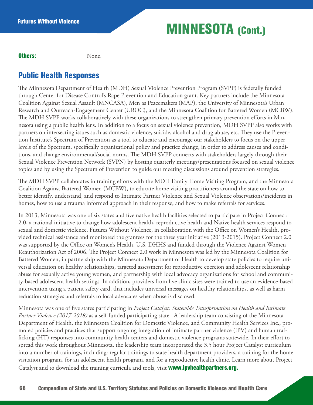## Futures Without Violence MINNESOTA (Cont.)

Others: None.

### Public Health Responses

The Minnesota Department of Health (MDH) Sexual Violence Prevention Program (SVPP) is federally funded through Center for Disease Control's Rape Prevention and Education grant. Key partners include the Minnesota Coalition Against Sexual Assault (MNCASA), Men as Peacemakers (MAP), the University of Minnesota's Urban Research and Outreach-Engagement Center (UROC), and the Minnesota Coalition for Battered Women (MCBW). The MDH SVPP works collaboratively with these organizations to strengthen primary prevention efforts in Minnesota using a public health lens. In addition to a focus on sexual violence prevention, MDH SVPP also works with partners on intersecting issues such as domestic violence, suicide, alcohol and drug abuse, etc. They use the Prevention Institute's Spectrum of Prevention as a tool to educate and encourage our stakeholders to focus on the upper levels of the Spectrum, specifically organizational policy and practice change, in order to address causes and conditions, and change environmental/social norms. The MDH SVPP connects with stakeholders largely through their Sexual Violence Prevention Network (SVPN) by hosting quarterly meetings/presentations focused on sexual violence topics and by using the Spectrum of Prevention to guide our meeting discussions around prevention strategies.

The MDH SVPP collaborates in training efforts with the MDH Family Home Visiting Program, and the Minnesota Coalition Against Battered Women (MCBW), to educate home visiting practitioners around the state on how to better identify, understand, and respond to Intimate Partner Violence and Sexual Violence observations/incidents in homes, how to use a trauma informed approach in their response, and how to make referrals for services.

In 2013, Minnesota was one of six states and five native health facilities selected to participate in Project Connect: 2.0, a national initiative to change how adolescent health, reproductive health and Native health services respond to sexual and domestic violence. Futures Without Violence, in collaboration with the Office on Women's Health, provided technical assistance and monitored the grantees for the three year initiative (2013-2015). Project Connect 2.0 was supported by the Office on Women's Health, U.S. DHHS and funded through the Violence Against Women Reauthorization Act of 2006. The Project Connect 2.0 work in Minnesota was led by the Minnesota Coalition for Battered Women, in partnership with the Minnesota Department of Health to develop state policies to require universal education on healthy relationships, targeted assessment for reproductive coercion and adolescent relationship abuse for sexually active young women, and partnership with local advocacy organizations for school and community-based adolescent health settings. In addition, providers from five clinic sites were trained to use an evidence-based intervention using a patient safety card, that includes universal messages on healthy relationships, as well as harm reduction strategies and referrals to local advocates when abuse is disclosed.

Minnesota was one of five states participating in *[Project Catalyst: Statewide Transformation on Health and Intimate](https://www.futureswithoutviolence.org/health/project-catalyst-statewide-transformation-on-health-and-ipv/)  [Partner Violence \(2017-2018\)](https://www.futureswithoutviolence.org/health/project-catalyst-statewide-transformation-on-health-and-ipv/)* as a self-funded participating state. A leadership team consisting of the Minnesota Department of Health, the Minnesota Coalition for Domestic Violence, and Community Health Services Inc., promoted policies and practices that support ongoing integration of intimate partner violence (IPV) and human trafficking (HT) responses into community health centers and domestic violence programs statewide. In their effort to spread this work throughout Minnesota, the leadership team incorporated the 3.5 hour Project Catalyst curriculum into a number of trainings, including: regular trainings to state health department providers, a training for the home visitation program, for an adolescent health program, and for a reproductive health clinic. Learn more about [Project](https://www.futureswithoutviolence.org/health/project-catalyst-statewide-transformation-on-health-and-ipv/)  [Catalyst](https://www.futureswithoutviolence.org/health/project-catalyst-statewide-transformation-on-health-and-ipv/) and to download the training curricula and tools, visit **[www.ipvhealthpartners.org](http://www.ipvhealthpartners.org).**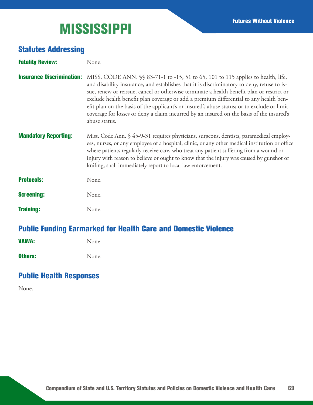### **MISSISSIPPI**

### Statutes Addressing

Fatality Review: None. **Insurance Discrimination:** MISS. CODE ANN.  $\$ § 83-71-1 to -15, 51 to 65, 101 to 115 applies to health, life, and disability insurance, and establishes that it is discriminatory to deny, refuse to issue, renew or reissue, cancel or otherwise terminate a health benefit plan or restrict or exclude health benefit plan coverage or add a premium differential to any health benefit plan on the basis of the applicant's or insured's abuse status; or to exclude or limit coverage for losses or deny a claim incurred by an insured on the basis of the insured's abuse status. **Mandatory Reporting:** Miss. Code Ann. § 45-9-31 requires physicians, surgeons, dentists, paramedical employees, nurses, or any employee of a hospital, clinic, or any other medical institution or office where patients regularly receive care, who treat any patient suffering from a wound or injury with reason to believe or ought to know that the injury was caused by gunshot or knifing, shall immediately report to local law enforcement. Protocols: None. Screening: None. Training: None.

### Public Funding Earmarked for Health Care and Domestic Violence

VAWA: None.

Others: None.

### Public Health Responses

None.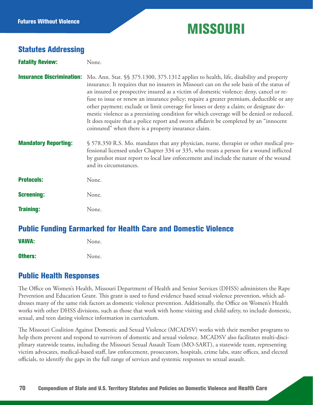

### Statutes Addressing

| <b>Fatality Review:</b>          | None.                                                                                                                                                                                                                                                                                                                                                                                                                                                                                                                                                                                                                                                                                                           |
|----------------------------------|-----------------------------------------------------------------------------------------------------------------------------------------------------------------------------------------------------------------------------------------------------------------------------------------------------------------------------------------------------------------------------------------------------------------------------------------------------------------------------------------------------------------------------------------------------------------------------------------------------------------------------------------------------------------------------------------------------------------|
| <b>Insurance Discrimination:</b> | Mo. Ann. Stat. § 375.1300, 375.1312 applies to health, life, disability and property<br>insurance. It requires that no insurers in Missouri can on the sole basis of the status of<br>an insured or prospective insured as a victim of domestic violence: deny, cancel or re-<br>fuse to issue or renew an insurance policy; require a greater premium, deductible or any<br>other payment; exclude or limit coverage for losses or deny a claim; or designate do-<br>mestic violence as a preexisting condition for which coverage will be denied or reduced.<br>It does require that a police report and sworn affidavit be completed by an "innocent<br>coinsured" when there is a property insurance claim. |
| <b>Mandatory Reporting:</b>      | § 578.350 R.S. Mo. mandates that any physician, nurse, therapist or other medical pro-<br>fessional licensed under Chapter 334 or 335, who treats a person for a wound inflicted<br>by gunshot must report to local law enforcement and include the nature of the wound<br>and its circumstances.                                                                                                                                                                                                                                                                                                                                                                                                               |
| <b>Protocols:</b>                | None.                                                                                                                                                                                                                                                                                                                                                                                                                                                                                                                                                                                                                                                                                                           |
| <b>Screening:</b>                | None.                                                                                                                                                                                                                                                                                                                                                                                                                                                                                                                                                                                                                                                                                                           |
| <b>Training:</b>                 | None.                                                                                                                                                                                                                                                                                                                                                                                                                                                                                                                                                                                                                                                                                                           |

### Public Funding Earmarked for Health Care and Domestic Violence

| <b>VAWA:</b> | None. |
|--------------|-------|
| Others:      | None. |

### Public Health Responses

The Office on Women's Health, Missouri Department of Health and Senior Services (DHSS) administers the Rape Prevention and Education Grant. This grant is used to fund evidence based sexual violence prevention, which addresses many of the same risk factors as domestic violence prevention. Additionally, the Office on Women's Health works with other DHSS divisions, such as those that work with home visiting and child safety, to include domestic, sexual, and teen dating violence information in curriculum.

The Missouri Coalition Against Domestic and Sexual Violence (MCADSV) works with their member programs to help them prevent and respond to survivors of domestic and sexual violence. MCADSV also facilitates multi-disciplinary statewide teams, including the Missouri Sexual Assault Team (MO-SART), a statewide team, representing victim advocates, medical-based staff, law enforcement, prosecutors, hospitals, crime labs, state offices, and elected officials, to identify the gaps in the full range of services and systemic responses to sexual assault.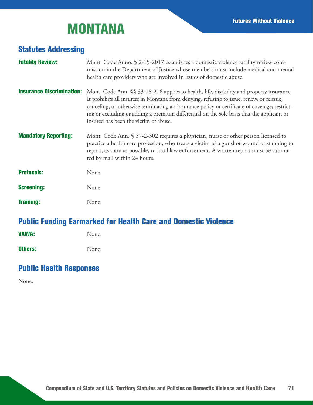### MONTANA

### Statutes Addressing

| <b>Fatality Review:</b>          | Mont. Code Anno. § 2-15-2017 establishes a domestic violence fatality review com-<br>mission in the Department of Justice whose members must include medical and mental<br>health care providers who are involved in issues of domestic abuse.                                                                                                                                                                             |
|----------------------------------|----------------------------------------------------------------------------------------------------------------------------------------------------------------------------------------------------------------------------------------------------------------------------------------------------------------------------------------------------------------------------------------------------------------------------|
| <b>Insurance Discrimination:</b> | Mont. Code Ann. § 33-18-216 applies to health, life, disability and property insurance.<br>It prohibits all insurers in Montana from denying, refusing to issue, renew, or reissue,<br>canceling, or otherwise terminating an insurance policy or certificate of coverage; restrict-<br>ing or excluding or adding a premium differential on the sole basis that the applicant or<br>insured has been the victim of abuse. |
| <b>Mandatory Reporting:</b>      | Mont. Code Ann. § 37-2-302 requires a physician, nurse or other person licensed to<br>practice a health care profession, who treats a victim of a gunshot wound or stabbing to<br>report, as soon as possible, to local law enforcement. A written report must be submit-<br>ted by mail within 24 hours.                                                                                                                  |
| <b>Protocols:</b>                | None.                                                                                                                                                                                                                                                                                                                                                                                                                      |
| <b>Screening:</b>                | None.                                                                                                                                                                                                                                                                                                                                                                                                                      |
| <b>Training:</b>                 | None.                                                                                                                                                                                                                                                                                                                                                                                                                      |

### Public Funding Earmarked for Health Care and Domestic Violence

VAWA: None.

Others: None.

### Public Health Responses

None.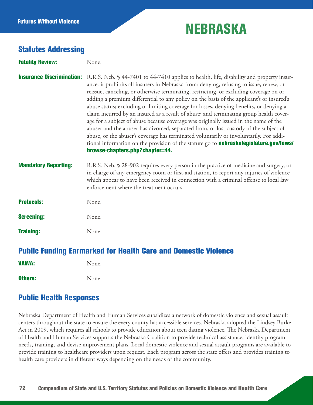

### Statutes Addressing

| <b>Fatality Review:</b>          | None.                                                                                                                                                                                                                                                                                                                                                                                                                                                                                                                                                                                                                                                                                                                                                                                                                                                                                                                                                                  |  |
|----------------------------------|------------------------------------------------------------------------------------------------------------------------------------------------------------------------------------------------------------------------------------------------------------------------------------------------------------------------------------------------------------------------------------------------------------------------------------------------------------------------------------------------------------------------------------------------------------------------------------------------------------------------------------------------------------------------------------------------------------------------------------------------------------------------------------------------------------------------------------------------------------------------------------------------------------------------------------------------------------------------|--|
| <b>Insurance Discrimination:</b> | R.R.S. Neb. § 44-7401 to 44-7410 applies to health, life, disability and property insur-<br>ance. it prohibits all insurers in Nebraska from: denying, refusing to issue, renew, or<br>reissue, canceling, or otherwise terminating, restricting, or excluding coverage on or<br>adding a premium differential to any policy on the basis of the applicant's or insured's<br>abuse status; excluding or limiting coverage for losses, denying benefits, or denying a<br>claim incurred by an insured as a result of abuse; and terminating group health cover-<br>age for a subject of abuse because coverage was originally issued in the name of the<br>abuser and the abuser has divorced, separated from, or lost custody of the subject of<br>abuse, or the abuser's coverage has terminated voluntarily or involuntarily. For addi-<br>tional information on the provision of the statute go to nebraskalegislature.gov/laws/<br>browse-chapters.php?chapter=44. |  |
| <b>Mandatory Reporting:</b>      | R.R.S. Neb. § 28-902 requires every person in the practice of medicine and surgery, or<br>in charge of any emergency room or first-aid station, to report any injuries of violence<br>which appear to have been received in connection with a criminal offense to local law<br>enforcement where the treatment occurs.                                                                                                                                                                                                                                                                                                                                                                                                                                                                                                                                                                                                                                                 |  |
| <b>Protocols:</b>                | None.                                                                                                                                                                                                                                                                                                                                                                                                                                                                                                                                                                                                                                                                                                                                                                                                                                                                                                                                                                  |  |
| <b>Screening:</b>                | None.                                                                                                                                                                                                                                                                                                                                                                                                                                                                                                                                                                                                                                                                                                                                                                                                                                                                                                                                                                  |  |
| <b>Training:</b>                 | None.                                                                                                                                                                                                                                                                                                                                                                                                                                                                                                                                                                                                                                                                                                                                                                                                                                                                                                                                                                  |  |
|                                  |                                                                                                                                                                                                                                                                                                                                                                                                                                                                                                                                                                                                                                                                                                                                                                                                                                                                                                                                                                        |  |

### Public Funding Earmarked for Health Care and Domestic Violence

| <b>VAWA:</b>   | None. |
|----------------|-------|
| <b>Others:</b> | None. |

### Public Health Responses

Nebraska Department of Health and Human Services subsidizes a network of domestic violence and sexual assault centers throughout the state to ensure the every county has accessible services. Nebraska adopted the Lindsey Burke Act in 2009, which requires all schools to provide education about teen dating violence. The Nebraska Department of Health and Human Services supports the Nebraska Coalition to provide technical assistance, identify program needs, training, and devise improvement plans. Local domestic violence and sexual assault programs are available to provide training to healthcare providers upon request. Each program across the state offers and provides training to health care providers in different ways depending on the needs of the community.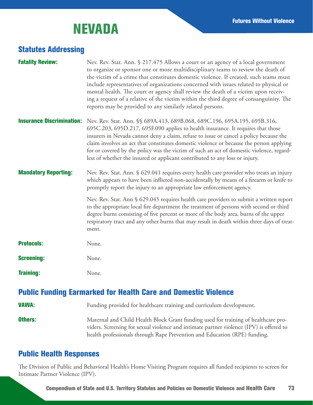

### Statutes Addressing

| <b>Fatality Review:</b>          | Nev. Rev. Stat. Ann. § 217.475 Allows a court or an agency of a local government<br>to organize or sponsor one or more multidisciplinary teams to review the death of<br>the victim of a crime that constitutes domestic violence. If created, such teams must<br>include representatives of organizations concerned with issues related to physical or<br>mental health. The court or agency shall review the death of a victim upon receiv-<br>ing a request of a relative of the victim within the third degree of consanguinity. The<br>reports may be provided to any similarly related persons. |
|----------------------------------|-------------------------------------------------------------------------------------------------------------------------------------------------------------------------------------------------------------------------------------------------------------------------------------------------------------------------------------------------------------------------------------------------------------------------------------------------------------------------------------------------------------------------------------------------------------------------------------------------------|
| <b>Insurance Discrimination:</b> | Nev. Rev. Stat. Ann. § 689A.413, 689B.068, 689C.196, 695A.195, 695B.316,<br>695C.203, 695D.217, 695F.090 applies to health insurance. It requires that those<br>insurers in Nevada cannot deny a claim, refuse to issue or cancel a policy because the<br>claim involves an act that constitutes domestic violence or because the person applying<br>for or covered by the policy was the victim of such an act of domestic violence, regard-<br>less of whether the insured or applicant contributed to any loss or injury.                                                                          |
| <b>Mandatory Reporting:</b>      | Nev. Rev. Stat. Ann. § 629.041 requires every health care provider who treats an injury<br>which appears to have been inflicted non-accidentally by means of a firearm or knife to<br>promptly report the injury to an appropriate law enforcement agency.                                                                                                                                                                                                                                                                                                                                            |
|                                  | Nev. Rev. Stat. Ann § 629.045 requires health care providers to submit a written report<br>to the appropriate local fire department the treatment of persons with second or third<br>degree burns consisting of five percent or more of the body area, burns of the upper<br>respiratory tract and any other burns that may result in death within three days of treat-<br>ment.                                                                                                                                                                                                                      |
| <b>Protocols:</b>                | None.                                                                                                                                                                                                                                                                                                                                                                                                                                                                                                                                                                                                 |
| <b>Screening:</b>                | None.                                                                                                                                                                                                                                                                                                                                                                                                                                                                                                                                                                                                 |
| <b>Training:</b>                 | None.                                                                                                                                                                                                                                                                                                                                                                                                                                                                                                                                                                                                 |

### Public Funding Earmarked for Health Care and Domestic Violence

**VAWA:** Funding provided for healthcare training and curriculum development.

**Others:** Maternal and Child Health Block Grant funding used for training of healthcare providers. Screening for sexual violence and intimate partner violence (IPV) is offered to health professionals through Rape Prevention and Education (RPE) funding.

### Public Health Responses

The Division of Public and Behavioral Health's Home Visiting Program requires all funded recipients to screen for Intimate Partner Violence (IPV).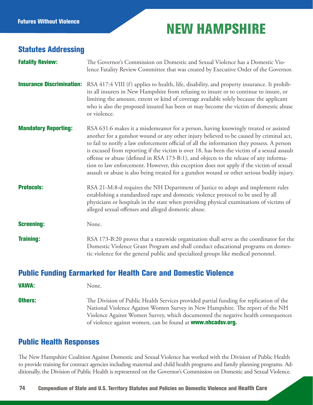## NEW HAMPSHIRE

### Statutes Addressing

| <b>Fatality Review:</b>          | The Governor's Commission on Domestic and Sexual Violence has a Domestic Vio-<br>lence Fatality Review Committee that was created by Executive Order of the Governor.                                                                                                                                                                                                                                                                                                                                                                                                                                                                                        |
|----------------------------------|--------------------------------------------------------------------------------------------------------------------------------------------------------------------------------------------------------------------------------------------------------------------------------------------------------------------------------------------------------------------------------------------------------------------------------------------------------------------------------------------------------------------------------------------------------------------------------------------------------------------------------------------------------------|
| <b>Insurance Discrimination:</b> | RSA 417:4 VIII (f) applies to health, life, disability, and property insurance. It prohib-<br>its all insurers in New Hampshire from refusing to insure or to continue to insure, or<br>limiting the amount, extent or kind of coverage available solely because the applicant<br>who is also the proposed insured has been or may become the victim of domestic abuse<br>or violence.                                                                                                                                                                                                                                                                       |
| <b>Mandatory Reporting:</b>      | RSA 631:6 makes it a misdemeanor for a person, having knowingly treated or assisted<br>another for a gunshot wound or any other injury believed to be caused by criminal act,<br>to fail to notify a law enforcement official of all the information they possess. A person<br>is excused from reporting if the victim is over 18, has been the victim of a sexual assault<br>offense or abuse (defined in RSA 173-B:1), and objects to the release of any informa-<br>tion to law enforcement. However, this exception does not apply if the victim of sexual<br>assault or abuse is also being treated for a gunshot wound or other serious bodily injury. |
| <b>Protocols:</b>                | RSA 21-M:8-d requires the NH Department of Justice to adopt and implement rules<br>establishing a standardized rape and domestic violence protocol to be used by all<br>physicians or hospitals in the state when providing physical examinations of victims of<br>alleged sexual offenses and alleged domestic abuse.                                                                                                                                                                                                                                                                                                                                       |
| <b>Screening:</b>                | None.                                                                                                                                                                                                                                                                                                                                                                                                                                                                                                                                                                                                                                                        |
| <b>Training:</b>                 | RSA 173-B:20 proves that a statewide organization shall serve as the coordinator for the<br>Domestic Violence Grant Program and shall conduct educational programs on domes-<br>tic violence for the general public and specialized groups like medical personnel.                                                                                                                                                                                                                                                                                                                                                                                           |

### Public Funding Earmarked for Health Care and Domestic Violence

| None.                                                                                                                                                                                                                                                                                                                             |
|-----------------------------------------------------------------------------------------------------------------------------------------------------------------------------------------------------------------------------------------------------------------------------------------------------------------------------------|
| The Division of Public Health Services provided partial funding for replication of the<br>National Violence Against Women Survey in New Hampshire. The report of the NH<br>Violence Against Women Survey, which documented the negative health consequences<br>of violence against women, can be found at <b>www.nhcadsv.org.</b> |
|                                                                                                                                                                                                                                                                                                                                   |

### Public Health Responses

The New Hampshire Coalition Against Domestic and Sexual Violence has worked with the Division of Public Health to provide training for contract agencies including maternal and child health programs and family planning programs. Additionally, the Division of Public Health is represented on the Governor's Commission on Domestic and Sexual Violence.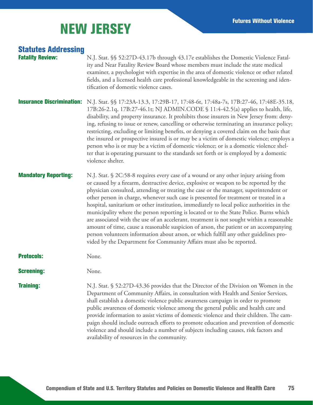## NEW JERSEY

### Statutes Addressing

**Fatality Review:** N.J. Stat. §§ 52:27D-43.17b through 43.17e establishes the Domestic Violence Fatality and Near Fatality Review Board whose members must include the state medical examiner, a psychologist with expertise in the area of domestic violence or other related fields, and a licensed health care professional knowledgeable in the screening and identification of domestic violence cases.

**Insurance Discrimination:** N.J. Stat. §§ 17:23A-13.3, 17:29B-17, 17:48-6t, 17:48a-7s, 17B:27-46, 17:48E-35.18, 17B:26-2.1q, 17B:27-46.1t; NJ<ADMIN.CODE>§ 11:4-42.5(a) applies to health, life, disability, and property insurance. It prohibits those insurers in New Jersey from: denying, refusing to issue or renew, cancelling or otherwise terminating an insurance policy; restricting, excluding or limiting benefits, or denying a covered claim on the basis that the insured or prospective insured is or may be a victim of domestic violence; employs a person who is or may be a victim of domestic violence; or is a domestic violence shelter that is operating pursuant to the standards set forth or is employed by a domestic violence shelter.

- **Mandatory Reporting:** N.J. Stat. § 2C:58-8 requires every case of a wound or any other injury arising from or caused by a firearm, destructive device, explosive or weapon to be reported by the physician consulted, attending or treating the case or the manager, superintendent or other person in charge, whenever such case is presented for treatment or treated in a hospital, sanitarium or other institution, immediately to local police authorities in the municipality where the person reporting is located or to the State Police. Burns which are associated with the use of an accelerant, treatment is not sought within a reasonable amount of time, cause a reasonable suspicion of arson, the patient or an accompanying person volunteers information about arson, or which fulfill any other guidelines provided by the Department for Community Affairs must also be reported.
- Protocols: None.
- Screening: None.

**Training:** N.J. Stat. § 52:27D-43.36 provides that the Director of the Division on Women in the Department of Community Affairs, in consultation with Health and Senior Services, shall establish a domestic violence public awareness campaign in order to promote public awareness of domestic violence among the general public and health care and provide information to assist victims of domestic violence and their children. The campaign should include outreach efforts to promote education and prevention of domestic violence and should include a number of subjects including causes, risk factors and availability of resources in the community.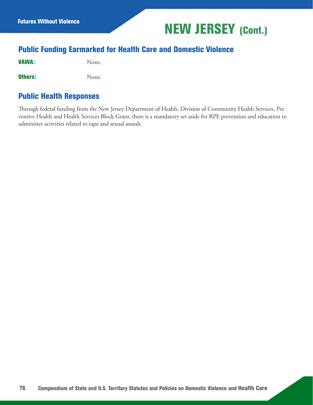## Futures Without Violence NEW JERSEY (Cont.)

### Public Funding Earmarked for Health Care and Domestic Violence

VAWA: None.

Others: None.

### Public Health Responses

Through federal funding from the New Jersey Department of Health, Division of Community Health Services, Preventive Health and Health Services Block Grant, there is a mandatory set aside for RPE prevention and education to administer activities related to rape and sexual assault.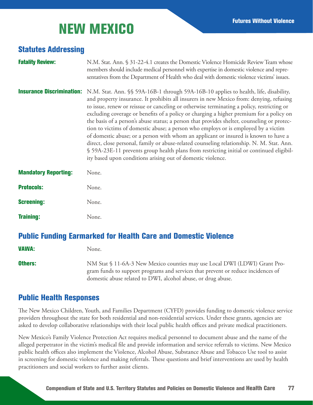## NEW MEXICO

### Statutes Addressing

| <b>Fatality Review:</b>          | N.M. Stat. Ann. § 31-22-4.1 creates the Domestic Violence Homicide Review Team whose<br>members should include medical personnel with expertise in domestic violence and repre-<br>sentatives from the Department of Health who deal with domestic violence victims' issues.                                                                                                                                                                                                                                                                                                                                                                                                                                                                                                                                                                                                                                |
|----------------------------------|-------------------------------------------------------------------------------------------------------------------------------------------------------------------------------------------------------------------------------------------------------------------------------------------------------------------------------------------------------------------------------------------------------------------------------------------------------------------------------------------------------------------------------------------------------------------------------------------------------------------------------------------------------------------------------------------------------------------------------------------------------------------------------------------------------------------------------------------------------------------------------------------------------------|
| <b>Insurance Discrimination:</b> | N.M. Stat. Ann. §§ 59A-16B-1 through 59A-16B-10 applies to health, life, disability,<br>and property insurance. It prohibits all insurers in new Mexico from: denying, refusing<br>to issue, renew or reissue or canceling or otherwise terminating a policy, restricting or<br>excluding coverage or benefits of a policy or charging a higher premium for a policy on<br>the basis of a person's abuse status; a person that provides shelter, counseling or protec-<br>tion to victims of domestic abuse; a person who employs or is employed by a victim<br>of domestic abuse; or a person with whom an applicant or insured is known to have a<br>direct, close personal, family or abuse-related counseling relationship. N. M. Stat. Ann.<br>§ 59A-23E-11 prevents group health plans from restricting initial or continued eligibil-<br>ity based upon conditions arising out of domestic violence. |
| <b>Mandatory Reporting:</b>      | None.                                                                                                                                                                                                                                                                                                                                                                                                                                                                                                                                                                                                                                                                                                                                                                                                                                                                                                       |
| <b>Protocols:</b>                | None.                                                                                                                                                                                                                                                                                                                                                                                                                                                                                                                                                                                                                                                                                                                                                                                                                                                                                                       |
| <b>Screening:</b>                | None.                                                                                                                                                                                                                                                                                                                                                                                                                                                                                                                                                                                                                                                                                                                                                                                                                                                                                                       |
| <b>Training:</b>                 | None.                                                                                                                                                                                                                                                                                                                                                                                                                                                                                                                                                                                                                                                                                                                                                                                                                                                                                                       |

### Public Funding Earmarked for Health Care and Domestic Violence

VAWA: None.

**Others:** NM Stat § 11-6A-3 New Mexico counties may use Local DWI (LDWI) Grant Program funds to support programs and services that prevent or reduce incidences of domestic abuse related to DWI, alcohol abuse, or drug abuse.

### Public Health Responses

The New Mexico Children, Youth, and Families Department (CYFD) provides funding to domestic violence service providers throughout the state for both residential and non-residential services. Under these grants, agencies are asked to develop collaborative relationships with their local public health offices and private medical practitioners.

New Mexico's Family Violence Protection Act requires medical personnel to document abuse and the name of the alleged perpetrator in the victim's medical file and provide information and service referrals to victims. New Mexico public health offices also implement the Violence, Alcohol Abuse, Substance Abuse and Tobacco Use tool to assist in screening for domestic violence and making referrals. These questions and brief interventions are used by health practitioners and social workers to further assist clients.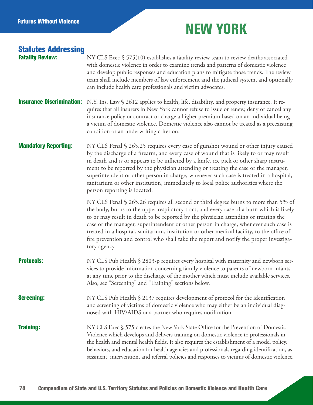## Futures Without Violence NEW YORK

### Statutes Addressing

**Fatality Review:** NY CLS Exec § 575(10) establishes a fatality review team to review deaths associated with domestic violence in order to examine trends and patterns of domestic violence and develop public responses and education plans to mitigate those trends. The review team shall include members of law enforcement and the judicial system, and optionally can include health care professionals and victim advocates.

**Insurance Discrimination:** N.Y. Ins. Law § 2612 applies to health, life, disability, and property insurance. It requires that all insurers in New York cannot refuse to issue or renew, deny or cancel any insurance policy or contract or charge a higher premium based on an individual being a victim of domestic violence. Domestic violence also cannot be treated as a preexisting condition or an underwriting criterion.

**Mandatory Reporting:** NY CLS Penal § 265.25 requires every case of gunshot wound or other injury caused by the discharge of a firearm, and every case of wound that is likely to or may result in death and is or appears to be inflicted by a knife, ice pick or other sharp instrument to be reported by the physician attending or treating the case or the manager, superintendent or other person in charge, whenever such case is treated in a hospital, sanitarium or other institution, immediately to local police authorities where the person reporting is located.

> NY CLS Penal § 265.26 requires all second or third degree burns to more than 5% of the body, burns to the upper respiratory tract, and every case of a burn which is likely to or may result in death to be reported by the physician attending or treating the case or the manager, superintendent or other person in charge, whenever such case is treated in a hospital, sanitarium, institution or other medical facility, to the office of fire prevention and control who shall take the report and notify the proper investigatory agency.

- **Protocols:** NY CLS Pub Health § 2803-p requires every hospital with maternity and newborn services to provide information concerning family violence to parents of newborn infants at any time prior to the discharge of the mother which must include available services. Also, see "Screening" and "Training" sections below.
- **Screening:** NY CLS Pub Health § 2137 requires development of protocol for the identification and screening of victims of domestic violence who may either be an individual diagnosed with HIV/AIDS or a partner who requires notification.

**Training:** NY CLS Exec § 575 creates the New York State Office for the Prevention of Domestic Violence which develops and delivers training on domestic violence to professionals in the health and mental health fields. It also requires the establishment of a model policy, behaviors, and education for health agencies and professionals regarding identification, assessment, intervention, and referral policies and responses to victims of domestic violence.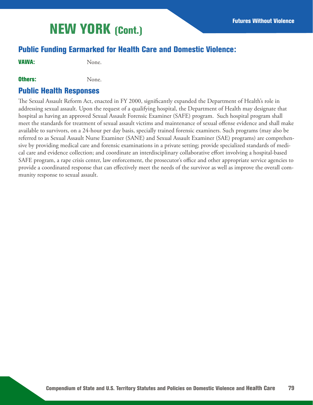## NEW YORK (Cont.)

### Public Funding Earmarked for Health Care and Domestic Violence:

VAWA: None.

#### Others: None.

Public Health Responses The Sexual Assault Reform Act, enacted in FY 2000, significantly expanded the Department of Health's role in addressing sexual assault. Upon the request of a qualifying hospital, the Department of Health may designate that hospital as having an approved Sexual Assault Forensic Examiner (SAFE) program. Such hospital program shall meet the standards for treatment of sexual assault victims and maintenance of sexual offense evidence and shall make available to survivors, on a 24-hour per day basis, specially trained forensic examiners. Such programs (may also be referred to as Sexual Assault Nurse Examiner (SANE) and Sexual Assault Examiner (SAE) programs) are comprehensive by providing medical care and forensic examinations in a private setting; provide specialized standards of medical care and evidence collection; and coordinate an interdisciplinary collaborative effort involving a hospital-based SAFE program, a rape crisis center, law enforcement, the prosecutor's office and other appropriate service agencies to provide a coordinated response that can effectively meet the needs of the survivor as well as improve the overall community response to sexual assault.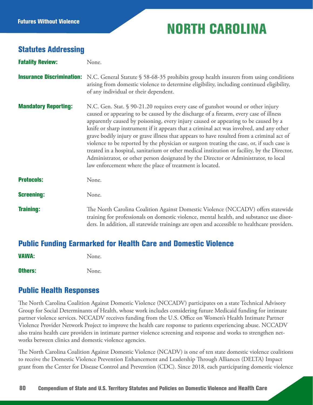## NORTH CAROLINA

### Statutes Addressing

| <b>Fatality Review:</b>     | None.                                                                                                                                                                                                                                                                                                                                                                                                                                                                                                                                                                                                                                                                                                                                                                                                    |  |
|-----------------------------|----------------------------------------------------------------------------------------------------------------------------------------------------------------------------------------------------------------------------------------------------------------------------------------------------------------------------------------------------------------------------------------------------------------------------------------------------------------------------------------------------------------------------------------------------------------------------------------------------------------------------------------------------------------------------------------------------------------------------------------------------------------------------------------------------------|--|
|                             | <b>Insurance Discrimination:</b> N.C. General Statute § 58-68-35 prohibits group health insurers from using conditions<br>arising from domestic violence to determine eligibility, including continued eligibility,<br>of any individual or their dependent.                                                                                                                                                                                                                                                                                                                                                                                                                                                                                                                                             |  |
| <b>Mandatory Reporting:</b> | N.C. Gen. Stat. § 90-21.20 requires every case of gunshot wound or other injury<br>caused or appearing to be caused by the discharge of a firearm, every case of illness<br>apparently caused by poisoning, every injury caused or appearing to be caused by a<br>knife or sharp instrument if it appears that a criminal act was involved, and any other<br>grave bodily injury or grave illness that appears to have resulted from a criminal act of<br>violence to be reported by the physician or surgeon treating the case, or, if such case is<br>treated in a hospital, sanitarium or other medical institution or facility, by the Director,<br>Administrator, or other person designated by the Director or Administrator, to local<br>law enforcement where the place of treatment is located. |  |
| <b>Protocols:</b>           | None.                                                                                                                                                                                                                                                                                                                                                                                                                                                                                                                                                                                                                                                                                                                                                                                                    |  |
| <b>Screening:</b>           | None.                                                                                                                                                                                                                                                                                                                                                                                                                                                                                                                                                                                                                                                                                                                                                                                                    |  |
| <b>Training:</b>            | The North Carolina Coalition Against Domestic Violence (NCCADV) offers statewide<br>training for professionals on domestic violence, mental health, and substance use disor-<br>ders. In addition, all statewide trainings are open and accessible to healthcare providers.                                                                                                                                                                                                                                                                                                                                                                                                                                                                                                                              |  |

#### Public Funding Earmarked for Health Care and Domestic Violence

| <b>VAWA:</b> | None. |
|--------------|-------|
| Others:      | None. |

### Public Health Responses

The North Carolina Coalition Against Domestic Violence (NCCADV) participates on a state Technical Advisory Group for Social Determinants of Health, whose work includes considering future Medicaid funding for intimate partner violence services. NCCADV receives funding from the U.S. Office on Women's Health Intimate Partner Violence Provider Network Project to improve the health care response to patients experiencing abuse. NCCADV also trains health care providers in intimate partner violence screening and response and works to strengthen networks between clinics and domestic violence agencies.

The North Carolina Coalition Against Domestic Violence (NCADV) is one of ten state domestic violence coalitions to receive the Domestic Violence Prevention Enhancement and Leadership Through Alliances (DELTA) Impact grant from the Center for Disease Control and Prevention (CDC). Since 2018, each participating domestic violence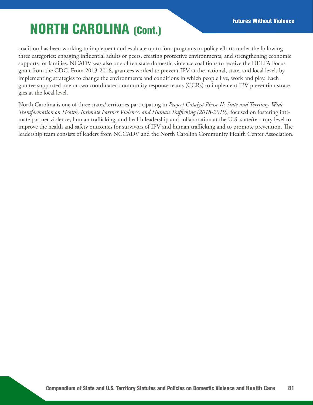## NORTH CAROLINA (Cont.)

coalition has been working to implement and evaluate up to four programs or policy efforts under the following three categories: engaging influential adults or peers, creating protective environments, and strengthening economic supports for families. NCADV was also one of ten state domestic violence coalitions to receive the DELTA Focus grant from the CDC. From 2013-2018, grantees worked to prevent IPV at the national, state, and local levels by implementing strategies to change the environments and conditions in which people live, work and play. Each grantee supported one or two coordinated community response teams (CCRs) to implement IPV prevention strategies at the local level.

North Carolina is one of three states/territories participating in *Project Catalyst Phase II: State and Territory-Wide Transformation on Health, Intimate Partner Violence, and Human Trafficking (2018-2019),* focused on fostering intimate partner violence, human trafficking, and health leadership and collaboration at the U.S. state/territory level to improve the health and safety outcomes for survivors of IPV and human trafficking and to promote prevention. The leadership team consists of leaders from NCCADV and the North Carolina Community Health Center Association.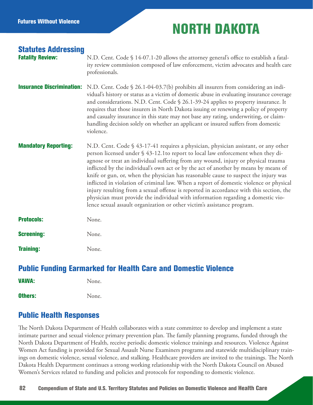## NORTH DAKOTA

### Statutes Addressing

| <b>Fatality Review:</b>     | N.D. Cent. Code § 14-07.1-20 allows the attorney general's office to establish a fatal-<br>ity review commission composed of law enforcement, victim advocates and health care<br>professionals.                                                                                                                                                                                                                                                                                                                                                                                                                                                                                                                                                                                              |
|-----------------------------|-----------------------------------------------------------------------------------------------------------------------------------------------------------------------------------------------------------------------------------------------------------------------------------------------------------------------------------------------------------------------------------------------------------------------------------------------------------------------------------------------------------------------------------------------------------------------------------------------------------------------------------------------------------------------------------------------------------------------------------------------------------------------------------------------|
|                             | <b>Insurance Discrimination:</b> N.D. Cent. Code § 26.1-04-03.7(b) prohibits all insurers from considering an indi-<br>vidual's history or status as a victim of domestic abuse in evaluating insurance coverage<br>and considerations. N.D. Cent. Code § 26.1-39-24 applies to property insurance. It<br>requires that those insurers in North Dakota issuing or renewing a policy of property<br>and casualty insurance in this state may not base any rating, underwriting, or claim-<br>handling decision solely on whether an applicant or insured suffers from domestic<br>violence.                                                                                                                                                                                                    |
| <b>Mandatory Reporting:</b> | N.D. Cent. Code § 43-17-41 requires a physician, physician assistant, or any other<br>person licensed under § 43-12.1 to report to local law enforcement when they di-<br>agnose or treat an individual suffering from any wound, injury or physical trauma<br>inflicted by the individual's own act or by the act of another by means by means of<br>knife or gun, or, when the physician has reasonable cause to suspect the injury was<br>inflicted in violation of criminal law. When a report of domestic violence or physical<br>injury resulting from a sexual offense is reported in accordance with this section, the<br>physician must provide the individual with information regarding a domestic vio-<br>lence sexual assault organization or other victim's assistance program. |
| <b>Protocols:</b>           | None.                                                                                                                                                                                                                                                                                                                                                                                                                                                                                                                                                                                                                                                                                                                                                                                         |
| <b>Screening:</b>           | None.                                                                                                                                                                                                                                                                                                                                                                                                                                                                                                                                                                                                                                                                                                                                                                                         |
| <b>Training:</b>            | None.                                                                                                                                                                                                                                                                                                                                                                                                                                                                                                                                                                                                                                                                                                                                                                                         |

### Public Funding Earmarked for Health Care and Domestic Violence

| <b>VAWA:</b>   | None. |
|----------------|-------|
| <b>Others:</b> | None. |

### Public Health Responses

The North Dakota Department of Health collaborates with a state committee to develop and implement a state intimate partner and sexual violence primary prevention plan. The family planning programs, funded through the North Dakota Department of Health, receive periodic domestic violence trainings and resources. Violence Against Women Act funding is provided for Sexual Assault Nurse Examiners programs and statewide multidisciplinary trainings on domestic violence, sexual violence, and stalking. Healthcare providers are invited to the trainings. The North Dakota Health Department continues a strong working relationship with the North Dakota Council on Abused Women's Services related to funding and policies and protocols for responding to domestic violence.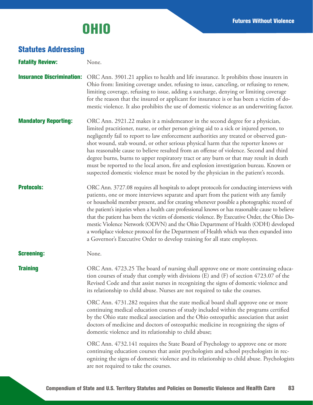

### Statutes Addressing

Fatality Review: None. **Insurance Discrimination:** ORC Ann. 3901.21 applies to health and life insurance. It prohibits those insurers in Ohio from: limiting coverage under, refusing to issue, canceling, or refusing to renew, limiting coverage, refusing to issue, adding a surcharge, denying or limiting coverage for the reason that the insured or applicant for insurance is or has been a victim of domestic violence. It also prohibits the use of domestic violence as an underwriting factor. **Mandatory Reporting:** ORC Ann. 2921.22 makes it a misdemeanor in the second degree for a physician, limited practitioner, nurse, or other person giving aid to a sick or injured person, to negligently fail to report to law enforcement authorities any treated or observed gunshot wound, stab wound, or other serious physical harm that the reporter knows or has reasonable cause to believe resulted from an offense of violence. Second and third degree burns, burns to upper respiratory tract or any burn or that may result in death must be reported to the local arson, fire and explosion investigation bureau. Known or suspected domestic violence must be noted by the physician in the patient's records. **Protocols:** ORC Ann. 3727.08 requires all hospitals to adopt protocols for conducting interviews with patients, one or more interviews separate and apart from the patient with any family or household member present, and for creating whenever possible a photographic record of the patient's injuries when a health care professional knows or has reasonable cause to believe that the patient has been the victim of domestic violence. By Executive Order, the Ohio Domestic Violence Network (ODVN) and the Ohio Department of Health (ODH) developed a workplace violence protocol for the Department of Health which was then expanded into a Governor's Executive Order to develop training for all state employees. Screening: None. **Training** ORC Ann. 4723.25 The board of nursing shall approve one or more continuing education courses of study that comply with divisions (E) and (F) of section [4723.07](http://codes.ohio.gov/orc/4723.07) of the Revised Code and that assist nurses in recognizing the signs of domestic violence and its relationship to child abuse. Nurses are not required to take the courses. ORC Ann. 4731.282 requires that the state medical board shall approve one or more continuing medical education courses of study included within the programs certified by the Ohio state medical association and the Ohio osteopathic association that assist doctors of medicine and doctors of osteopathic medicine in recognizing the signs of domestic violence and its relationship to child abuse; ORC Ann. 4732.141 requires the State Board of Psychology to approve one or more continuing education courses that assist psychologists and school psychologists in recognizing the signs of domestic violence and its relationship to child abuse. Psychologists are not required to take the courses.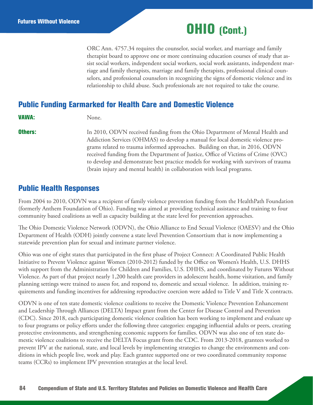## Futures Without Violence<br>
The Cont. and Cont. and Cont. and Cont. and Cont. and Cont. and Cont. and Cont. and Cont. and Cont. and Cont. and Cont. and Cont. and Cont. and Cont. and Cont. and Cont. and Cont. and Cont. and Co

ORC Ann. 4757.34 requires the counselor, social worker, and marriage and family therapist board to approve one or more continuing education courses of study that assist social workers, independent social workers, social work assistants, independent marriage and family therapists, marriage and family therapists, professional clinical counselors, and professional counselors in recognizing the signs of domestic violence and its relationship to child abuse. Such professionals are not required to take the course.

### Public Funding Earmarked for Health Care and Domestic Violence

VAWA: None.

**Others:** In 2010, ODVN received funding from the Ohio Department of Mental Health and Addiction Services (OHMAS) to develop a manual for local domestic violence programs related to trauma informed approaches. Building on that, in 2016, ODVN received funding from the Department of Justice, Office of Victims of Crime (OVC) to develop and demonstrate best practice models for working with survivors of trauma (brain injury and mental health) in collaboration with local programs.

### Public Health Responses

From 2004 to 2010, ODVN was a recipient of family violence prevention funding from the HealthPath Foundation (formerly Anthem Foundation of Ohio). Funding was aimed at providing technical assistance and training to four community based coalitions as well as capacity building at the state level for prevention approaches.

The Ohio Domestic Violence Network (ODVN), the Ohio Alliance to End Sexual Violence (OAESV) and the Ohio Department of Health (ODH) jointly convene a state level Prevention Consortium that is now implementing a statewide prevention plan for sexual and intimate partner violence.

Ohio was one of eight states that participated in the first phase of Project Connect: A Coordinated Public Health Initiative to Prevent Violence against Women (2010-2012) funded by the Office on Women's Health, U.S. DHHS with support from the Administration for Children and Families, U.S. DHHS, and coordinated by Futures Without Violence. As part of that project nearly 1,200 health care providers in adolescent health, home visitation, and family planning settings were trained to assess for, and respond to, domestic and sexual violence. In addition, training requirements and funding incentives for addressing reproductive coercion were added to Title V and Title X contracts.

ODVN is one of ten state domestic violence coalitions to receive the Domestic Violence Prevention Enhancement and Leadership Through Alliances (DELTA) Impact grant from the Center for Disease Control and Prevention (CDC). Since 2018, each participating domestic violence coalition has been working to implement and evaluate up to four programs or policy efforts under the following three categories: engaging influential adults or peers, creating protective environments, and strengthening economic supports for families. ODVN was also one of ten state domestic violence coalitions to receive the DELTA Focus grant from the CDC. From 2013-2018, grantees worked to prevent IPV at the national, state, and local levels by implementing strategies to change the environments and conditions in which people live, work and play. Each grantee supported one or two coordinated community response teams (CCRs) to implement IPV prevention strategies at the local level.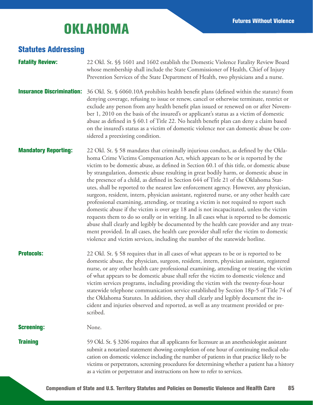## **OKLAHOMA**

### Statutes Addressing

Fatality Review: 22 Okl. St. §§ 1601 and 1602 establish the Domestic Violence Fatality Review Board whose membership shall include the State Commissioner of Health, Chief of Injury Prevention Services of the State Department of Health, two physicians and a nurse.

**Insurance Discrimination:** 36 Okl. St. § 6060.10A prohibits health benefit plans (defined within the statute) from denying coverage, refusing to issue or renew, cancel or otherwise terminate, restrict or exclude any person from any health benefit plan issued or renewed on or after November 1, 2010 on the basis of the insured's or applicant's status as a victim of domestic abuse as defined in § 60.1 of Title 22. No health benefit plan can deny a claim based on the insured's status as a victim of domestic violence nor can domestic abuse be considered a preexisting condition.

**Mandatory Reporting:** 22 Okl. St. § 58 mandates that criminally injurious conduct, as defined by the Oklahoma Crime Victims Compensation Act, which appears to be or is reported by the victim to be domestic abuse, as defined in Section 60.1 of this title, or domestic abuse by strangulation, domestic abuse resulting in great bodily harm, or domestic abuse in the presence of a child, as defined in Section 644 of Title 21 of the Oklahoma Statutes, shall be reported to the nearest law enforcement agency. However, any physician, surgeon, resident, intern, physician assistant, registered nurse, or any other health care professional examining, attending, or treating a victim is not required to report such domestic abuse if the victim is over age 18 and is not incapacitated, unless the victim requests them to do so orally or in writing. In all cases what is reported to be domestic abuse shall clearly and legibly be documented by the health care provider and any treatment provided. In all cases, the health care provider shall refer the victim to domestic violence and victim services, including the number of the statewide hotline.

**Protocols:** 22 Okl. St. § 58 requires that in all cases of what appears to be or is reported to be domestic abuse, the physician, surgeon, resident, intern, physician assistant, registered nurse, or any other health care professional examining, attending or treating the victim of what appears to be domestic abuse shall refer the victim to domestic violence and victim services programs, including providing the victim with the twenty-four-hour statewide telephone communication service established by Section 18p-5 of Title 74 of the Oklahoma Statutes. In addition, they shall clearly and legibly document the incident and injuries observed and reported, as well as any treatment provided or prescribed.

Screening: None.

**Training** 59 Okl. St. § 3206 requires that all applicants for licensure as an anesthesiologist assistant submit a notarized statement showing completion of one hour of continuing medical education on domestic violence including the number of patients in that practice likely to be victims or perpetrators, screening procedures for determining whether a patient has a history as a victim or perpetrator and instructions on how to refer to services.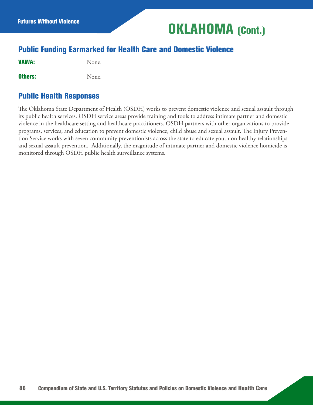# Futures Without Violence **OKLAHOMA** (Cont.)

### Public Funding Earmarked for Health Care and Domestic Violence

VAWA: None. Others: None.

### Public Health Responses

The Oklahoma State Department of Health (OSDH) works to prevent domestic violence and sexual assault through its public health services. OSDH service areas provide training and tools to address intimate partner and domestic violence in the healthcare setting and healthcare practitioners. OSDH partners with other organizations to provide programs, services, and education to prevent domestic violence, child abuse and sexual assault. The Injury Prevention Service works with seven community preventionists across the state to educate youth on healthy relationships and sexual assault prevention. Additionally, the magnitude of intimate partner and domestic violence homicide is monitored through OSDH public health surveillance systems.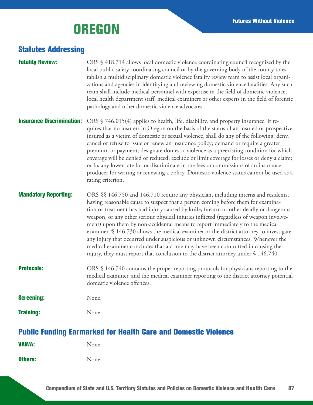### **OREGON**

### Statutes Addressing

| <b>Fatality Review:</b>          | ORS § 418.714 allows local domestic violence coordinating council recognized by the<br>local public safety coordinating council or by the governing body of the county to es-<br>tablish a multidisciplinary domestic violence fatality review team to assist local organi-<br>zations and agencies in identifying and reviewing domestic violence fatalities. Any such<br>team shall include medical personnel with expertise in the field of domestic violence,<br>local health department staff, medical examiners or other experts in the field of forensic<br>pathology and other domestic violence advocates.                                                                                                                                                                                            |
|----------------------------------|----------------------------------------------------------------------------------------------------------------------------------------------------------------------------------------------------------------------------------------------------------------------------------------------------------------------------------------------------------------------------------------------------------------------------------------------------------------------------------------------------------------------------------------------------------------------------------------------------------------------------------------------------------------------------------------------------------------------------------------------------------------------------------------------------------------|
| <b>Insurance Discrimination:</b> | ORS § 746.015(4) applies to health, life, disability, and property insurance. It re-<br>quires that no insurers in Oregon on the basis of the status of an insured or prospective<br>insured as a victim of domestic or sexual violence, shall do any of the following: deny,<br>cancel or refuse to issue or renew an insurance policy; demand or require a greater<br>premium or payment; designate domestic violence as a preexisting condition for which<br>coverage will be denied or reduced; exclude or limit coverage for losses or deny a claim;<br>or fix any lower rate for or discriminate in the fees or commissions of an insurance<br>producer for writing or renewing a policy. Domestic violence status cannot be used as a<br>rating criterion.                                              |
| <b>Mandatory Reporting:</b>      | ORS §§ 146.750 and 146.710 require any physician, including interns and residents,<br>having reasonable cause to suspect that a person coming before them for examina-<br>tion or treatment has had injury caused by knife, firearm or other deadly or dangerous<br>weapon, or any other serious physical injuries inflicted (regardless of weapon involve-<br>ment) upon them by non-accidental means to report immediately to the medical<br>examiner. § 146.730 allows the medical examiner or the district attorney to investigate<br>any injury that occurred under suspicious or unknown circumstances. Whenever the<br>medical examiner concludes that a crime may have been committed in causing the<br>injury, they must report that conclusion to the district attorney under $\frac{6}{9}$ 146.740. |
| <b>Protocols:</b>                | ORS $\frac{6}{3}$ 146.740 contains the proper reporting protocols for physicians reporting to the<br>medical examiner, and the medical examiner reporting to the district attorney potential<br>domestic violence offences.                                                                                                                                                                                                                                                                                                                                                                                                                                                                                                                                                                                    |
| <b>Screening:</b>                | None.                                                                                                                                                                                                                                                                                                                                                                                                                                                                                                                                                                                                                                                                                                                                                                                                          |
| <b>Training:</b>                 | None.                                                                                                                                                                                                                                                                                                                                                                                                                                                                                                                                                                                                                                                                                                                                                                                                          |
|                                  | <b>Public Funding Earmarked for Health Care and Domestic Violence</b>                                                                                                                                                                                                                                                                                                                                                                                                                                                                                                                                                                                                                                                                                                                                          |

| <b>VAWA:</b> | None. |
|--------------|-------|
|              |       |

Others: None.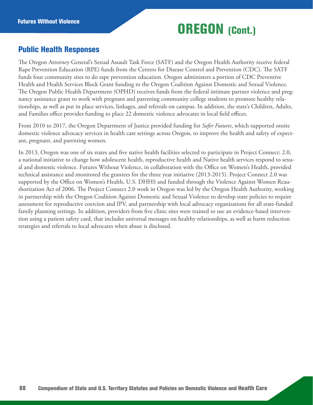## Futures Without Violence **OREGON** (Cont.)

### Public Health Responses

The Oregon Attorney General's Sexual Assault Task Force (SATF) and the Oregon Health Authority receive federal Rape Prevention Education (RPE) funds from the Centers for Disease Control and Prevention (CDC). The SATF funds four community sites to do rape prevention education. Oregon administers a portion of CDC Preventive Health and Health Services Block Grant funding to the Oregon Coalition Against Domestic and Sexual Violence. The Oregon Public Health Department (OPHD) receives funds from the federal intimate partner violence and pregnancy assistance grant to work with pregnant and parenting community college students to promote healthy relationships, as well as put in place services, linkages, and referrals on campus. In addition, the state's Children, Adults, and Families office provides funding to place 22 domestic violence advocates in local field offices.

From 2010 to 2017, the Oregon Department of Justice provided funding for *Safer Futures*, which supported onsite domestic violence advocacy services in health care settings across Oregon, to improve the health and safety of expectant, pregnant, and parenting women.

In 2013, Oregon was one of six states and five native health facilities selected to participate in Project Connect: 2.0, a national initiative to change how adolescent health, reproductive health and Native health services respond to sexual and domestic violence. Futures Without Violence, in collaboration with the Office on Women's Health, provided technical assistance and monitored the grantees for the three year initiative (2013-2015). Project Connect 2.0 was supported by the Office on Women's Health, U.S. DHHS and funded through the Violence Against Women Reauthorization Act of 2006. The Project Connect 2.0 work in Oregon was led by the Oregon Health Authority, working in partnership with the Oregon Coalition Against Domestic and Sexual Violence to develop state policies to require assessment for reproductive coercion and IPV, and partnership with local advocacy organizations for all state-funded family planning settings. In addition, providers from five clinic sites were trained to use an evidence-based intervention using a patient safety card, that includes universal messages on healthy relationships, as well as harm reduction strategies and referrals to local advocates when abuse is disclosed.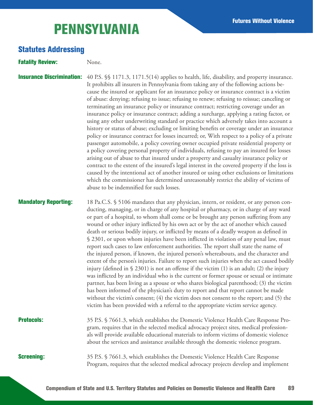### PENNSYLVANIA

### Statutes Addressing

Fatality Review: None.

**Insurance Discrimination:** 40 P.S.  $\$  1171.3, 1171.5(14) applies to health, life, disability, and property insurance. It prohibits all insurers in Pennsylvania from taking any of the following actions because the insured or applicant for an insurance policy or insurance contract is a victim of abuse: denying; refusing to issue; refusing to renew; refusing to reissue; canceling or terminating an insurance policy or insurance contract; restricting coverage under an insurance policy or insurance contract; adding a surcharge, applying a rating factor, or using any other underwriting standard or practice which adversely takes into account a history or status of abuse; excluding or limiting benefits or coverage under an insurance policy or insurance contract for losses incurred; or, With respect to a policy of a private passenger automobile, a policy covering owner occupied private residential property or a policy covering personal property of individuals, refusing to pay an insured for losses arising out of abuse to that insured under a property and casualty insurance policy or contract to the extent of the insured's legal interest in the covered property if the loss is caused by the intentional act of another insured or using other exclusions or limitations which the commissioner has determined unreasonably restrict the ability of victims of abuse to be indemnified for such losses.

**Mandatory Reporting:** 18 Pa.C.S. § 5106 mandates that any physician, intern, or resident, or any person conducting, managing, or in charge of any hospital or pharmacy, or in charge of any ward or part of a hospital, to whom shall come or be brought any person suffering from any wound or other injury inflicted by his own act or by the act of another which caused death or serious bodily injury, or inflicted by means of a deadly weapon as defined in § 2301, or upon whom injuries have been inflicted in violation of any penal law, must report such cases to law enforcement authorities. The report shall state the name of the injured person, if known, the injured person's whereabouts, and the character and extent of the person's injuries. Failure to report such injuries when the act caused bodily injury (defined in  $\S 2301$ ) is not an offense if the victim (1) is an adult; (2) the injury was inflicted by an individual who is the current or former spouse or sexual or intimate partner, has been living as a spouse or who shares biological parenthood; (3) the victim has been informed of the physician's duty to report and that report cannot be made without the victim's consent;  $(4)$  the victim does not consent to the report; and  $(5)$  the victim has been provided with a referral to the appropriate victim service agency.

#### **Protocols:** 35 P.S. § 7661.3, which establishes the Domestic Violence Health Care Response Program, requires that in the selected medical advocacy project sites, medical professionals will provide available educational materials to inform victims of domestic violence about the services and assistance available through the domestic violence program.

#### **Screening:** 35 P.S. § 7661.3, which establishes the Domestic Violence Health Care Response Program, requires that the selected medical advocacy projects develop and implement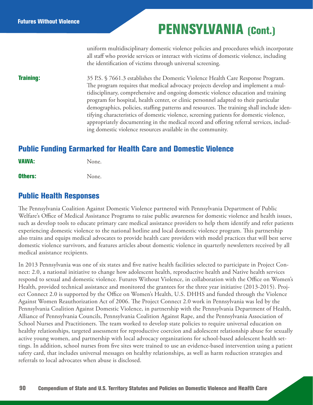## PENNSYLVANIA (Cont.)

uniform multidisciplinary domestic violence policies and procedures which incorporate all staff who provide services or interact with victims of domestic violence, including the identification of victims through universal screening.

**Training:** 35 P.S. § 7661.3 establishes the Domestic Violence Health Care Response Program. The program requires that medical advocacy projects develop and implement a multidisciplinary, comprehensive and ongoing domestic violence education and training program for hospital, health center, or clinic personnel adapted to their particular demographics, policies, staffing patterns and resources. The training shall include identifying characteristics of domestic violence, screening patients for domestic violence, appropriately documenting in the medical record and offering referral services, including domestic violence resources available in the community.

### Public Funding Earmarked for Health Care and Domestic Violence

VAWA: None. Others: None.

### Public Health Responses

The Pennsylvania Coalition Against Domestic Violence partnered with Pennsylvania Department of Public Welfare's Office of Medical Assistance Programs to raise public awareness for domestic violence and health issues, such as develop tools to educate primary care medical assistance providers to help them identify and refer patients experiencing domestic violence to the national hotline and local domestic violence program. This partnership also trains and equips medical advocates to provide health care providers with model practices that will best serve domestic violence survivors, and features articles about domestic violence in quarterly newsletters received by all medical assistance recipients.

In 2013 Pennsylvania was one of six states and five native health facilities selected to participate in Project Connect: 2.0, a national initiative to change how adolescent health, reproductive health and Native health services respond to sexual and domestic violence. Futures Without Violence, in collaboration with the Office on Women's Health, provided technical assistance and monitored the grantees for the three year initiative (2013-2015). Project Connect 2.0 is supported by the Office on Women's Health, U.S. DHHS and funded through the Violence Against Women Reauthorization Act of 2006. The Project Connect 2.0 work in Pennsylvania was led by the Pennsylvania Coalition Against Domestic Violence, in partnership with the Pennsylvania Department of Health, Alliance of Pennsylvania Councils, Pennsylvania Coalition Against Rape, and the Pennsylvania Association of School Nurses and Practitioners. The team worked to develop state policies to require universal education on healthy relationships, targeted assessment for reproductive coercion and adolescent relationship abuse for sexually active young women, and partnership with local advocacy organizations for school-based adolescent health settings. In addition, school nurses from five sites were trained to use an evidence-based intervention using a patient safety card, that includes universal messages on healthy relationships, as well as harm reduction strategies and referrals to local advocates when abuse is disclosed.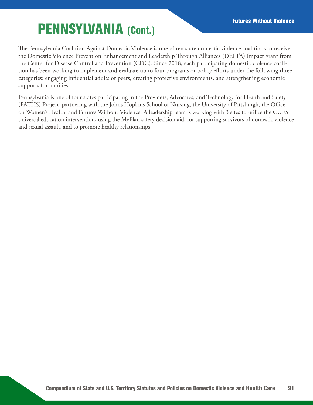## PENNSYLVANIA (Cont.)

The Pennsylvania Coalition Against Domestic Violence is one of ten state domestic violence coalitions to receive the Domestic Violence Prevention Enhancement and Leadership Through Alliances (DELTA) Impact grant from the Center for Disease Control and Prevention (CDC). Since 2018, each participating domestic violence coalition has been working to implement and evaluate up to four programs or policy efforts under the following three categories: engaging influential adults or peers, creating protective environments, and strengthening economic supports for families.

Pennsylvania is one of four states participating in the Providers, Advocates, and Technology for Health and Safety (PATHS) Project, partnering with the Johns Hopkins School of Nursing, the University of Pittsburgh, the Office on Women's Health, and Futures Without Violence. A leadership team is working with 3 sites to utilize the CUES universal education intervention, using the MyPlan safety decision aid, for supporting survivors of domestic violence and sexual assault, and to promote healthy relationships.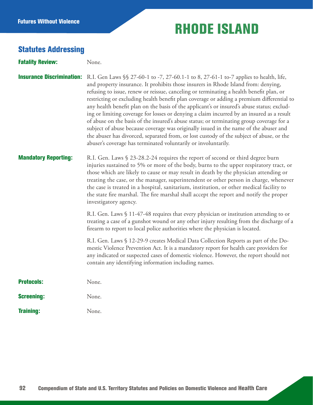## Futures Without Violence **RHODE ISLAND**

### Statutes Addressing

| None. |
|-------|
|       |

**Insurance Discrimination:** R.I. Gen Laws § 27-60-1 to -7, 27-60.1-1 to 8, 27-61-1 to-7 applies to health, life, and property insurance. It prohibits those insurers in Rhode Island from: denying, refusing to issue, renew or reissue, canceling or terminating a health benefit plan, or restricting or excluding health benefit plan coverage or adding a premium differential to any health benefit plan on the basis of the applicant's or insured's abuse status; excluding or limiting coverage for losses or denying a claim incurred by an insured as a result of abuse on the basis of the insured's abuse status; or terminating group coverage for a subject of abuse because coverage was originally issued in the name of the abuser and the abuser has divorced, separated from, or lost custody of the subject of abuse, or the abuser's coverage has terminated voluntarily or involuntarily.

#### **Mandatory Reporting:** R.I. Gen. Laws § 23-28.2-24 requires the report of second or third degree burn injuries sustained to 5% or more of the body, burns to the upper respiratory tract, or those which are likely to cause or may result in death by the physician attending or treating the case, or the manager, superintendent or other person in charge, whenever the case is treated in a hospital, sanitarium, institution, or other medical facility to the state fire marshal. The fire marshal shall accept the report and notify the proper investigatory agency.

R.I. Gen. Laws § 11-47-48 requires that every physician or institution attending to or treating a case of a gunshot wound or any other injury resulting from the discharge of a firearm to report to local police authorities where the physician is located.

R.I. Gen. Laws § 12-29-9 creates Medical Data Collection Reports as part of the Domestic Violence Prevention Act. It is a mandatory report for health care providers for any indicated or suspected cases of domestic violence. However, the report should not contain any identifying information including names.

| <b>Protocols:</b> | None. |
|-------------------|-------|
| <b>Screening:</b> | None. |
| <b>Training:</b>  | None. |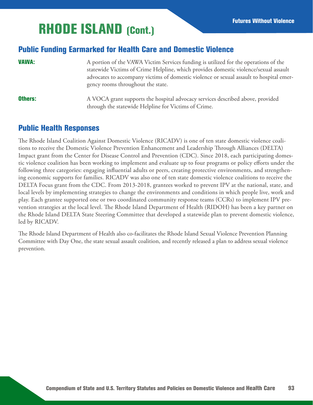### RHODE ISLAND (Cont.)

### Public Funding Earmarked for Health Care and Domestic Violence

VAWA: A portion of the VAWA Victim Services funding is utilized for the operations of the statewide Victims of Crime Helpline, which provides domestic violence/sexual assault advocates to accompany victims of domestic violence or sexual assault to hospital emergency rooms throughout the state.

**Others:** A VOCA grant supports the hospital advocacy services described above, provided through the statewide Helpline for Victims of Crime.

### Public Health Responses

The Rhode Island Coalition Against Domestic Violence (RICADV) is one of ten state domestic violence coalitions to receive the Domestic Violence Prevention Enhancement and Leadership Through Alliances (DELTA) Impact grant from the Center for Disease Control and Prevention (CDC). Since 2018, each participating domestic violence coalition has been working to implement and evaluate up to four programs or policy efforts under the following three categories: engaging influential adults or peers, creating protective environments, and strengthening economic supports for families. RICADV was also one of ten state domestic violence coalitions to receive the DELTA Focus grant from the CDC. From 2013-2018, grantees worked to prevent IPV at the national, state, and local levels by implementing strategies to change the environments and conditions in which people live, work and play. Each grantee supported one or two coordinated community response teams (CCRs) to implement IPV prevention strategies at the local level. The Rhode Island Department of Health (RIDOH) has been a key partner on the Rhode Island DELTA State Steering Committee that developed a statewide plan to prevent domestic violence, led by RICADV.

The Rhode Island Department of Health also co-facilitates the Rhode Island Sexual Violence Prevention Planning Committee with Day One, the state sexual assault coalition, and recently released a plan to address sexual violence prevention.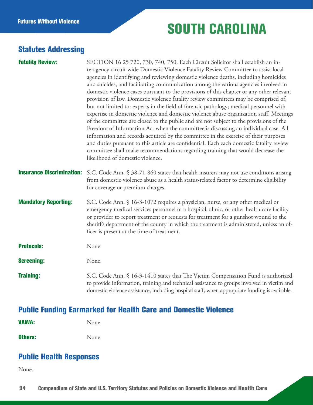# Futures Without Violence SOUTH CAROLINA

### Statutes Addressing

| <b>Fatality Review:</b>          | SECTION 16 25 720, 730, 740, 750. Each Circuit Solicitor shall establish an in-<br>teragency circuit wide Domestic Violence Fatality Review Committee to assist local<br>agencies in identifying and reviewing domestic violence deaths, including homicides<br>and suicides, and facilitating communication among the various agencies involved in<br>domestic violence cases pursuant to the provisions of this chapter or any other relevant<br>provision of law. Domestic violence fatality review committees may be comprised of,<br>but not limited to: experts in the field of forensic pathology; medical personnel with<br>expertise in domestic violence and domestic violence abuse organization staff. Meetings<br>of the committee are closed to the public and are not subject to the provisions of the<br>Freedom of Information Act when the committee is discussing an individual case. All<br>information and records acquired by the committee in the exercise of their purposes<br>and duties pursuant to this article are confidential. Each each domestic fatality review<br>committee shall make recommendations regarding training that would decrease the<br>likelihood of domestic violence. |
|----------------------------------|------------------------------------------------------------------------------------------------------------------------------------------------------------------------------------------------------------------------------------------------------------------------------------------------------------------------------------------------------------------------------------------------------------------------------------------------------------------------------------------------------------------------------------------------------------------------------------------------------------------------------------------------------------------------------------------------------------------------------------------------------------------------------------------------------------------------------------------------------------------------------------------------------------------------------------------------------------------------------------------------------------------------------------------------------------------------------------------------------------------------------------------------------------------------------------------------------------------------|
| <b>Insurance Discrimination:</b> | S.C. Code Ann. § 38-71-860 states that health insurers may not use conditions arising<br>from domestic violence abuse as a health status-related factor to determine eligibility<br>for coverage or premium charges.                                                                                                                                                                                                                                                                                                                                                                                                                                                                                                                                                                                                                                                                                                                                                                                                                                                                                                                                                                                                   |
| <b>Mandatory Reporting:</b>      | S.C. Code Ann. § 16-3-1072 requires a physician, nurse, or any other medical or<br>emergency medical services personnel of a hospital, clinic, or other health care facility<br>or provider to report treatment or requests for treatment for a gunshot wound to the<br>sheriff's department of the county in which the treatment is administered, unless an of-<br>ficer is present at the time of treatment.                                                                                                                                                                                                                                                                                                                                                                                                                                                                                                                                                                                                                                                                                                                                                                                                         |
| <b>Protocols:</b>                | None.                                                                                                                                                                                                                                                                                                                                                                                                                                                                                                                                                                                                                                                                                                                                                                                                                                                                                                                                                                                                                                                                                                                                                                                                                  |
| <b>Screening:</b>                | None.                                                                                                                                                                                                                                                                                                                                                                                                                                                                                                                                                                                                                                                                                                                                                                                                                                                                                                                                                                                                                                                                                                                                                                                                                  |
| <b>Training:</b>                 | S.C. Code Ann. § 16-3-1410 states that The Victim Compensation Fund is authorized<br>to provide information, training and technical assistance to groups involved in victim and<br>domestic violence assistance, including hospital staff, when appropriate funding is available.                                                                                                                                                                                                                                                                                                                                                                                                                                                                                                                                                                                                                                                                                                                                                                                                                                                                                                                                      |

### Public Funding Earmarked for Health Care and Domestic Violence

VAWA: None.

Others: None.

### Public Health Responses

None.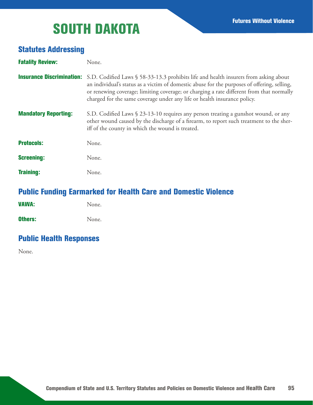## SOUTH DAKOTA

### Statutes Addressing

| <b>Fatality Review:</b>     | None.                                                                                                                                                                                                                                                                                                                                                                                        |
|-----------------------------|----------------------------------------------------------------------------------------------------------------------------------------------------------------------------------------------------------------------------------------------------------------------------------------------------------------------------------------------------------------------------------------------|
|                             | <b>Insurance Discrimination:</b> S.D. Codified Laws § 58-33-13.3 prohibits life and health insurers from asking about<br>an individual's status as a victim of domestic abuse for the purposes of offering, selling,<br>or renewing coverage; limiting coverage; or charging a rate different from that normally<br>charged for the same coverage under any life or health insurance policy. |
| <b>Mandatory Reporting:</b> | S.D. Codified Laws § 23-13-10 requires any person treating a gunshot wound, or any<br>other wound caused by the discharge of a firearm, to report such treatment to the sher-<br>iff of the county in which the wound is treated.                                                                                                                                                            |
| <b>Protocols:</b>           | None.                                                                                                                                                                                                                                                                                                                                                                                        |
| <b>Screening:</b>           | None.                                                                                                                                                                                                                                                                                                                                                                                        |
| <b>Training:</b>            | None.                                                                                                                                                                                                                                                                                                                                                                                        |

### Public Funding Earmarked for Health Care and Domestic Violence

VAWA: None.

Others: None.

### Public Health Responses

None.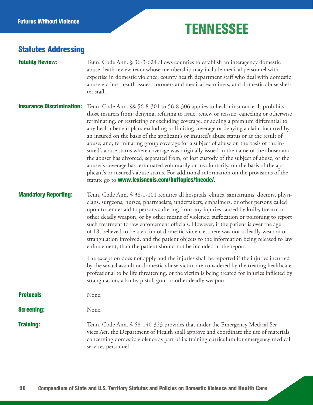## Futures Without Violence TENNESSEE

### Statutes Addressing

| <b>Fatality Review:</b>          | Tenn. Code Ann. § 36-3-624 allows counties to establish an interagency domestic<br>abuse death review team whose membership may include medical personnel with<br>expertise in domestic violence, county health department staff who deal with domestic<br>abuse victims' health issues, coroners and medical examiners, and domestic abuse shel-<br>ter staff.                                                                                                                                                                                                                                                                                                                                                                                                                                                                                                                                                                                                                                    |
|----------------------------------|----------------------------------------------------------------------------------------------------------------------------------------------------------------------------------------------------------------------------------------------------------------------------------------------------------------------------------------------------------------------------------------------------------------------------------------------------------------------------------------------------------------------------------------------------------------------------------------------------------------------------------------------------------------------------------------------------------------------------------------------------------------------------------------------------------------------------------------------------------------------------------------------------------------------------------------------------------------------------------------------------|
| <b>Insurance Discrimination:</b> | Tenn. Code Ann. \$ 56-8-301 to 56-8-306 applies to health insurance. It prohibits<br>those insurers from: denying, refusing to issue, renew or reissue, canceling or otherwise<br>terminating, or restricting or excluding coverage, or adding a premium differential to<br>any health benefit plan; excluding or limiting coverage or denying a claim incurred by<br>an insured on the basis of the applicant's or insured's abuse status or as the result of<br>abuse; and, terminating group coverage for a subject of abuse on the basis of the in-<br>sured's abuse status where coverage was originally issued in the name of the abuser and<br>the abuser has divorced, separated from, or lost custody of the subject of abuse, or the<br>abuser's coverage has terminated voluntarily or involuntarily, on the basis of the ap-<br>plicant's or insured's abuse status. For additional information on the provisions of the<br>statute go to <b>www.lexisnexis.com/hottopics/tncode/.</b> |
| <b>Mandatory Reporting:</b>      | Tenn. Code Ann. § 38-1-101 requires all hospitals, clinics, sanitariums, doctors, physi-<br>cians, surgeons, nurses, pharmacists, undertakers, embalmers, or other persons called<br>upon to tender aid to persons suffering from any injuries caused by knife, firearm or<br>other deadly weapon, or by other means of violence, suffocation or poisoning to report<br>such treatment to law enforcement officials. However, if the patient is over the age<br>of 18, believed to be a victim of domestic violence, there was not a deadly weapon or<br>strangulation involved, and the patient objects to the information being released to law<br>enforcement, than the patient should not be included in the report.                                                                                                                                                                                                                                                                           |
|                                  | The exception does not apply and the injuries shall be reported if the injuries incurred<br>by the sexual assault or domestic abuse victim are considered by the treating healthcare<br>professional to be life threatening, or the victim is being treated for injuries inflicted by<br>strangulation, a knife, pistol, gun, or other deadly weapon.                                                                                                                                                                                                                                                                                                                                                                                                                                                                                                                                                                                                                                              |
| <b>Protocols</b>                 | None.                                                                                                                                                                                                                                                                                                                                                                                                                                                                                                                                                                                                                                                                                                                                                                                                                                                                                                                                                                                              |
| <b>Screening:</b>                | None.                                                                                                                                                                                                                                                                                                                                                                                                                                                                                                                                                                                                                                                                                                                                                                                                                                                                                                                                                                                              |
| <b>Training:</b>                 | Tenn. Code Ann. § 68-140-323 provides that under the Emergency Medical Ser-<br>vices Act, the Department of Health shall approve and coordinate the use of materials<br>concerning domestic violence as part of its training curriculum for emergency medical<br>services personnel.                                                                                                                                                                                                                                                                                                                                                                                                                                                                                                                                                                                                                                                                                                               |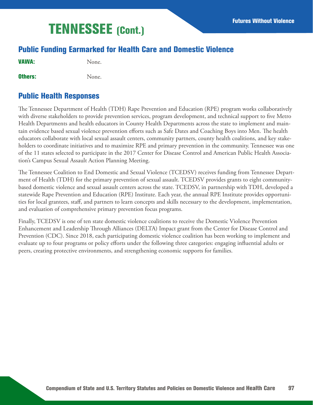### TENNESSEE (Cont.)

### Public Funding Earmarked for Health Care and Domestic Violence

VAWA: None. Others: None.

### Public Health Responses

The Tennessee Department of Health (TDH) Rape Prevention and Education (RPE) program works collaboratively with diverse stakeholders to provide prevention services, program development, and technical support to five Metro Health Departments and health educators in County Health Departments across the state to implement and maintain evidence based sexual violence prevention efforts such as Safe Dates and Coaching Boys into Men. The health educators collaborate with local sexual assault centers, community partners, county health coalitions, and key stakeholders to coordinate initiatives and to maximize RPE and primary prevention in the community. Tennessee was one of the 11 states selected to participate in the 2017 Center for Disease Control and American Public Health Association's Campus Sexual Assault Action Planning Meeting.

The Tennessee Coalition to End Domestic and Sexual Violence (TCEDSV) receives funding from Tennessee Department of Health (TDH) for the primary prevention of sexual assault. TCEDSV provides grants to eight communitybased domestic violence and sexual assault centers across the state. TCEDSV, in partnership with TDH, developed a statewide Rape Prevention and Education (RPE) Institute. Each year, the annual RPE Institute provides opportunities for local grantees, staff, and partners to learn concepts and skills necessary to the development, implementation, and evaluation of comprehensive primary prevention focus programs.

Finally, TCEDSV is one of ten state domestic violence coalitions to receive the Domestic Violence Prevention Enhancement and Leadership Through Alliances (DELTA) Impact grant from the Center for Disease Control and Prevention (CDC). Since 2018, each participating domestic violence coalition has been working to implement and evaluate up to four programs or policy efforts under the following three categories: engaging influential adults or peers, creating protective environments, and strengthening economic supports for families.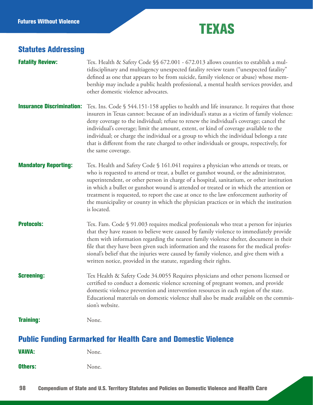

### Statutes Addressing

| <b>Fatality Review:</b>          | Tex. Health & Safety Code § 672.001 - 672.013 allows counties to establish a mul-<br>tidisciplinary and multiagency unexpected fatality review team ("unexpected fatality"<br>defined as one that appears to be from suicide, family violence or abuse) whose mem-<br>bership may include a public health professional, a mental health services provider, and<br>other domestic violence advocates.                                                                                                                                                                                     |
|----------------------------------|------------------------------------------------------------------------------------------------------------------------------------------------------------------------------------------------------------------------------------------------------------------------------------------------------------------------------------------------------------------------------------------------------------------------------------------------------------------------------------------------------------------------------------------------------------------------------------------|
| <b>Insurance Discrimination:</b> | Tex. Ins. Code § 544.151-158 applies to health and life insurance. It requires that those<br>insurers in Texas cannot: because of an individual's status as a victim of family violence:<br>deny coverage to the individual; refuse to renew the individual's coverage; cancel the<br>individual's coverage; limit the amount, extent, or kind of coverage available to the<br>individual; or charge the individual or a group to which the individual belongs a rate<br>that is different from the rate charged to other individuals or groups, respectively, for<br>the same coverage. |
| <b>Mandatory Reporting:</b>      | Tex. Health and Safety Code § 161.041 requires a physician who attends or treats, or<br>who is requested to attend or treat, a bullet or gunshot wound, or the administrator,<br>superintendent, or other person in charge of a hospital, sanitarium, or other institution<br>in which a bullet or gunshot wound is attended or treated or in which the attention or<br>treatment is requested, to report the case at once to the law enforcement authority of<br>the municipality or county in which the physician practices or in which the institution<br>is located.                 |
| <b>Protocols:</b>                | Tex. Fam. Code § 91.003 requires medical professionals who treat a person for injuries<br>that they have reason to believe were caused by family violence to immediately provide<br>them with information regarding the nearest family violence shelter, document in their<br>file that they have been given such information and the reasons for the medical profes-<br>sional's belief that the injuries were caused by family violence, and give them with a<br>written notice, provided in the statute, regarding their rights.                                                      |
| <b>Screening:</b>                | Tex Health & Safety Code 34.0055 Requires physicians and other persons licensed or<br>certified to conduct a domestic violence screening of pregnant women, and provide<br>domestic violence prevention and intervention resources in each region of the state.<br>Educational materials on domestic violence shall also be made available on the commis-<br>sion's website.                                                                                                                                                                                                             |
| <b>Training:</b>                 | None.                                                                                                                                                                                                                                                                                                                                                                                                                                                                                                                                                                                    |
|                                  |                                                                                                                                                                                                                                                                                                                                                                                                                                                                                                                                                                                          |

### Public Funding Earmarked for Health Care and Domestic Violence

VAWA: None.

Others: None.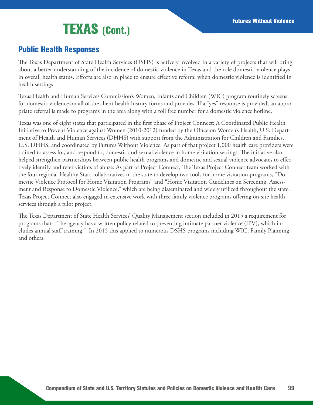## TEXAS (Cont.)

### Public Health Responses

The Texas Department of State Health Services (DSHS) is actively involved in a variety of projects that will bring about a better understanding of the incidence of domestic violence in Texas and the role domestic violence plays in overall health status. Efforts are also in place to ensure effective referral when domestic violence is identified in health settings.

Texas Health and Human Services Commission's Women, Infants and Children (WIC) program routinely screens for domestic violence on all of the client health history forms and provides If a "yes" response is provided, an appropriate referral is made to programs in the area along with a toll free number for a domestic violence hotline.

Texas was one of eight states that participated in the first phase of Project Connect: A Coordinated Public Health Initiative to Prevent Violence against Women (2010-2012) funded by the Office on Women's Health, U.S. Department of Health and Human Services (DHHS) with support from the Administration for Children and Families, U.S. DHHS, and coordinated by Futures Without Violence. As part of that project 1,000 health care providers were trained to assess for, and respond to, domestic and sexual violence in home visitation settings. The initiative also helped strengthen partnerships between public health programs and domestic and sexual violence advocates to effectively identify and refer victims of abuse. As part of Project Connect, The Texas Project Connect team worked with the four regional Healthy Start collaboratives in the state to develop two tools for home visitation programs, "Domestic Violence Protocol for Home Visitation Programs" and "Home Visitation Guidelines on Screening, Assessment and Response to Domestic Violence," which are being disseminated and widely utilized throughout the state. Texas Project Connect also engaged in extensive work with three family violence programs offering on-site health services through a pilot project.

The Texas Department of State Health Services' Quality Management section included in 2015 a requirement for programs that: "The agency has a written policy related to preventing intimate partner violence (IPV), which includes annual staff training." In 2015 this applied to numerous DSHS programs including WIC, Family Planning, and others.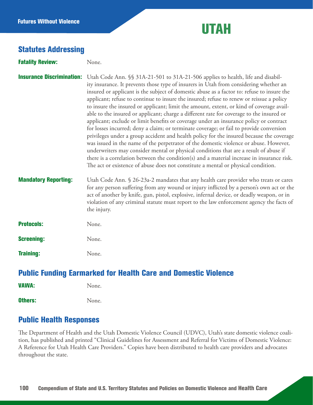

#### Statutes Addressing

Fatality Review: None.

**Insurance Discrimination:** Utah Code Ann.  $\$  31A-21-501 to 31A-21-506 applies to health, life and disability insurance. It prevents those type of insurers in Utah from considering whether an insured or applicant is the subject of domestic abuse as a factor to: refuse to insure the applicant; refuse to continue to insure the insured; refuse to renew or reissue a policy to insure the insured or applicant; limit the amount, extent, or kind of coverage available to the insured or applicant; charge a different rate for coverage to the insured or applicant; exclude or limit benefits or coverage under an insurance policy or contract for losses incurred; deny a claim; or terminate coverage; or fail to provide conversion privileges under a group accident and health policy for the insured because the coverage was issued in the name of the perpetrator of the domestic violence or abuse. However, underwriters may consider mental or physical conditions that are a result of abuse if there is a correlation between the condition(s) and a material increase in insurance risk. The act or existence of abuse does not constitute a mental or physical condition[.](http://www.le.state.ut.us/UtahCode/section.jsp?code=31A-21.) **Mandatory Reporting:** Utah Code Ann. § 26-23a-2 mandates that any health care provider who treats or cares for any person suffering from any wound or injury inflicted by a person's own act or the act of another by knife, gun, pistol, explosive, infernal device, or deadly weapon, or in violation of any criminal statute must report to the law enforcement agency the facts of

| <b>Protocols:</b> | None. |
|-------------------|-------|
| <b>Screening:</b> | None. |
| <b>Training:</b>  | None. |

the injury.

### Public Funding Earmarked for Health Care and Domestic Violence

| <b>VAWA:</b>   | None. |
|----------------|-------|
| <b>Others:</b> | None. |

### Public Health Responses

The Department of Health and the Utah Domestic Violence Council (UDVC), Utah's state domestic violence coalition, has published and printed "Clinical Guidelines for Assessment and Referral for Victims of Domestic Violence: A Reference for Utah Health Care Providers." Copies have been distributed to health care providers and advocates throughout the state.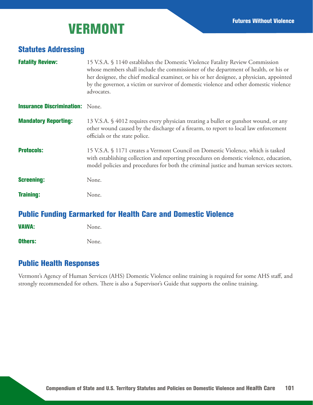

### Statutes Addressing

| <b>Fatality Review:</b>                | 15 V.S.A. § 1140 establishes the Domestic Violence Fatality Review Commission<br>whose members shall include the commissioner of the department of health, or his or<br>her designee, the chief medical examiner, or his or her designee, a physician, appointed<br>by the governor, a victim or survivor of domestic violence and other domestic violence<br>advocates. |
|----------------------------------------|--------------------------------------------------------------------------------------------------------------------------------------------------------------------------------------------------------------------------------------------------------------------------------------------------------------------------------------------------------------------------|
| <b>Insurance Discrimination: None.</b> |                                                                                                                                                                                                                                                                                                                                                                          |
| <b>Mandatory Reporting:</b>            | 13 V.S.A. § 4012 requires every physician treating a bullet or gunshot wound, or any<br>other wound caused by the discharge of a firearm, to report to local law enforcement<br>officials or the state police.                                                                                                                                                           |
| <b>Protocols:</b>                      | 15 V.S.A. § 1171 creates a Vermont Council on Domestic Violence, which is tasked<br>with establishing collection and reporting procedures on domestic violence, education,<br>model policies and procedures for both the criminal justice and human services sectors.                                                                                                    |
| <b>Screening:</b>                      | None.                                                                                                                                                                                                                                                                                                                                                                    |
| <b>Training:</b>                       | None.                                                                                                                                                                                                                                                                                                                                                                    |

### Public Funding Earmarked for Health Care and Domestic Violence

| <b>VAWA:</b> | None. |
|--------------|-------|
| Others:      | None. |

### Public Health Responses

Vermont's Agency of Human Services (AHS) Domestic Violence online training is required for some AHS staff, and strongly recommended for others. There is also a Supervisor's Guide that supports the online training.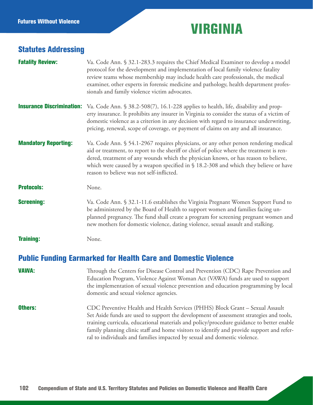### VIRGINIA

### Statutes Addressing

| <b>Fatality Review:</b>                                               | Va. Code Ann. § 32.1-283.3 requires the Chief Medical Examiner to develop a model<br>protocol for the development and implementation of local family violence fatality<br>review teams whose membership may include health care professionals, the medical<br>examiner, other experts in forensic medicine and pathology, health department profes-<br>sionals and family violence victim advocates.          |  |
|-----------------------------------------------------------------------|---------------------------------------------------------------------------------------------------------------------------------------------------------------------------------------------------------------------------------------------------------------------------------------------------------------------------------------------------------------------------------------------------------------|--|
| <b>Insurance Discrimination:</b>                                      | Va. Code Ann. § 38.2-508(7), 16.1-228 applies to health, life, disability and prop-<br>erty insurance. It prohibits any insurer in Virginia to consider the status of a victim of<br>domestic violence as a criterion in any decision with regard to insurance underwriting,<br>pricing, renewal, scope of coverage, or payment of claims on any and all insurance.                                           |  |
| <b>Mandatory Reporting:</b>                                           | Va. Code Ann. § 54.1-2967 requires physicians, or any other person rendering medical<br>aid or treatment, to report to the sheriff or chief of police where the treatment is ren-<br>dered, treatment of any wounds which the physician knows, or has reason to believe,<br>which were caused by a weapon specified in § 18.2-308 and which they believe or have<br>reason to believe was not self-inflicted. |  |
| <b>Protocols:</b>                                                     | None.                                                                                                                                                                                                                                                                                                                                                                                                         |  |
| <b>Screening:</b>                                                     | Va. Code Ann. § 32.1-11.6 establishes the Virginia Pregnant Women Support Fund to<br>be administered by the Board of Health to support women and families facing un-<br>planned pregnancy. The fund shall create a program for screening pregnant women and<br>new mothers for domestic violence, dating violence, sexual assault and stalking.                                                               |  |
| <b>Training:</b>                                                      | None.                                                                                                                                                                                                                                                                                                                                                                                                         |  |
| <b>Public Funding Earmarked for Health Care and Domestic Violence</b> |                                                                                                                                                                                                                                                                                                                                                                                                               |  |

VAWA: Through the Centers for Disease Control and Prevention (CDC) Rape Prevention and Education Program, Violence Against Woman Act (VAWA) funds are used to support the implementation of sexual violence prevention and education programming by local domestic and sexual violence agencies.

**Others:** CDC Preventive Health and Health Services (PHHS) Block Grant - Sexual Assault Set Aside funds are used to support the development of assessment strategies and tools, training curricula, educational materials and policy/procedure guidance to better enable family planning clinic staff and home visitors to identify and provide support and referral to individuals and families impacted by sexual and domestic violence.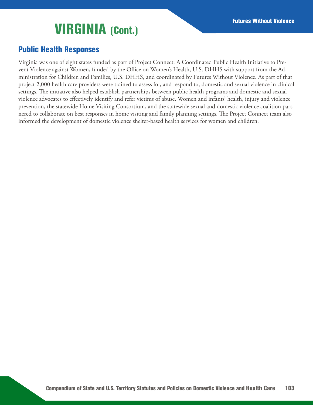## VIRGINIA (Cont.)

#### Public Health Responses

Virginia was one of eight states funded as part of Project Connect: A Coordinated Public Health Initiative to Prevent Violence against Women, funded by the Office on Women's Health, U.S. DHHS with support from the Administration for Children and Families, U.S. DHHS, and coordinated by Futures Without Violence. As part of that project 2,000 health care providers were trained to assess for, and respond to, domestic and sexual violence in clinical settings. The initiative also helped establish partnerships between public health programs and domestic and sexual violence advocates to effectively identify and refer victims of abuse. Women and infants' health, injury and violence prevention, the statewide Home Visiting Consortium, and the statewide sexual and domestic violence coalition partnered to collaborate on best responses in home visiting and family planning settings. The Project Connect team also informed the development of domestic violence shelter-based health services for women and children.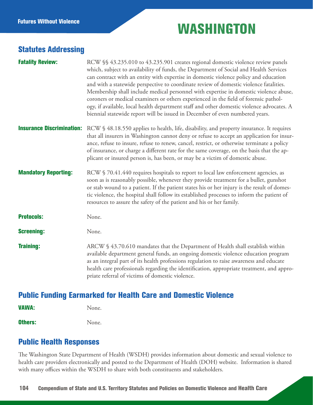# Futures Without Violence WASHINGTON

#### Statutes Addressing

| <b>Fatality Review:</b>          | RCW §§ 43.235.010 to 43.235.901 creates regional domestic violence review panels<br>which, subject to availability of funds, the Department of Social and Health Services<br>can contract with an entity with expertise in domestic violence policy and education<br>and with a statewide perspective to coordinate review of domestic violence fatalities.<br>Membership shall include medical personnel with expertise in domestic violence abuse,<br>coroners or medical examiners or others experienced in the field of forensic pathol-<br>ogy, if available, local health department staff and other domestic violence advocates. A<br>biennial statewide report will be issued in December of even numbered years. |
|----------------------------------|---------------------------------------------------------------------------------------------------------------------------------------------------------------------------------------------------------------------------------------------------------------------------------------------------------------------------------------------------------------------------------------------------------------------------------------------------------------------------------------------------------------------------------------------------------------------------------------------------------------------------------------------------------------------------------------------------------------------------|
| <b>Insurance Discrimination:</b> | RCW § 48.18.550 applies to health, life, disability, and property insurance. It requires<br>that all insurers in Washington cannot deny or refuse to accept an application for insur-<br>ance, refuse to insure, refuse to renew, cancel, restrict, or otherwise terminate a policy<br>of insurance, or charge a different rate for the same coverage, on the basis that the ap-<br>plicant or insured person is, has been, or may be a victim of domestic abuse.                                                                                                                                                                                                                                                         |
| <b>Mandatory Reporting:</b>      | RCW § 70.41.440 requires hospitals to report to local law enforcement agencies, as<br>soon as is reasonably possible, whenever they provide treatment for a bullet, gunshot<br>or stab wound to a patient. If the patient states his or her injury is the result of domes-<br>tic violence, the hospital shall follow its established processes to inform the patient of<br>resources to assure the safety of the patient and his or her family.                                                                                                                                                                                                                                                                          |
| <b>Protocols:</b>                | None.                                                                                                                                                                                                                                                                                                                                                                                                                                                                                                                                                                                                                                                                                                                     |
| <b>Screening:</b>                | None.                                                                                                                                                                                                                                                                                                                                                                                                                                                                                                                                                                                                                                                                                                                     |
| <b>Training:</b>                 | ARCW § 43.70.610 mandates that the Department of Health shall establish within<br>available department general funds, an ongoing domestic violence education program<br>as an integral part of its health professions regulation to raise awareness and educate<br>health care professionals regarding the identification, appropriate treatment, and appro-<br>priate referral of victims of domestic violence.                                                                                                                                                                                                                                                                                                          |

#### Public Funding Earmarked for Health Care and Domestic Violence

VAWA: None.

Others: None.

#### Public Health Responses

The Washington State Department of Health (WSDH) provides information about domestic and sexual violence to health care providers electronically and posted to the Department of Health (DOH) website. Information is shared with many offices within the WSDH to share with both constituents and stakeholders.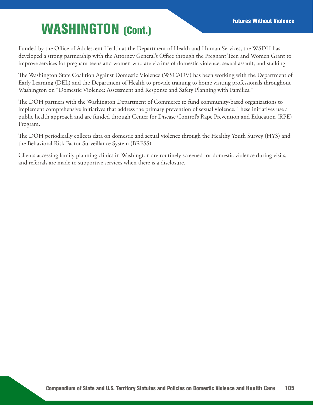## WASHINGTON (Cont.)

Funded by the Office of Adolescent Health at the Department of Health and Human Services, the WSDH has developed a strong partnership with the Attorney General's Office through the Pregnant Teen and Women Grant to improve services for pregnant teens and women who are victims of domestic violence, sexual assault, and stalking.

The Washington State Coalition Against Domestic Violence (WSCADV) has been working with the Department of Early Learning (DEL) and the Department of Health to provide training to home visiting professionals throughout Washington on "Domestic Violence: Assessment and Response and Safety Planning with Families."

The DOH partners with the Washington Department of Commerce to fund community-based organizations to implement comprehensive initiatives that address the primary prevention of sexual violence. These initiatives use a public health approach and are funded through Center for Disease Control's Rape Prevention and Education (RPE) Program.

The DOH periodically collects data on domestic and sexual violence through the Healthy Youth Survey (HYS) and the Behavioral Risk Factor Surveillance System (BRFSS).

Clients accessing family planning clinics in Washington are routinely screened for domestic violence during visits, and referrals are made to supportive services when there is a disclosure.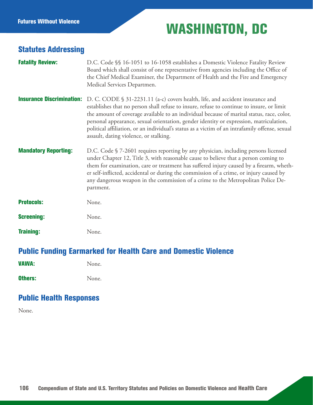# Futures Without Violence WASHINGTON, DC

#### Statutes Addressing

| <b>Fatality Review:</b>          | D.C. Code §§ 16-1051 to 16-1058 establishes a Domestic Violence Fatality Review<br>Board which shall consist of one representative from agencies including the Office of<br>the Chief Medical Examiner, the Department of Health and the Fire and Emergency<br>Medical Services Departmen.                                                                                                                                                                                                                    |
|----------------------------------|---------------------------------------------------------------------------------------------------------------------------------------------------------------------------------------------------------------------------------------------------------------------------------------------------------------------------------------------------------------------------------------------------------------------------------------------------------------------------------------------------------------|
| <b>Insurance Discrimination:</b> | D. C. CODE § 31-2231.11 (a-c) covers health, life, and accident insurance and<br>establishes that no person shall refuse to insure, refuse to continue to insure, or limit<br>the amount of coverage available to an individual because of marital status, race, color,<br>personal appearance, sexual orientation, gender identity or expression, matriculation,<br>political affiliation, or an individual's status as a victim of an intrafamily offense, sexual<br>assault, dating violence, or stalking. |
| <b>Mandatory Reporting:</b>      | D.C. Code § 7-2601 requires reporting by any physician, including persons licensed<br>under Chapter 12, Title 3, with reasonable cause to believe that a person coming to<br>them for examination, care or treatment has suffered injury caused by a firearm, wheth-<br>er self-inflicted, accidental or during the commission of a crime, or injury caused by<br>any dangerous weapon in the commission of a crime to the Metropolitan Police De-<br>partment.                                               |
| <b>Protocols:</b>                | None.                                                                                                                                                                                                                                                                                                                                                                                                                                                                                                         |
| <b>Screening:</b>                | None.                                                                                                                                                                                                                                                                                                                                                                                                                                                                                                         |
| <b>Training:</b>                 | None.                                                                                                                                                                                                                                                                                                                                                                                                                                                                                                         |

#### Public Funding Earmarked for Health Care and Domestic Violence

Others: None.

#### Public Health Responses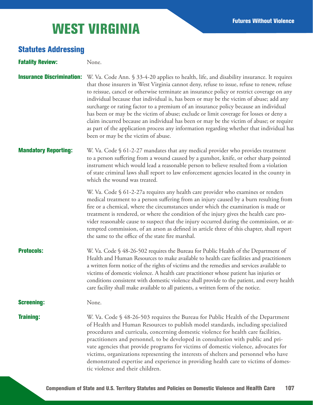## WEST VIRGINIA

#### Statutes Addressing

| <b>Fatality Review:</b>          | None.                                                                                                                                                                                                                                                                                                                                                                                                                                                                                                                                                                                                                                                                                                                                                                                          |
|----------------------------------|------------------------------------------------------------------------------------------------------------------------------------------------------------------------------------------------------------------------------------------------------------------------------------------------------------------------------------------------------------------------------------------------------------------------------------------------------------------------------------------------------------------------------------------------------------------------------------------------------------------------------------------------------------------------------------------------------------------------------------------------------------------------------------------------|
| <b>Insurance Discrimination:</b> | W. Va. Code Ann. § 33-4-20 applies to health, life, and disability insurance. It requires<br>that those insurers in West Virginia cannot deny, refuse to issue, refuse to renew, refuse<br>to reissue, cancel or otherwise terminate an insurance policy or restrict coverage on any<br>individual because that individual is, has been or may be the victim of abuse; add any<br>surcharge or rating factor to a premium of an insurance policy because an individual<br>has been or may be the victim of abuse; exclude or limit coverage for losses or deny a<br>claim incurred because an individual has been or may be the victim of abuse; or require<br>as part of the application process any information regarding whether that individual has<br>been or may be the victim of abuse. |
| <b>Mandatory Reporting:</b>      | W. Va. Code § 61-2-27 mandates that any medical provider who provides treatment<br>to a person suffering from a wound caused by a gunshot, knife, or other sharp pointed<br>instrument which would lead a reasonable person to believe resulted from a violation<br>of state criminal laws shall report to law enforcement agencies located in the county in<br>which the wound was treated.                                                                                                                                                                                                                                                                                                                                                                                                   |
|                                  | W. Va. Code § 61-2-27a requires any health care provider who examines or renders<br>medical treatment to a person suffering from an injury caused by a burn resulting from<br>fire or a chemical, where the circumstances under which the examination is made or<br>treatment is rendered, or where the condition of the injury gives the health care pro-<br>vider reasonable cause to suspect that the injury occurred during the commission, or at-<br>tempted commission, of an arson as defined in article three of this chapter, shall report<br>the same to the office of the state fire marshal.                                                                                                                                                                                       |
| <b>Protocols:</b>                | W. Va. Code § 48-26-502 requires the Bureau for Public Health of the Department of<br>Health and Human Resources to make available to health care facilities and practitioners<br>a written form notice of the rights of victims and the remedies and services available to<br>victims of domestic violence. A health care practitioner whose patient has injuries or<br>conditions consistent with domestic violence shall provide to the patient, and every health<br>care facility shall make available to all patients, a written form of the notice.                                                                                                                                                                                                                                      |
| <b>Screening:</b>                | None.                                                                                                                                                                                                                                                                                                                                                                                                                                                                                                                                                                                                                                                                                                                                                                                          |
| <b>Training:</b>                 | W. Va. Code § 48-26-503 requires the Bureau for Public Health of the Department<br>of Health and Human Resources to publish model standards, including specialized<br>procedures and curricula, concerning domestic violence for health care facilities,<br>practitioners and personnel, to be developed in consultation with public and pri-<br>vate agencies that provide programs for victims of domestic violence, advocates for<br>victims, organizations representing the interests of shelters and personnel who have<br>demonstrated expertise and experience in providing health care to victims of domes-<br>tic violence and their children.                                                                                                                                        |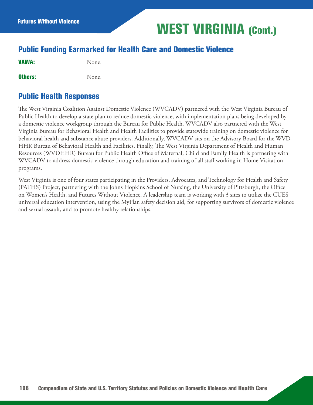# Futures Without Violence **WEST VIRGINIA** (Cont.)

#### Public Funding Earmarked for Health Care and Domestic Violence

| <b>VAWA:</b>   | None. |
|----------------|-------|
| <b>Others:</b> | None. |

#### Public Health Responses

The West Virginia Coalition Against Domestic Violence (WVCADV) partnered with the West Virginia Bureau of Public Health to develop a state plan to reduce domestic violence, with implementation plans being developed by a domestic violence workgroup through the Bureau for Public Health. WVCADV also partnered with the West Virginia Bureau for Behavioral Health and Health Facilities to provide statewide training on domestic violence for behavioral health and substance abuse providers. Additionally, WVCADV sits on the Advisory Board for the WVD-HHR Bureau of Behavioral Health and Facilities. Finally, The West Virginia Department of Health and Human Resources (WVDHHR) Bureau for Public Health Office of Maternal, Child and Family Health is partnering with WVCADV to address domestic violence through education and training of all staff working in Home Visitation programs.

West Virginia is one of four states participating in the Providers, Advocates, and Technology for Health and Safety (PATHS) Project, partnering with the Johns Hopkins School of Nursing, the University of Pittsburgh, the Office on Women's Health, and Futures Without Violence. A leadership team is working with 3 sites to utilize the [CUES](https://ipvhealth.org/health-professionals/educate-providers/)  [universal education intervention,](https://ipvhealth.org/health-professionals/educate-providers/) using the MyPlan safety decision aid, for supporting survivors of domestic violence and sexual assault, and to promote healthy relationships.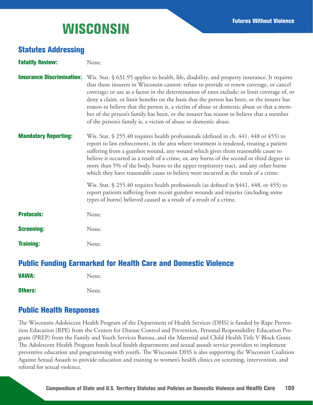## **WISCONSIN**

#### Statutes Addressing

| <b>Fatality Review:</b>     | None.                                                                                                                                                                                                                                                                                                                                                                                                                                                                                                                                                                                                                                                                           |
|-----------------------------|---------------------------------------------------------------------------------------------------------------------------------------------------------------------------------------------------------------------------------------------------------------------------------------------------------------------------------------------------------------------------------------------------------------------------------------------------------------------------------------------------------------------------------------------------------------------------------------------------------------------------------------------------------------------------------|
|                             | <b>Insurance Discrimination:</b> Wis. Stat. § 631.95 applies to health, life, disability, and property insurance. It requires<br>that those insurers in Wisconsin cannot: refuse to provide or renew coverage, or cancel<br>coverage; or use as a factor in the determination of rates exclude; or limit coverage of, or<br>deny a claim. or limit benefits on the basis that the person has been, or the insurer has<br>reason to believe that the person is, a victim of abuse or domestic abuse or that a mem-<br>ber of the person's family has been, or the insurer has reason to believe that a member<br>of the person's family is, a victim of abuse or domestic abuse. |
| <b>Mandatory Reporting:</b> | Wis. Stat. § 255.40 requires health professionals (defined in ch. 441, 448 or 455) to<br>report to law enforcement, in the area where treatment is rendered, treating a patient<br>suffering from a gunshot wound, any wound which gives them reasonable cause to<br>believe it occurred as a result of a crime, or, any burns of the second or third degree to<br>more than 5% of the body, burns to the upper respiratory tract, and any other burns<br>which they have reasonable cause to believe were incurred as the result of a crime.                                                                                                                                   |
|                             | Wis. Stat. § 255.40 requires health professionals (as defined in §441, 448, or 455) to<br>report patients suffering from recent gunshot wounds and injuries (including some<br>types of burns) believed caused as a result of a result of a crime.                                                                                                                                                                                                                                                                                                                                                                                                                              |
| <b>Protocols:</b>           | None.                                                                                                                                                                                                                                                                                                                                                                                                                                                                                                                                                                                                                                                                           |
| <b>Screening:</b>           | None.                                                                                                                                                                                                                                                                                                                                                                                                                                                                                                                                                                                                                                                                           |
| <b>Training:</b>            | None.                                                                                                                                                                                                                                                                                                                                                                                                                                                                                                                                                                                                                                                                           |

#### Public Funding Earmarked for Health Care and Domestic Violence

| <b>VAWA:</b>   | None. |
|----------------|-------|
| <b>Others:</b> | None. |

#### Public Health Responses

The Wisconsin Adolescent Health Program of the Department of Health Services (DHS) is funded by Rape Prevention Education (RPE) from the Centers for Disease Control and Prevention, Personal Responsibility Education Program (PREP) from the Family and Youth Services Bureau, and the Maternal and Child Health Title V Block Grant. The Adolescent Health Program funds local health departments and sexual assault service providers to implement preventive education and programming with youth. The Wisconsin DHS is also supporting the Wisconsin Coalition Against Sexual Assault to provide education and training to women's health clinics on screening, intervention, and referral for sexual violence.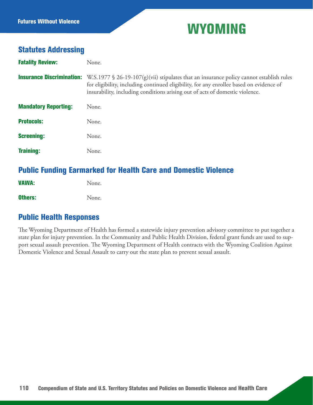### WYOMING

#### Statutes Addressing

| <b>Fatality Review:</b>     | None.                                                                                                                                                                                                                                                                                                         |
|-----------------------------|---------------------------------------------------------------------------------------------------------------------------------------------------------------------------------------------------------------------------------------------------------------------------------------------------------------|
|                             | <b>Insurance Discrimination:</b> W.S.1977 $\frac{6}{26-19-107(g)(vii)}$ stipulates that an insurance policy cannot establish rules<br>for eligibility, including continued eligibility, for any enrollee based on evidence of<br>insurability, including conditions arising out of acts of domestic violence. |
| <b>Mandatory Reporting:</b> | None.                                                                                                                                                                                                                                                                                                         |
| <b>Protocols:</b>           | None.                                                                                                                                                                                                                                                                                                         |
| <b>Screening:</b>           | None.                                                                                                                                                                                                                                                                                                         |
| <b>Training:</b>            | None.                                                                                                                                                                                                                                                                                                         |

#### Public Funding Earmarked for Health Care and Domestic Violence

| <b>VAWA:</b> | None. |
|--------------|-------|
| Others:      | None. |

#### Public Health Responses

The Wyoming Department of Health has formed a statewide injury prevention advisory committee to put together a state plan for injury prevention. In the Community and Public Health Division, federal grant funds are used to support sexual assault prevention. The Wyoming Department of Health contracts with the Wyoming Coalition Against Domestic Violence and Sexual Assault to carry out the state plan to prevent sexual assault.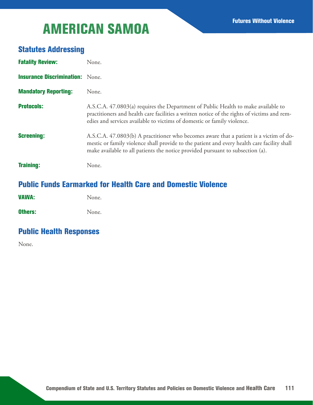## AMERICAN SAMOA

#### Statutes Addressing

| <b>Fatality Review:</b>                | None.                                                                                                                                                                                                                                                                   |
|----------------------------------------|-------------------------------------------------------------------------------------------------------------------------------------------------------------------------------------------------------------------------------------------------------------------------|
| <b>Insurance Discrimination: None.</b> |                                                                                                                                                                                                                                                                         |
| <b>Mandatory Reporting:</b>            | None.                                                                                                                                                                                                                                                                   |
| <b>Protocols:</b>                      | A.S.C.A. 47.0803(a) requires the Department of Public Health to make available to<br>practitioners and health care facilities a written notice of the rights of victims and rem-<br>edies and services available to victims of domestic or family violence.             |
| <b>Screening:</b>                      | A.S.C.A. 47.0803(b) A practitioner who becomes aware that a patient is a victim of do-<br>mestic or family violence shall provide to the patient and every health care facility shall<br>make available to all patients the notice provided pursuant to subsection (a). |
| <b>Training:</b>                       | None.                                                                                                                                                                                                                                                                   |

#### Public Funds Earmarked for Health Care and Domestic Violence

| <b>VAWA:</b>   | None. |
|----------------|-------|
| <b>Others:</b> | None. |

#### Public Health Responses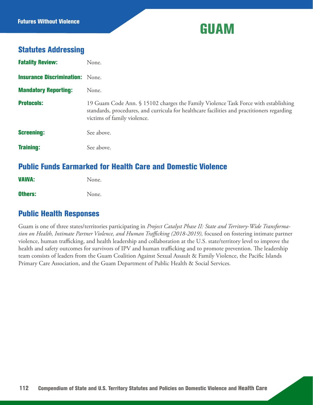

#### Statutes Addressing

| <b>Fatality Review:</b>                                             | None.                                                                                                                                                                                                           |
|---------------------------------------------------------------------|-----------------------------------------------------------------------------------------------------------------------------------------------------------------------------------------------------------------|
| <b>Insurance Discrimination: None.</b>                              |                                                                                                                                                                                                                 |
| <b>Mandatory Reporting:</b>                                         | None.                                                                                                                                                                                                           |
| <b>Protocols:</b>                                                   | 19 Guam Code Ann. § 15102 charges the Family Violence Task Force with establishing<br>standards, procedures, and curricula for healthcare facilities and practitioners regarding<br>victims of family violence. |
| <b>Screening:</b>                                                   | See above.                                                                                                                                                                                                      |
| <b>Training:</b>                                                    | See above.                                                                                                                                                                                                      |
| <b>Public Funds Earmarked for Health Care and Domestic Violence</b> |                                                                                                                                                                                                                 |

#### VAWA: None. Others: None.

#### Public Health Responses

Guam is one of three states/territories participating in *Project Catalyst Phase II: State and Territory-Wide Transformation on Health, Intimate Partner Violence, and Human Trafficking (2018-2019),* focused on fostering intimate partner violence, human trafficking, and health leadership and collaboration at the U.S. state/territory level to improve the health and safety outcomes for survivors of IPV and human trafficking and to promote prevention. The leadership team consists of leaders from the Guam Coalition Against Sexual Assault & Family Violence, the Pacific Islands Primary Care Association, and the Guam Department of Public Health & Social Services.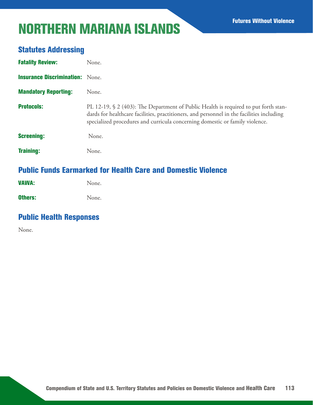# NORTHERN MARIANA ISLANDS

#### Statutes Addressing

| <b>Fatality Review:</b>          | None.                                                                                                                                                                                                                                                            |
|----------------------------------|------------------------------------------------------------------------------------------------------------------------------------------------------------------------------------------------------------------------------------------------------------------|
| <b>Insurance Discrimination:</b> | None.                                                                                                                                                                                                                                                            |
| <b>Mandatory Reporting:</b>      | None.                                                                                                                                                                                                                                                            |
| <b>Protocols:</b>                | PL 12-19, § 2 (403): The Department of Public Health is required to put forth stan-<br>dards for healthcare facilities, practitioners, and personnel in the facilities including<br>specialized procedures and curricula concerning domestic or family violence. |
| <b>Screening:</b>                | None.                                                                                                                                                                                                                                                            |
| <b>Training:</b>                 | None.                                                                                                                                                                                                                                                            |

#### Public Funds Earmarked for Health Care and Domestic Violence

| <b>VAWA:</b> | None. |
|--------------|-------|
| Others:      | None. |

#### Public Health Responses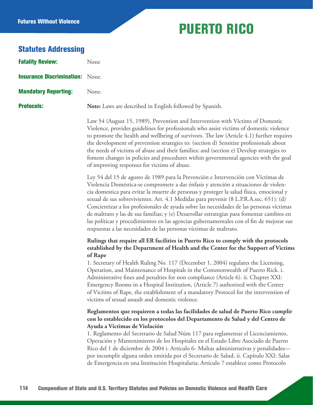# Futures Without Violence **PUERTO RICO**

#### Statutes Addressing

**Fatality Review:** None **Insurance Discrimination: None. Mandatory Reporting:** None. **Protocols:** Note: Laws are described in English followed by Spanish. Law 54 (August 15, 1989), Prevention and Intervention with Victims of Domestic Violence, provides guidelines for professionals who assist victims of domestic violence to promote the health and wellbeing of survivors. The law (Article 4.1) further requires the development of prevention strategies to: (section d) Sensitize professionals about the needs of victims of abuse and their families; and (section e) Develop strategies to foment changes in policies and procedures within governmental agencies with the goal of improving responses for victims of abuse. Ley 54 del 15 de agosto de 1989 para la Prevención e Intervención con Víctimas de Violencia Doméstica-se compromete a dar énfasis y atención a situaciones de violencia domestica para evitar la muerte de personas y proteger la salud física, emocional y sexual de sus sobrevivientes. Art. 4.1 Medidas para prevenir (8 [L.P.R.A.sec.](L.P.R.A.sec) 651): (d) Concientizar a los profesionales de ayuda sobre las necesidades de las personas víctimas de maltrato y las de sus familias; y (e) Desarrollar estrategias para fomentar cambios en las políticas y procedimientos en las agencias gubernamentales con el fin de mejorar sus respuestas a las necesidades de las personas víctimas de maltrato. **Rulings that require all ER facilities in Puerto Rico to comply with the protocols established by the Department of Health and the Center for the Support of Victims of Rape**  1. Secretary of Health Ruling No. 117 (December 1, 2004) regulates the Licensing, Operation, and Maintenance of Hospitals in the Commonwealth of Puerto Rick. i. Administrative fines and penalties for non compliance (Article 6). ii. Chapter XXI: Emergency Rooms in a Hospital Institution, (Article 7) authorized with the Center of Victims of Rape, the establishment of a mandatory Protocol for the intervention of victims of sexual assault and domestic violence. **Reglamentos que requieren a todas las facilidades de salud de Puerto Rico cumplir con lo establecido en los protocolos del Departamento de Salud y del Centro de Ayuda a Víctimas de Violación** 1. Reglamento del Secretario de Salud Núm 117 para reglamentar el Licenciamiento, Operación y Mantenimiento de los Hospitales en el Estado Libre Asociado de Puerto Rico del 1 de diciembre de 2004 i. Artículo 6- Multas administrativas y penalidades por incumplir alguna orden emitida por el Secretario de Salud. ii. Capítulo XXI: Salas de Emergencia en una Institución Hospitalaria; Artículo 7 establece como Protocolo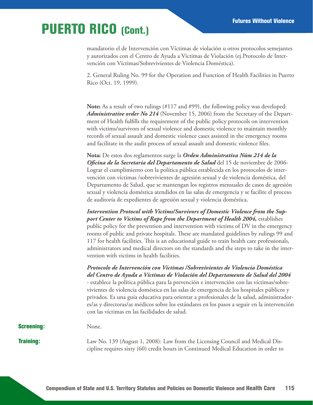### PUERTO RICO (Cont.)

mandatorio el de Intervención con Víctimas de violación u otros protocolos semejantes y autorizados con el Centro de Ayuda a Víctimas de Violación (<ej.Protocolo>de Intervención con Víctimas/Sobrevivientes de Violencia Doméstica).

2. General Ruling No. 99 for the Operation and Function of Health Facilities in Puerto Rico (Oct. 19, 1999).

**Note:** As a result of two rulings (#117 and #99), the following policy was developed: *Administrative order No 214* (November 15, 2006) from the Secretary of the Department of Health fulfills the requirement of the public policy protocols on intervention with victims/survivors of sexual violence and domestic violence to maintain monthly records of sexual assault and domestic violence cases assisted in the emergency rooms and facilitate in the audit process of sexual assault and domestic violence files.

**Nota:** De estos dos reglamentos surge la *Orden Administrativa Núm 214 de la Oficina de la Secretaria del Departamento de Salud* del 15 de noviembre de 2006- Lograr el cumplimiento con la política pública establecida en los protocolos de intervención con víctimas /sobrevivientes de agresión sexual y de violencia doméstica, del Departamento de Salud, que se mantengan los registros mensuales de casos de agresión sexual y violencia doméstica atendidos en las salas de emergencia y se facilite el proceso de auditoría de expedientes de agresión sexual y violencia doméstica.

*Intervention Protocol with Victims/Survivors of Domestic Violence from the Support Center to Victims of Rape from the Department of Health 2004, establishes* public policy for the prevention and intervention with victims of DV in the emergency rooms of public and private hospitals. These are mandated guidelines by rulings 99 and 117 for health facilities. This is an educational guide to train health care professionals, administrators and medical directors on the standards and the steps to take in the intervention with victims in health facilities.

#### *Protocolo de Intervención con Víctimas /Sobrevivientes de Violencia Doméstica del Centro de Ayuda a Víctimas de Violación del Departamento de Salud del 2004*

- establece la política pública para la prevención e intervención con las víctimas/sobrevivientes de violencia doméstica en las salas de emergencia de los hospitales públicos y privados. Es una guía educativa para orientar a profesionales de la salud, administradores/as y directoras/as médicos sobre los estándares en los pasos a seguir en la intervención con las víctimas en las facilidades de salud.

Screening: None.

**Training:** Law No. 139 (August 1, 2008): Law from the Licensing Council and Medical Discipline requires sixty (60) credit hours in Continued Medical Education in order to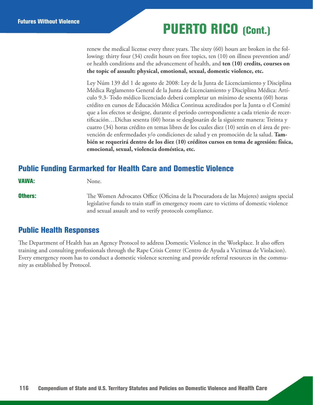# Futures Without Violence **PUERTO RICO** (Cont.)

renew the medical license every three years. The sixty (60) hours are broken in the following: thirty four (34) credit hours on free topics, ten (10) on illness prevention and/ or health conditions and the advancement of health, and **ten (10) credits, courses on the topic of assault: physical, emotional, sexual, domestic violence, etc.**

Ley Núm 139 del 1 de agosto de 2008: Ley de la Junta de Licenciamiento y Disciplina Médica Reglamento General de la Junta de Licenciamiento y Disciplina Médica: Artículo 9.3- Todo médico licenciado deberá completar un mínimo de sesenta (60) horas crédito en cursos de Educación Médica Continua acreditados por la Junta o el Comité que a los efectos se designe, durante el periodo correspondiente a cada trienio de recertificación…Dichas sesenta (60) horas se desglosarán de la siguiente manera: Treinta y cuatro (34) horas crédito en temas libres de los cuales diez (10) serán en el área de prevención de enfermedades y/o condiciones de salud y en promoción de la salud. **También se requerirá dentro de los diez (10) créditos cursos en tema de agresión: física, emocional, sexual, violencia doméstica, etc.**

#### Public Funding Earmarked for Health Care and Domestic Violence

| <b>VAWA:</b>   | None.                                                                                                                                                                                                                                      |
|----------------|--------------------------------------------------------------------------------------------------------------------------------------------------------------------------------------------------------------------------------------------|
| <b>Others:</b> | The Women Advocates Office (Oficina de la Procuradora de las Mujeres) assigns special<br>legislative funds to train staff in emergency room care to victims of domestic violence<br>and sexual assault and to verify protocols compliance. |

#### Public Health Responses

The Department of Health has an Agency Protocol to address Domestic Violence in the Workplace. It also offers training and consulting professionals through the Rape Crisis Center (Centro de Ayuda a Victimas de Violacion). Every emergency room has to conduct a domestic violence screening and provide referral resources in the community as established by Protocol.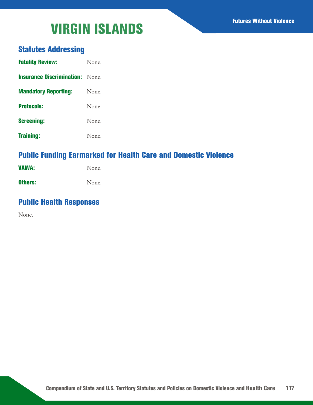## VIRGIN ISLANDS

#### Statutes Addressing

| <b>Fatality Review:</b>                | None. |
|----------------------------------------|-------|
| <b>Insurance Discrimination: None.</b> |       |
| <b>Mandatory Reporting:</b>            | None. |
| <b>Protocols:</b>                      | None. |
| <b>Screening:</b>                      | None. |
| <b>Training:</b>                       | None. |

#### Public Funding Earmarked for Health Care and Domestic Violence

| <b>VAWA:</b> | None. |
|--------------|-------|
| Others:      | None. |

#### Public Health Responses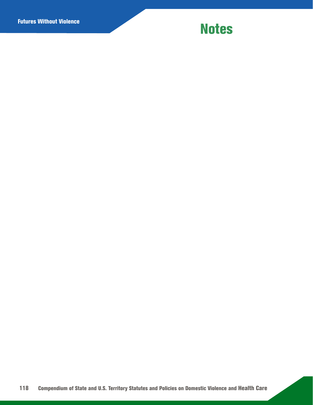### **Notes**